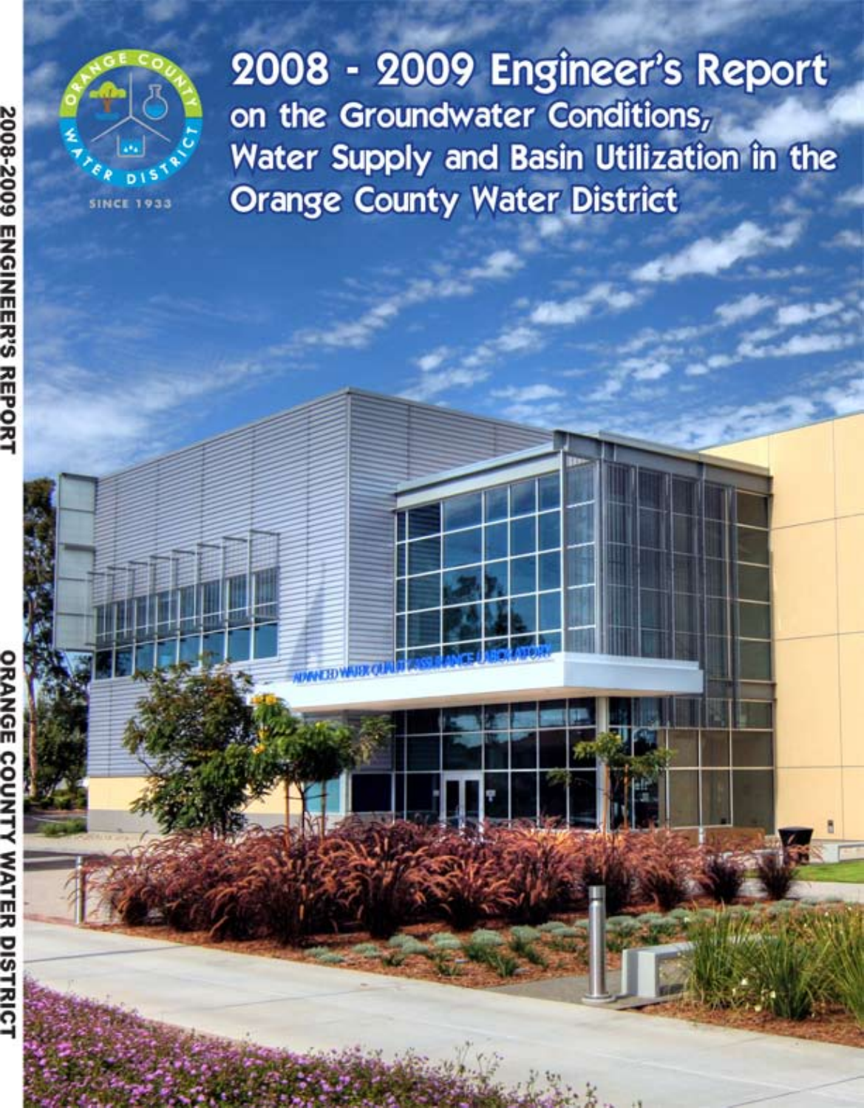

2008 - 2009 Engineer's Report on the Groundwater Conditions, Water Supply and Basin Utilization in the **Orange County Water District** 

긆

**DISTRIC** 

**2008-2009 ENGINEER'S REPORT**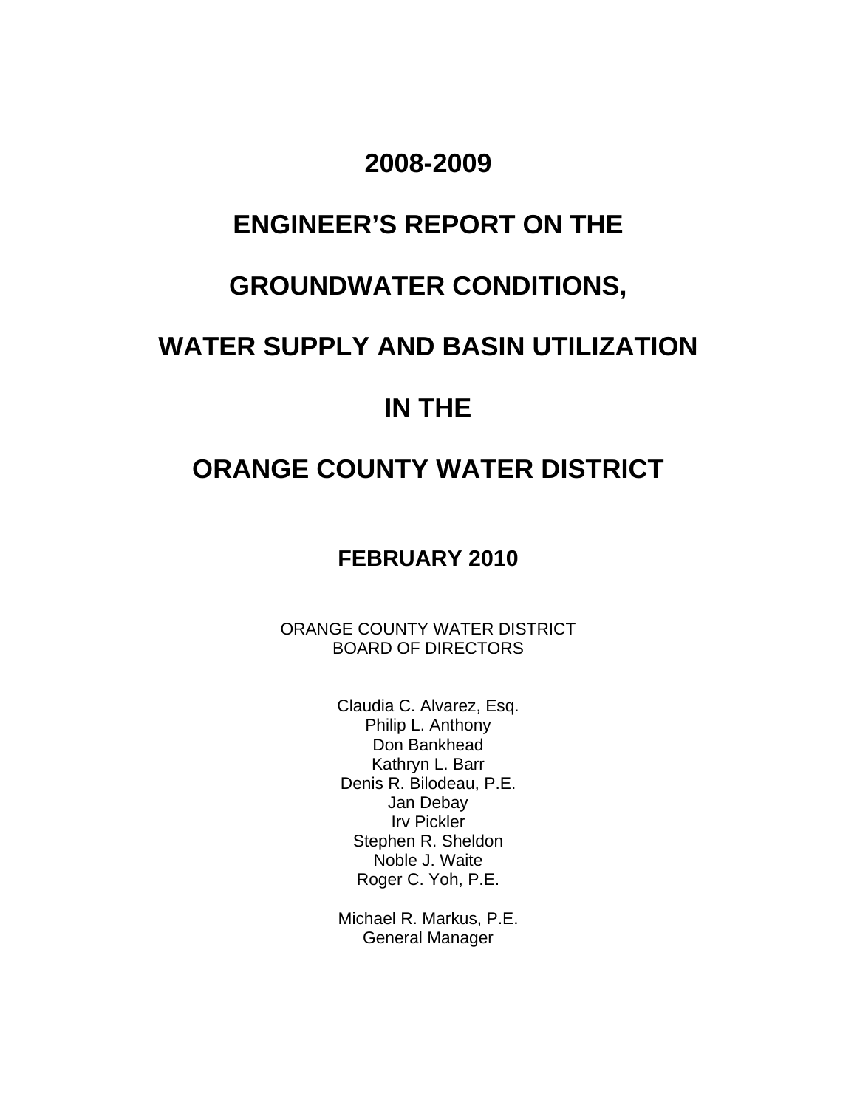# **2008-2009**

# **ENGINEER'S REPORT ON THE**

# **GROUNDWATER CONDITIONS,**

# **WATER SUPPLY AND BASIN UTILIZATION**

# **IN THE**

# **ORANGE COUNTY WATER DISTRICT**

# **FEBRUARY 2010**

ORANGE COUNTY WATER DISTRICT BOARD OF DIRECTORS

> Claudia C. Alvarez, Esq. Philip L. Anthony Don Bankhead Kathryn L. Barr Denis R. Bilodeau, P.E. Jan Debay Irv Pickler Stephen R. Sheldon Noble J. Waite Roger C. Yoh, P.E.

> Michael R. Markus, P.E. General Manager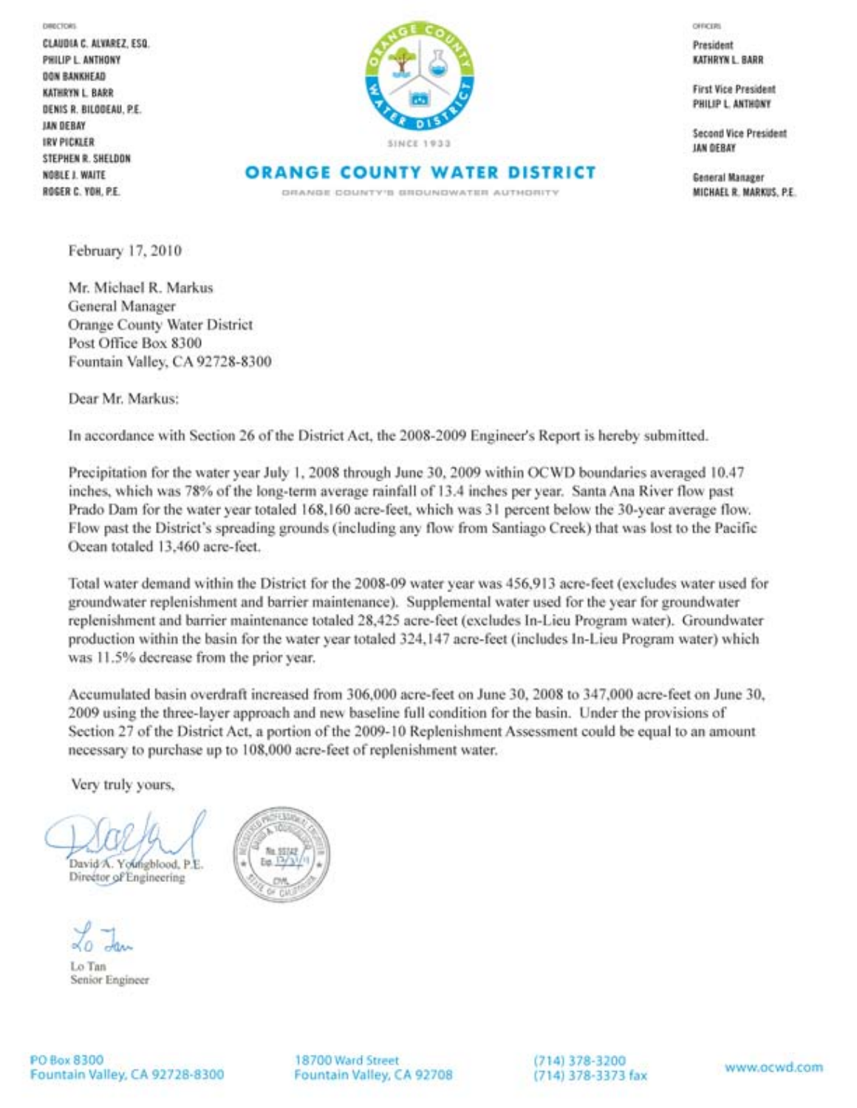**DIRECTORS** 

CLAUDIA C. ALVAREZ, ESQ. PHILIP L. ANTHONY **OON BANKHEAD** KATHRYN L. BARR DENIS R. BILOGEAU, P.E. **LAN DEBAY IRV PICKLER** STEPHEN R. SHELDON **NOBLE J. WAITE** ROGER C. YOH, P.E.



**ORANGE COUNTY WATER DISTRICT** 

DRANGE COUNTY'S GROUNDWATER AUTHORITY

OFFICERS

President KATHRYN L. BARR

**First Vice President** PHILIP L. ANTHONY

**Second Vice President JAN DEBAY** 

General Manager MICHAEL R. MARKUS, P.E.

February 17, 2010

Mr. Michael R. Markus General Manager **Orange County Water District** Post Office Box 8300 Fountain Valley, CA 92728-8300

Dear Mr. Markus:

In accordance with Section 26 of the District Act, the 2008-2009 Engineer's Report is hereby submitted.

Precipitation for the water year July 1, 2008 through June 30, 2009 within OCWD boundaries averaged 10.47 inches, which was 78% of the long-term average rainfall of 13.4 inches per year. Santa Ana River flow past Prado Dam for the water year totaled 168,160 acre-feet, which was 31 percent below the 30-year average flow. Flow past the District's spreading grounds (including any flow from Santiago Creek) that was lost to the Pacific Ocean totaled 13,460 acre-feet.

Total water demand within the District for the 2008-09 water year was 456,913 acre-feet (excludes water used for groundwater replenishment and barrier maintenance). Supplemental water used for the year for groundwater replenishment and barrier maintenance totaled 28,425 acre-feet (excludes In-Lieu Program water). Groundwater production within the basin for the water year totaled 324,147 acre-feet (includes In-Lieu Program water) which was 11.5% decrease from the prior year.

Accumulated basin overdraft increased from 306,000 acre-feet on June 30, 2008 to 347,000 acre-feet on June 30, 2009 using the three-layer approach and new baseline full condition for the basin. Under the provisions of Section 27 of the District Act, a portion of the 2009-10 Replenishment Assessment could be equal to an amount necessary to purchase up to 108,000 acre-feet of replenishment water.

Very truly yours,

David A. Youngblood, P.E. Director of Engineering

Lo Tan Senior Engineer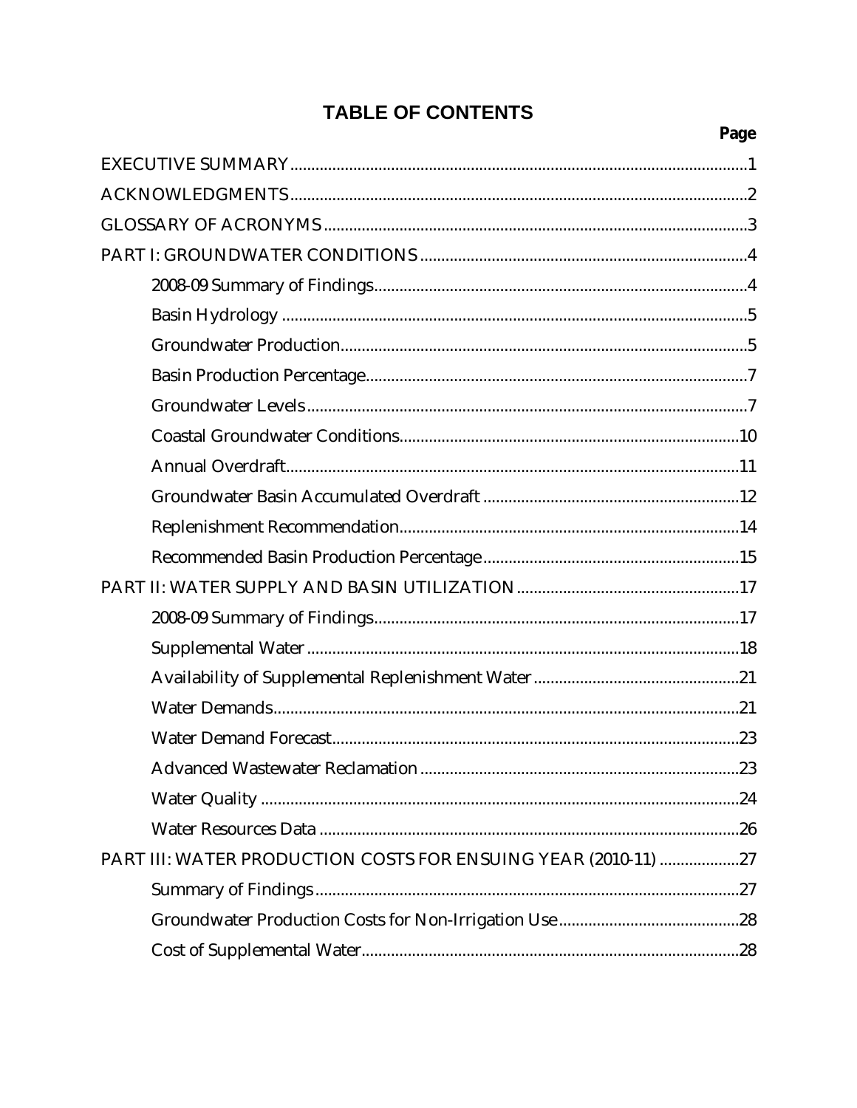# **TABLE OF CONTENTS**

Page

| PART III: WATER PRODUCTION COSTS FOR ENSUING YEAR (2010-11) 27 |
|----------------------------------------------------------------|
|                                                                |
|                                                                |
|                                                                |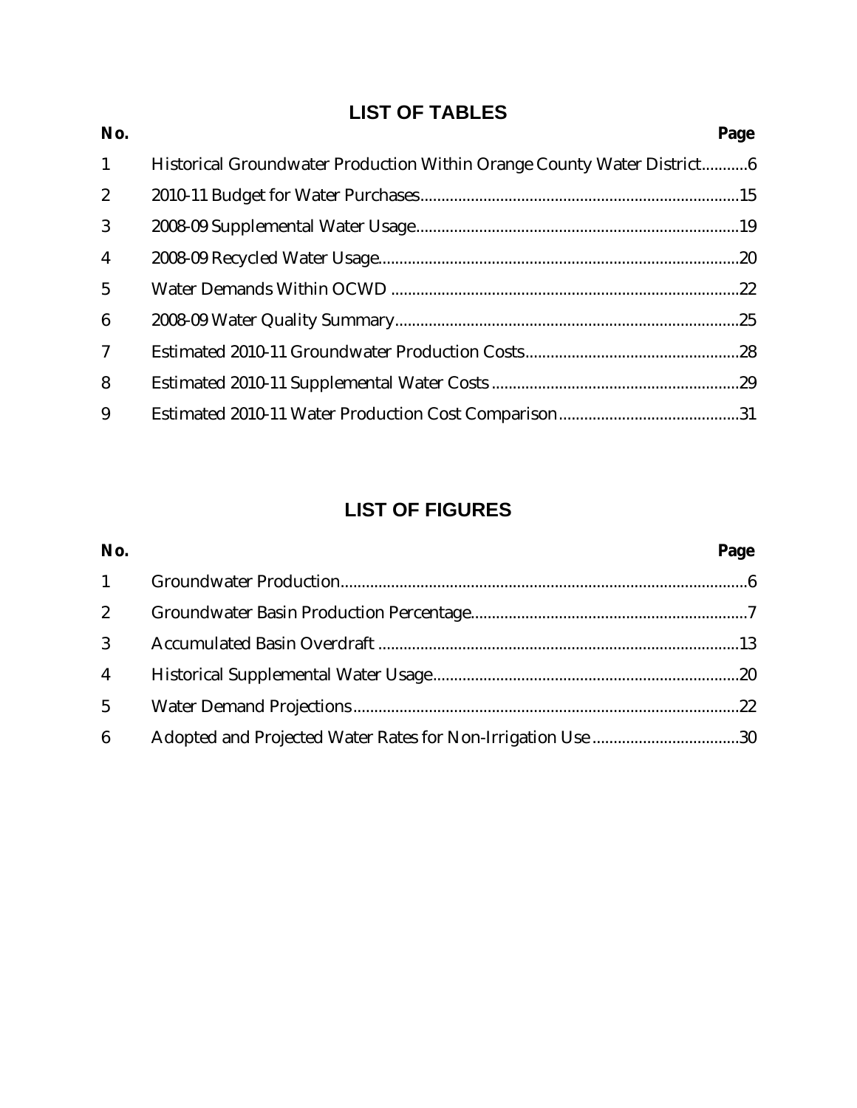# **LIST OF TABLES**

| No.             |                                                                        | Page |
|-----------------|------------------------------------------------------------------------|------|
| $\mathbf{1}$    | Historical Groundwater Production Within Orange County Water District6 |      |
| $\mathbf{2}$    |                                                                        |      |
| 3               |                                                                        |      |
| $\overline{4}$  |                                                                        |      |
| $5\overline{)}$ |                                                                        |      |
| $6\phantom{1}6$ |                                                                        |      |
| $\mathcal I$    |                                                                        |      |
| 8               |                                                                        |      |
| 9               |                                                                        |      |
|                 |                                                                        |      |

# **LIST OF FIGURES**

| No.                    |                                                             | Page |
|------------------------|-------------------------------------------------------------|------|
| $1 \quad \blacksquare$ |                                                             |      |
|                        |                                                             |      |
| $3^{\circ}$            |                                                             |      |
| $\overline{4}$         |                                                             |      |
| 5 <sup>5</sup>         |                                                             |      |
| 6                      | Adopted and Projected Water Rates for Non-Irrigation Use 30 |      |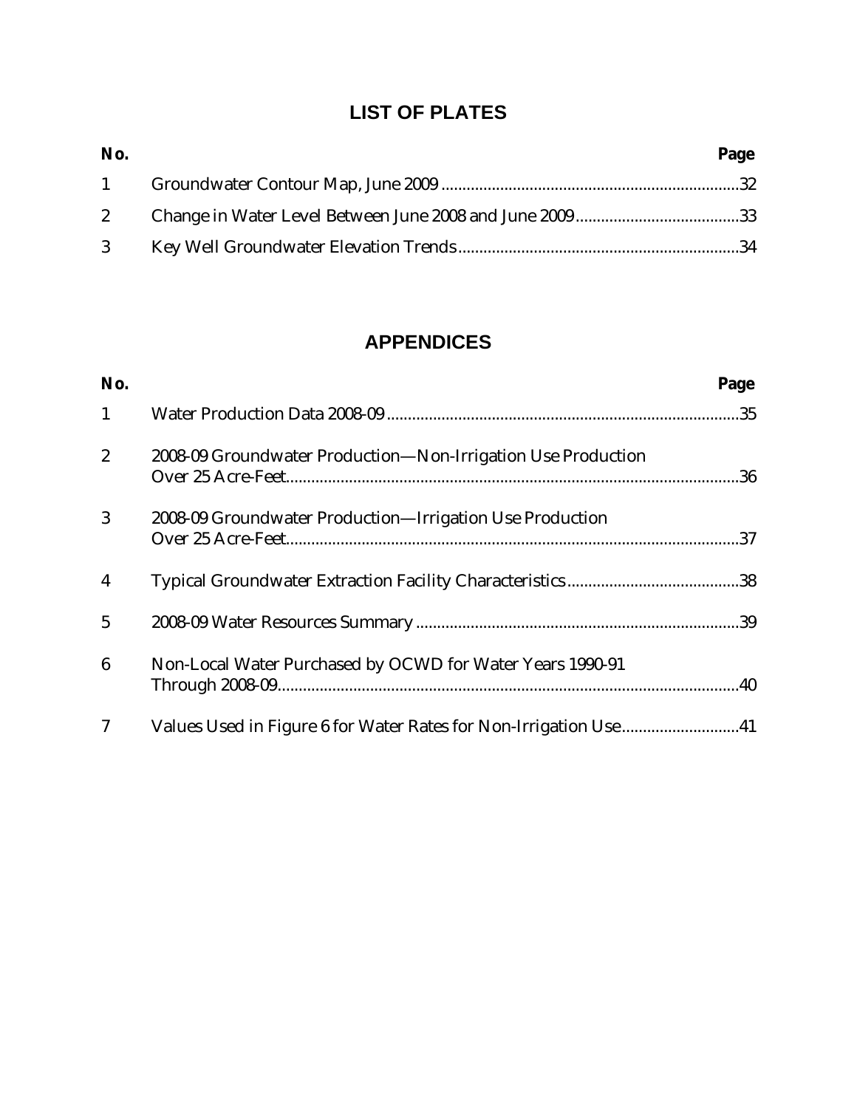# **LIST OF PLATES**

| No. | Page |
|-----|------|
|     |      |
|     |      |
|     |      |

# **APPENDICES**

| No.             |                                                              | Page |
|-----------------|--------------------------------------------------------------|------|
| $\mathbf{1}$    |                                                              |      |
| $\overline{2}$  | 2008-09 Groundwater Production-Non-Irrigation Use Production |      |
| 3               | 2008-09 Groundwater Production-Irrigation Use Production     |      |
| $\overline{4}$  |                                                              |      |
| $5\overline{)}$ |                                                              |      |
| 6               | Non-Local Water Purchased by OCWD for Water Years 1990-91    |      |
| 7               |                                                              |      |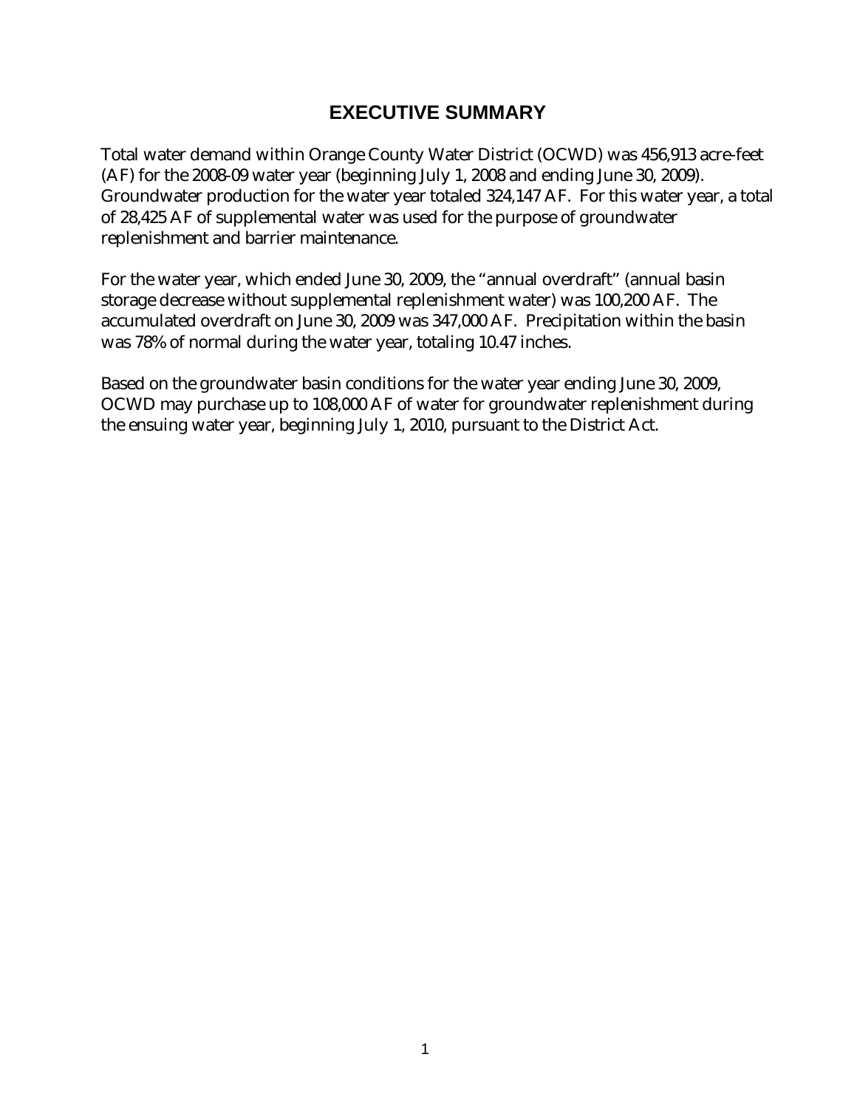## **EXECUTIVE SUMMARY**

Total water demand within Orange County Water District (OCWD) was 456,913 acre-feet (AF) for the 2008-09 water year (beginning July 1, 2008 and ending June 30, 2009). Groundwater production for the water year totaled 324,147 AF. For this water year, a total of 28,425 AF of supplemental water was used for the purpose of groundwater replenishment and barrier maintenance.

For the water year, which ended June 30, 2009, the "annual overdraft" (annual basin storage decrease without supplemental replenishment water) was 100,200 AF. The accumulated overdraft on June 30, 2009 was 347,000 AF. Precipitation within the basin was 78% of normal during the water year, totaling 10.47 inches.

Based on the groundwater basin conditions for the water year ending June 30, 2009, OCWD may purchase up to 108,000 AF of water for groundwater replenishment during the ensuing water year, beginning July 1, 2010, pursuant to the District Act.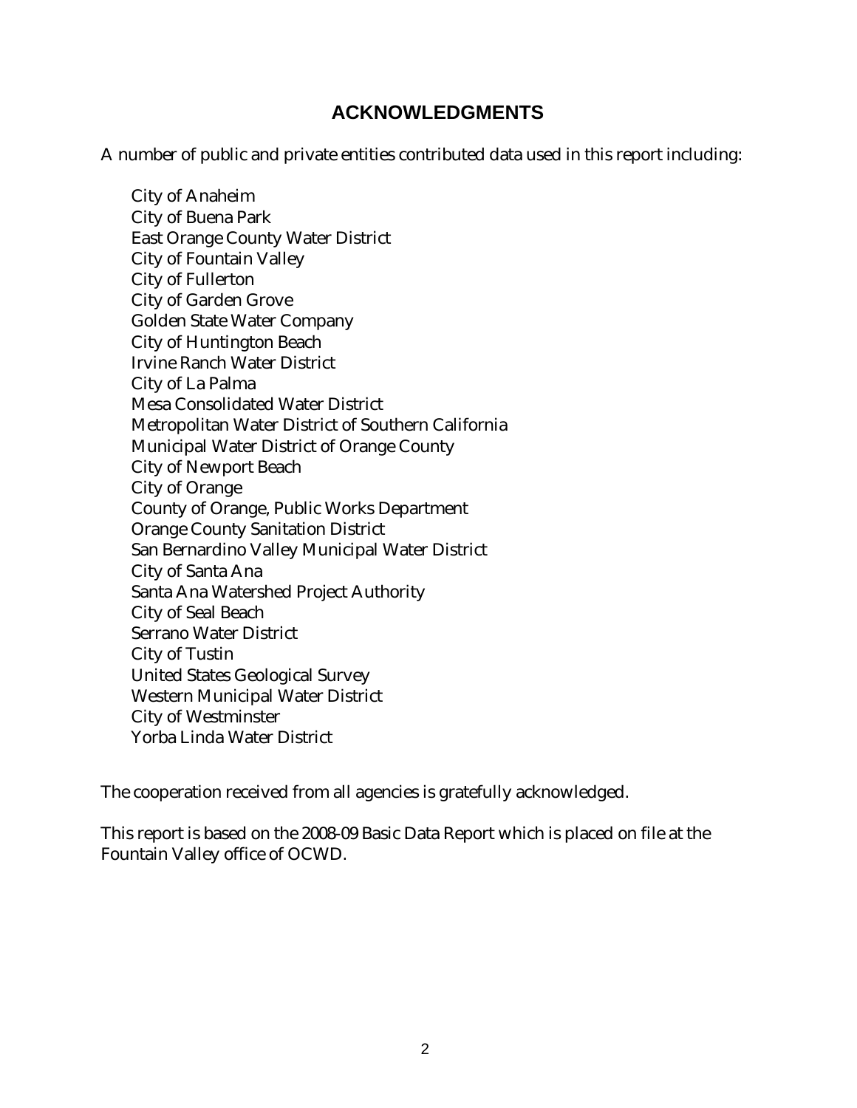#### **ACKNOWLEDGMENTS**

A number of public and private entities contributed data used in this report including:

City of Anaheim City of Buena Park East Orange County Water District City of Fountain Valley City of Fullerton City of Garden Grove Golden State Water Company City of Huntington Beach Irvine Ranch Water District City of La Palma Mesa Consolidated Water District Metropolitan Water District of Southern California Municipal Water District of Orange County City of Newport Beach City of Orange County of Orange, Public Works Department Orange County Sanitation District San Bernardino Valley Municipal Water District City of Santa Ana Santa Ana Watershed Project Authority City of Seal Beach Serrano Water District City of Tustin United States Geological Survey Western Municipal Water District City of Westminster Yorba Linda Water District

The cooperation received from all agencies is gratefully acknowledged.

This report is based on the 2008-09 Basic Data Report which is placed on file at the Fountain Valley office of OCWD.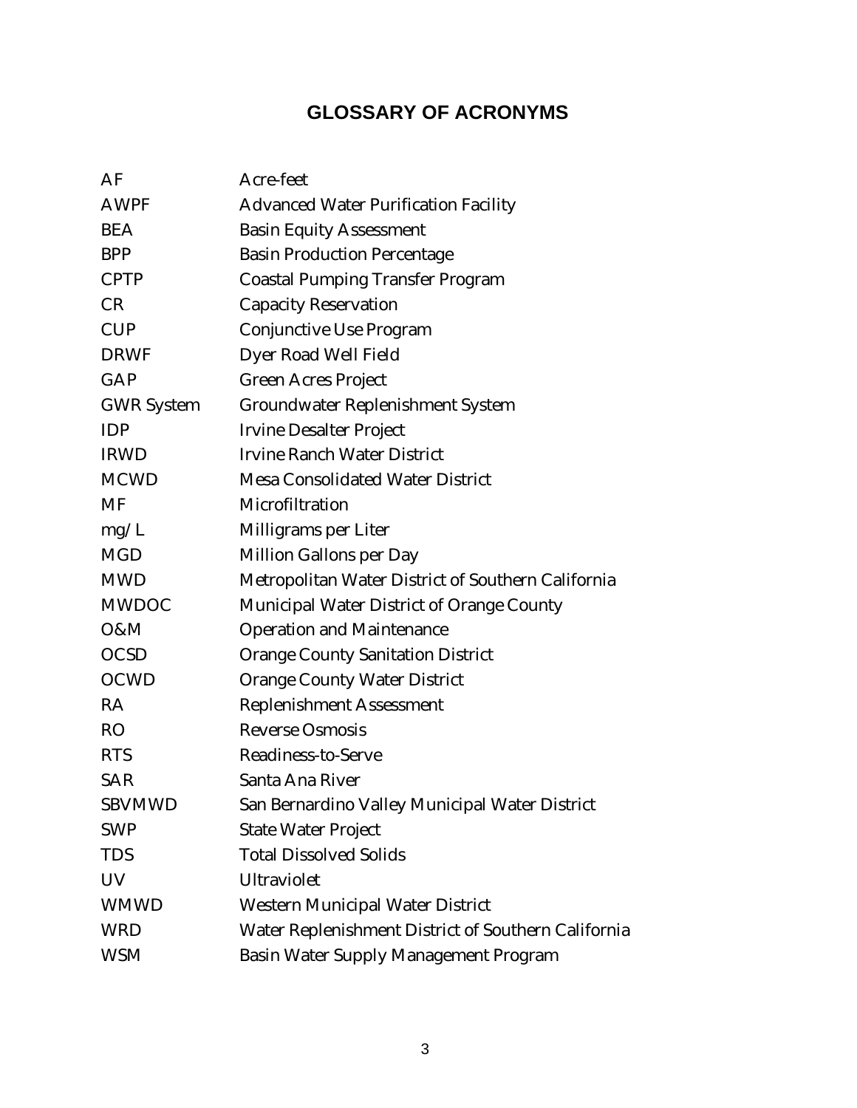# **GLOSSARY OF ACRONYMS**

| AF                | Acre-feet                                           |
|-------------------|-----------------------------------------------------|
| <b>AWPF</b>       | <b>Advanced Water Purification Facility</b>         |
| <b>BEA</b>        | <b>Basin Equity Assessment</b>                      |
| <b>BPP</b>        | <b>Basin Production Percentage</b>                  |
| <b>CPTP</b>       | <b>Coastal Pumping Transfer Program</b>             |
| CR                | <b>Capacity Reservation</b>                         |
| <b>CUP</b>        | Conjunctive Use Program                             |
| <b>DRWF</b>       | Dyer Road Well Field                                |
| GAP               | <b>Green Acres Project</b>                          |
| <b>GWR</b> System | <b>Groundwater Replenishment System</b>             |
| <b>IDP</b>        | <b>Irvine Desalter Project</b>                      |
| <b>IRWD</b>       | <b>Irvine Ranch Water District</b>                  |
| <b>MCWD</b>       | <b>Mesa Consolidated Water District</b>             |
| <b>MF</b>         | Microfiltration                                     |
| mg/L              | Milligrams per Liter                                |
| <b>MGD</b>        | <b>Million Gallons per Day</b>                      |
| <b>MWD</b>        | Metropolitan Water District of Southern California  |
| <b>MWDOC</b>      | Municipal Water District of Orange County           |
| O&M               | <b>Operation and Maintenance</b>                    |
| <b>OCSD</b>       | <b>Orange County Sanitation District</b>            |
| <b>OCWD</b>       | <b>Orange County Water District</b>                 |
| RA                | <b>Replenishment Assessment</b>                     |
| <b>RO</b>         | <b>Reverse Osmosis</b>                              |
| <b>RTS</b>        | Readiness-to-Serve                                  |
| <b>SAR</b>        | Santa Ana River                                     |
| <b>SBVMWD</b>     | San Bernardino Valley Municipal Water District      |
| <b>SWP</b>        | <b>State Water Project</b>                          |
| <b>TDS</b>        | <b>Total Dissolved Solids</b>                       |
| UV                | <b>Ultraviolet</b>                                  |
| <b>WMWD</b>       | <b>Western Municipal Water District</b>             |
| <b>WRD</b>        | Water Replenishment District of Southern California |
| <b>WSM</b>        | <b>Basin Water Supply Management Program</b>        |
|                   |                                                     |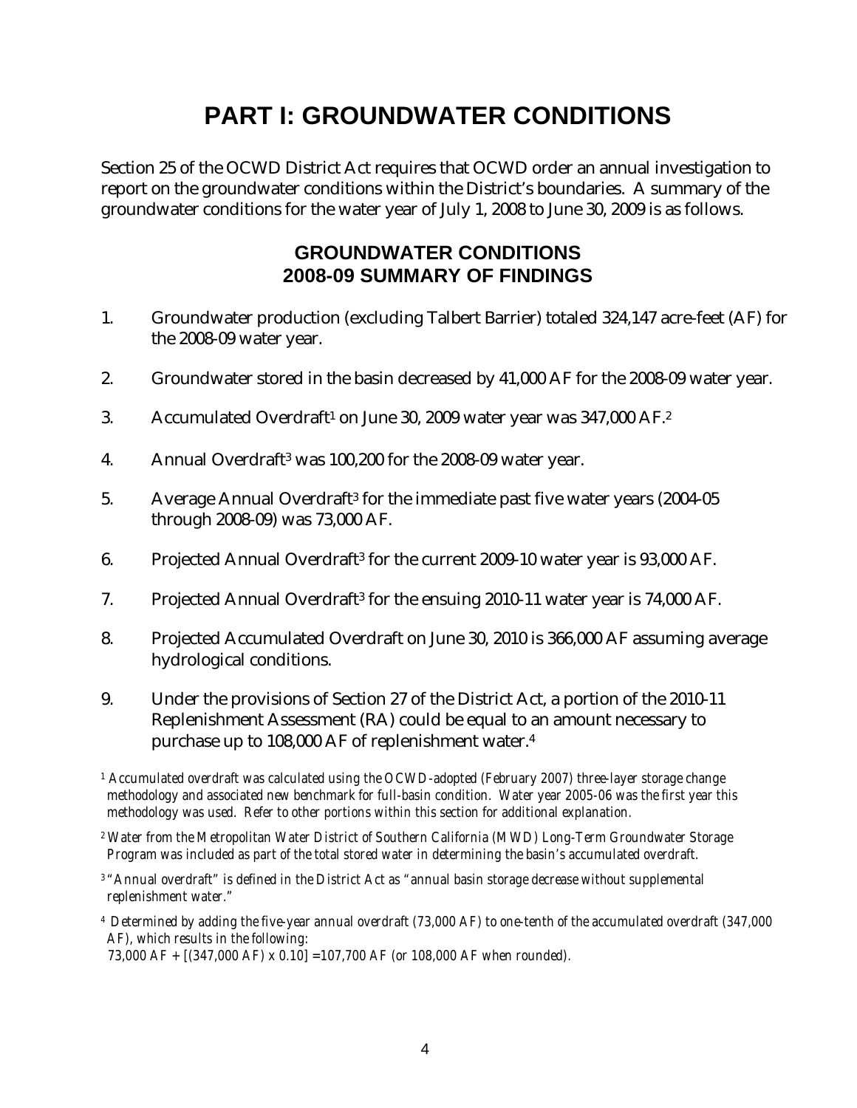# **PART I: GROUNDWATER CONDITIONS**

Section 25 of the OCWD District Act requires that OCWD order an annual investigation to report on the groundwater conditions within the District's boundaries. A summary of the groundwater conditions for the water year of July 1, 2008 to June 30, 2009 is as follows.

#### **GROUNDWATER CONDITIONS 2008-09 SUMMARY OF FINDINGS**

- 1. Groundwater production (excluding Talbert Barrier) totaled 324,147 acre-feet (AF) for the 2008-09 water year.
- 2. Groundwater stored in the basin decreased by 41,000 AF for the 2008-09 water year.
- 3. Accumulated Overdraft<sup>1</sup> on June 30, 2009 water year was 347,000 AF.<sup>2</sup>
- 4. Annual Overdraft3 was 100,200 for the 2008-09 water year.
- 5. Average Annual Overdraft3 for the immediate past five water years (2004-05 through 2008-09) was 73,000 AF.
- 6. Projected Annual Overdraft3 for the current 2009-10 water year is 93,000 AF.
- 7. Projected Annual Overdraft3 for the ensuing 2010-11 water year is 74,000 AF.
- 8. Projected Accumulated Overdraft on June 30, 2010 is 366,000 AF assuming average hydrological conditions.
- 9. Under the provisions of Section 27 of the District Act, a portion of the 2010-11 Replenishment Assessment (RA) could be equal to an amount necessary to purchase up to 108,000 AF of replenishment water.4
- *1 Accumulated overdraft was calculated using the OCWD-adopted (February 2007) three-layer storage change methodology and associated new benchmark for full-basin condition. Water year 2005-06 was the first year this methodology was used. Refer to other portions within this section for additional explanation.*
- *2 Water from the Metropolitan Water District of Southern California (MWD) Long-Term Groundwater Storage Program was included as part of the total stored water in determining the basin's accumulated overdraft.*
- *3 "Annual overdraft" is defined in the District Act as "annual basin storage decrease without supplemental replenishment water."*
- *4 Determined by adding the five-year annual overdraft (73,000 AF) to one-tenth of the accumulated overdraft (347,000 AF), which results in the following:*

 *73,000 AF + [(347,000 AF) x 0.10] =107,700 AF (or 108,000 AF when rounded).*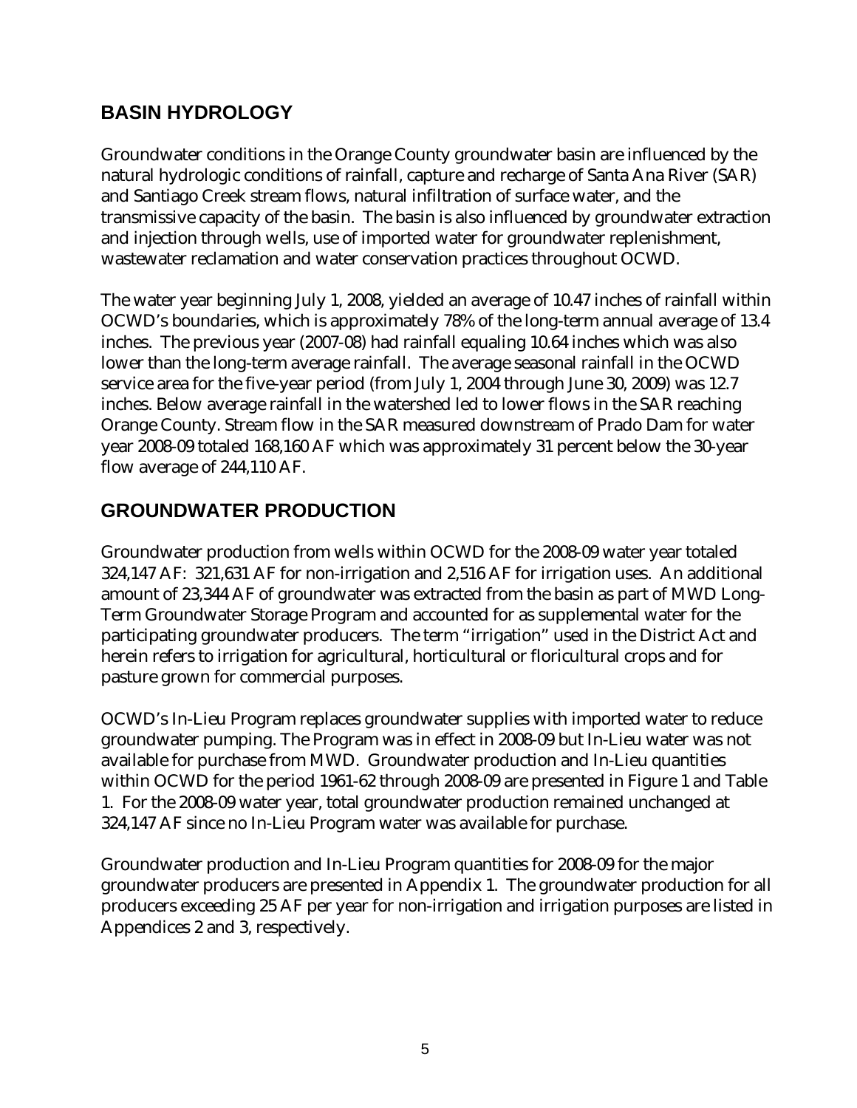## **BASIN HYDROLOGY**

Groundwater conditions in the Orange County groundwater basin are influenced by the natural hydrologic conditions of rainfall, capture and recharge of Santa Ana River (SAR) and Santiago Creek stream flows, natural infiltration of surface water, and the transmissive capacity of the basin. The basin is also influenced by groundwater extraction and injection through wells, use of imported water for groundwater replenishment, wastewater reclamation and water conservation practices throughout OCWD.

The water year beginning July 1, 2008, yielded an average of 10.47 inches of rainfall within OCWD's boundaries, which is approximately 78% of the long-term annual average of 13.4 inches. The previous year (2007-08) had rainfall equaling 10.64 inches which was also lower than the long-term average rainfall. The average seasonal rainfall in the OCWD service area for the five-year period (from July 1, 2004 through June 30, 2009) was 12.7 inches. Below average rainfall in the watershed led to lower flows in the SAR reaching Orange County. Stream flow in the SAR measured downstream of Prado Dam for water year 2008-09 totaled 168,160 AF which was approximately 31 percent below the 30-year flow average of 244,110 AF.

# **GROUNDWATER PRODUCTION**

Groundwater production from wells within OCWD for the 2008-09 water year totaled 324,147 AF: 321,631 AF for non-irrigation and 2,516 AF for irrigation uses. An additional amount of 23,344 AF of groundwater was extracted from the basin as part of MWD Long-Term Groundwater Storage Program and accounted for as supplemental water for the participating groundwater producers. The term "irrigation" used in the District Act and herein refers to irrigation for agricultural, horticultural or floricultural crops and for pasture grown for commercial purposes.

OCWD's In-Lieu Program replaces groundwater supplies with imported water to reduce groundwater pumping. The Program was in effect in 2008-09 but In-Lieu water was not available for purchase from MWD. Groundwater production and In-Lieu quantities within OCWD for the period 1961-62 through 2008-09 are presented in Figure 1 and Table 1. For the 2008-09 water year, total groundwater production remained unchanged at 324,147 AF since no In-Lieu Program water was available for purchase.

Groundwater production and In-Lieu Program quantities for 2008-09 for the major groundwater producers are presented in Appendix 1. The groundwater production for all producers exceeding 25 AF per year for non-irrigation and irrigation purposes are listed in Appendices 2 and 3, respectively.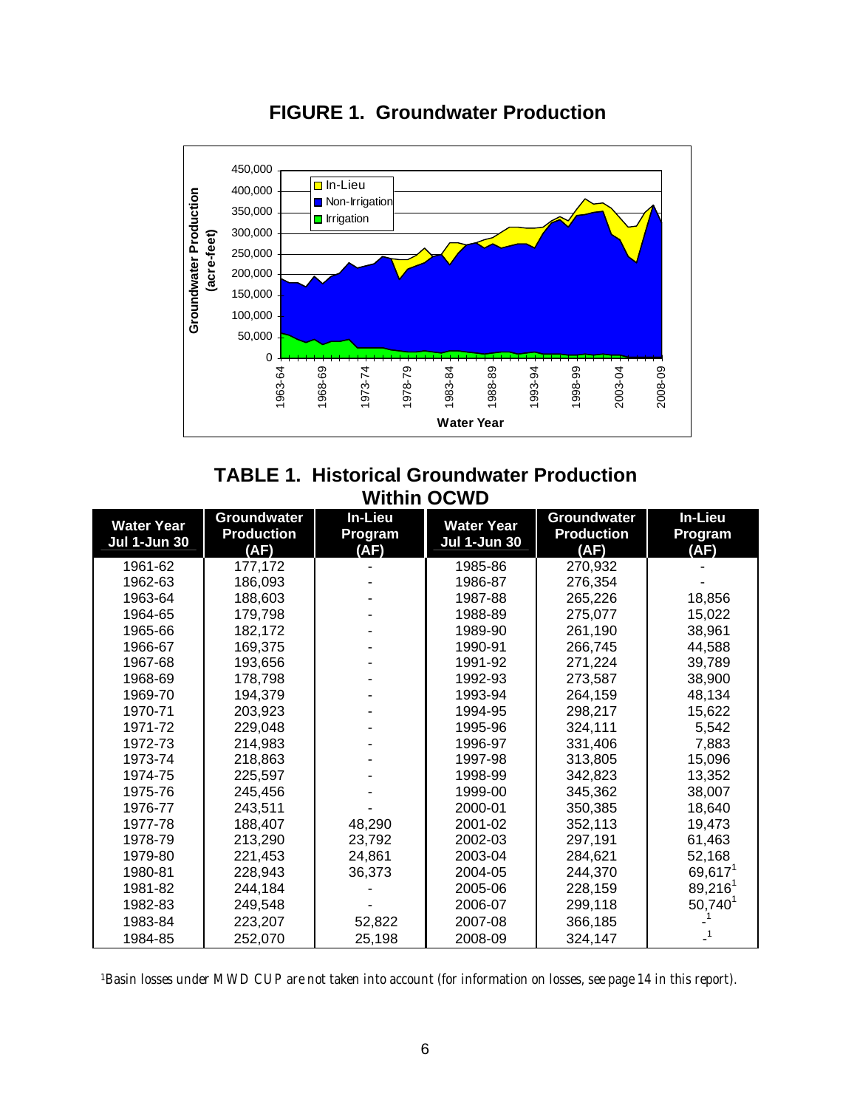

**FIGURE 1. Groundwater Production** 

#### **TABLE 1. Historical Groundwater Production Within OCWD**

| <b>Water Year</b><br><b>Jul 1-Jun 30</b> | <b>Groundwater</b><br><b>Production</b><br>(AF) | In-Lieu<br>Program<br>(AF) | <b>Water Year</b><br><b>Jul 1-Jun 30</b> | <b>Groundwater</b><br><b>Production</b><br>(AF) | In-Lieu<br>Program<br>(AF) |
|------------------------------------------|-------------------------------------------------|----------------------------|------------------------------------------|-------------------------------------------------|----------------------------|
| 1961-62                                  | 177,172                                         |                            | 1985-86                                  | 270,932                                         |                            |
| 1962-63                                  | 186,093                                         |                            | 1986-87                                  | 276,354                                         |                            |
| 1963-64                                  | 188,603                                         |                            | 1987-88                                  | 265,226                                         | 18,856                     |
| 1964-65                                  | 179,798                                         |                            | 1988-89                                  | 275,077                                         | 15,022                     |
| 1965-66                                  | 182,172                                         |                            | 1989-90                                  | 261,190                                         | 38,961                     |
| 1966-67                                  | 169,375                                         |                            | 1990-91                                  | 266,745                                         | 44,588                     |
| 1967-68                                  | 193,656                                         |                            | 1991-92                                  | 271,224                                         | 39,789                     |
| 1968-69                                  | 178,798                                         |                            | 1992-93                                  | 273,587                                         | 38,900                     |
| 1969-70                                  | 194,379                                         |                            | 1993-94                                  | 264,159                                         | 48,134                     |
| 1970-71                                  | 203,923                                         |                            | 1994-95                                  | 298,217                                         | 15,622                     |
| 1971-72                                  | 229,048                                         |                            | 1995-96                                  | 324,111                                         | 5,542                      |
| 1972-73                                  | 214,983                                         |                            | 1996-97                                  | 331,406                                         | 7,883                      |
| 1973-74                                  | 218,863                                         |                            | 1997-98                                  | 313,805                                         | 15,096                     |
| 1974-75                                  | 225,597                                         |                            | 1998-99                                  | 342,823                                         | 13,352                     |
| 1975-76                                  | 245,456                                         |                            | 1999-00                                  | 345,362                                         | 38,007                     |
| 1976-77                                  | 243,511                                         |                            | 2000-01                                  | 350,385                                         | 18,640                     |
| 1977-78                                  | 188,407                                         | 48,290                     | 2001-02                                  | 352,113                                         | 19,473                     |
| 1978-79                                  | 213,290                                         | 23,792                     | 2002-03                                  | 297,191                                         | 61,463                     |
| 1979-80                                  | 221,453                                         | 24,861                     | 2003-04                                  | 284,621                                         | 52,168                     |
| 1980-81                                  | 228,943                                         | 36,373                     | 2004-05                                  | 244,370                                         | $69,617^1$                 |
| 1981-82                                  | 244,184                                         |                            | 2005-06                                  | 228,159                                         | $89,216^1$                 |
| 1982-83                                  | 249,548                                         |                            | 2006-07                                  | 299,118                                         | $50,740^1$                 |
| 1983-84                                  | 223,207                                         | 52,822                     | 2007-08                                  | 366,185                                         |                            |
| 1984-85                                  | 252,070                                         | 25,198                     | 2008-09                                  | 324,147                                         |                            |

*1Basin losses under MWD CUP are not taken into account (for information on losses, see page 14 in this report).*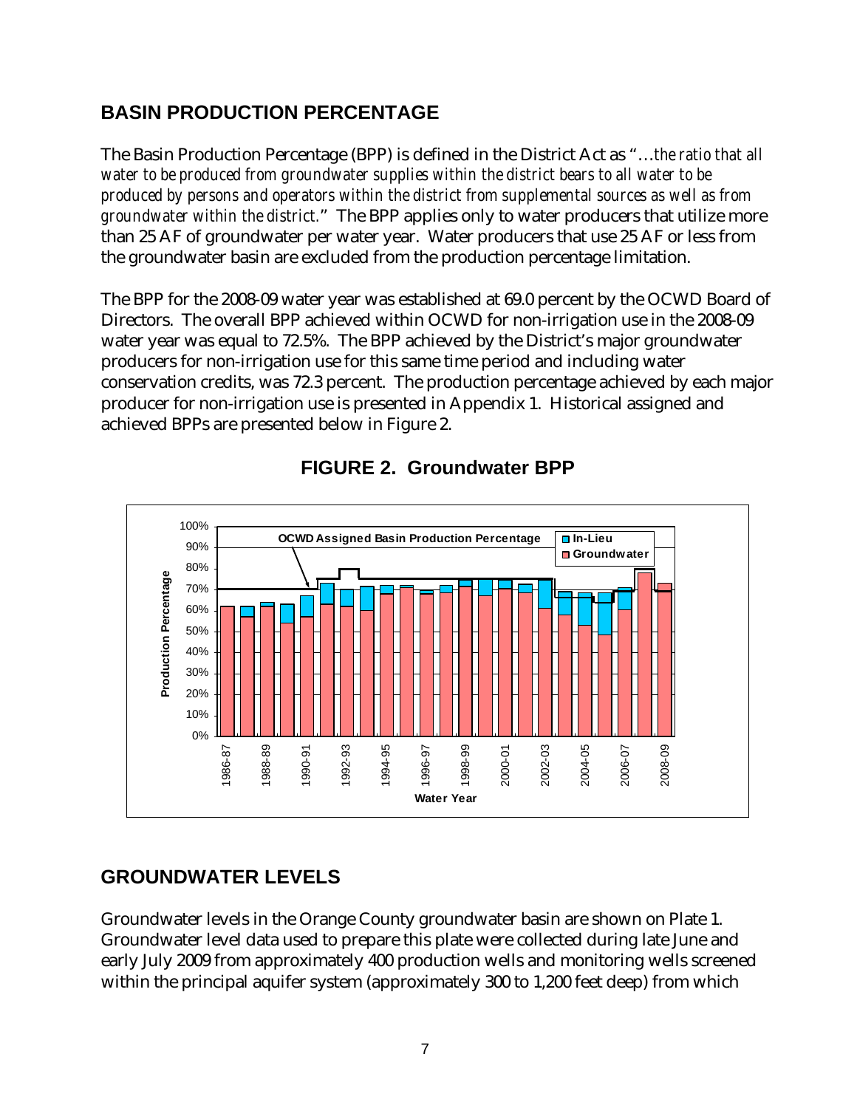# **BASIN PRODUCTION PERCENTAGE**

The Basin Production Percentage (BPP) is defined in the District Act as "…*the ratio that all water to be produced from groundwater supplies within the district bears to all water to be produced by persons and operators within the district from supplemental sources as well as from groundwater within the district.*" The BPP applies only to water producers that utilize more than 25 AF of groundwater per water year. Water producers that use 25 AF or less from the groundwater basin are excluded from the production percentage limitation.

The BPP for the 2008-09 water year was established at 69.0 percent by the OCWD Board of Directors. The overall BPP achieved within OCWD for non-irrigation use in the 2008-09 water year was equal to 72.5%. The BPP achieved by the District's major groundwater producers for non-irrigation use for this same time period and including water conservation credits, was 72.3 percent. The production percentage achieved by each major producer for non-irrigation use is presented in Appendix 1. Historical assigned and achieved BPPs are presented below in Figure 2.



**FIGURE 2. Groundwater BPP** 

#### **GROUNDWATER LEVELS**

Groundwater levels in the Orange County groundwater basin are shown on Plate 1. Groundwater level data used to prepare this plate were collected during late June and early July 2009 from approximately 400 production wells and monitoring wells screened within the principal aquifer system (approximately 300 to 1,200 feet deep) from which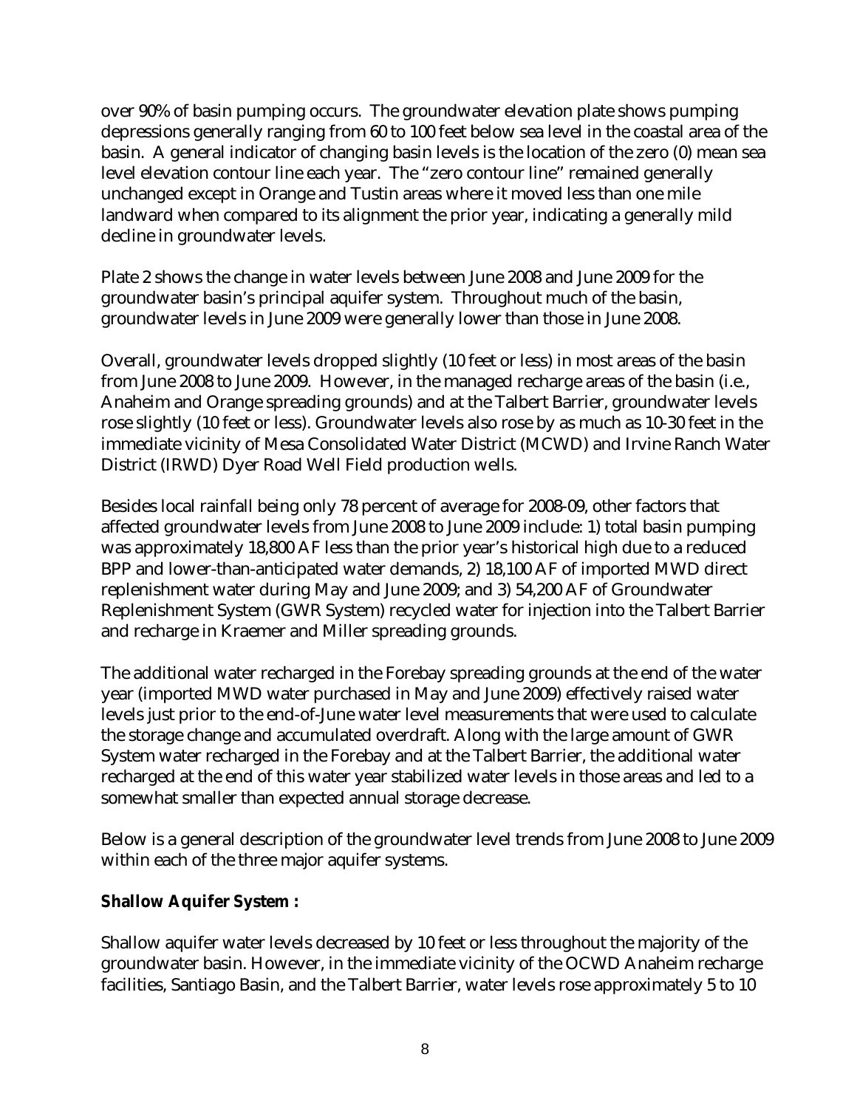over 90% of basin pumping occurs. The groundwater elevation plate shows pumping depressions generally ranging from 60 to 100 feet below sea level in the coastal area of the basin. A general indicator of changing basin levels is the location of the zero (0) mean sea level elevation contour line each year. The "zero contour line" remained generally unchanged except in Orange and Tustin areas where it moved less than one mile landward when compared to its alignment the prior year, indicating a generally mild decline in groundwater levels.

Plate 2 shows the change in water levels between June 2008 and June 2009 for the groundwater basin's principal aquifer system. Throughout much of the basin, groundwater levels in June 2009 were generally lower than those in June 2008.

Overall, groundwater levels dropped slightly (10 feet or less) in most areas of the basin from June 2008 to June 2009. However, in the managed recharge areas of the basin (i.e., Anaheim and Orange spreading grounds) and at the Talbert Barrier, groundwater levels rose slightly (10 feet or less). Groundwater levels also rose by as much as 10-30 feet in the immediate vicinity of Mesa Consolidated Water District (MCWD) and Irvine Ranch Water District (IRWD) Dyer Road Well Field production wells.

Besides local rainfall being only 78 percent of average for 2008-09, other factors that affected groundwater levels from June 2008 to June 2009 include: 1) total basin pumping was approximately 18,800 AF less than the prior year's historical high due to a reduced BPP and lower-than-anticipated water demands, 2) 18,100 AF of imported MWD direct replenishment water during May and June 2009; and 3) 54,200 AF of Groundwater Replenishment System (GWR System) recycled water for injection into the Talbert Barrier and recharge in Kraemer and Miller spreading grounds.

The additional water recharged in the Forebay spreading grounds at the end of the water year (imported MWD water purchased in May and June 2009) effectively raised water levels just prior to the end-of-June water level measurements that were used to calculate the storage change and accumulated overdraft. Along with the large amount of GWR System water recharged in the Forebay and at the Talbert Barrier, the additional water recharged at the end of this water year stabilized water levels in those areas and led to a somewhat smaller than expected annual storage decrease.

Below is a general description of the groundwater level trends from June 2008 to June 2009 within each of the three major aquifer systems.

#### **Shallow Aquifer System :**

Shallow aquifer water levels decreased by 10 feet or less throughout the majority of the groundwater basin. However, in the immediate vicinity of the OCWD Anaheim recharge facilities, Santiago Basin, and the Talbert Barrier, water levels rose approximately 5 to 10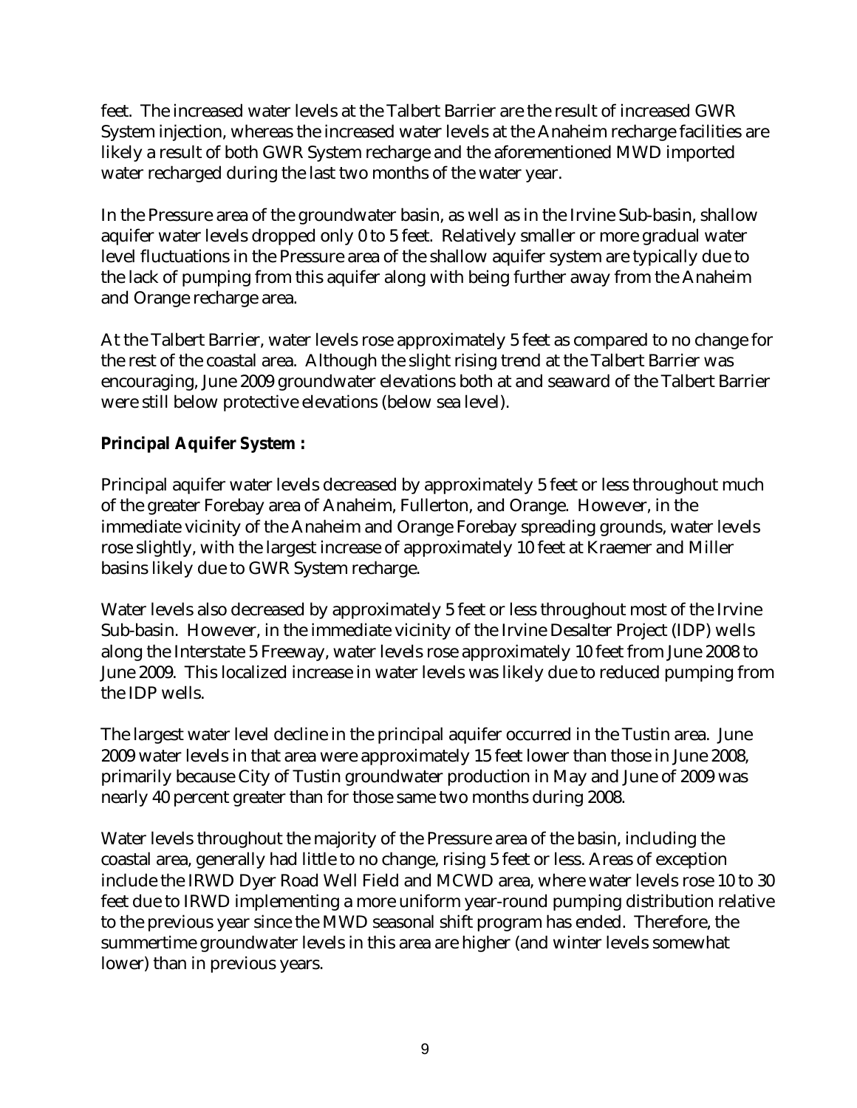feet. The increased water levels at the Talbert Barrier are the result of increased GWR System injection, whereas the increased water levels at the Anaheim recharge facilities are likely a result of both GWR System recharge and the aforementioned MWD imported water recharged during the last two months of the water year.

In the Pressure area of the groundwater basin, as well as in the Irvine Sub-basin, shallow aquifer water levels dropped only 0 to 5 feet. Relatively smaller or more gradual water level fluctuations in the Pressure area of the shallow aquifer system are typically due to the lack of pumping from this aquifer along with being further away from the Anaheim and Orange recharge area.

At the Talbert Barrier, water levels rose approximately 5 feet as compared to no change for the rest of the coastal area. Although the slight rising trend at the Talbert Barrier was encouraging, June 2009 groundwater elevations both at and seaward of the Talbert Barrier were still below protective elevations (below sea level).

#### **Principal Aquifer System :**

Principal aquifer water levels decreased by approximately 5 feet or less throughout much of the greater Forebay area of Anaheim, Fullerton, and Orange. However, in the immediate vicinity of the Anaheim and Orange Forebay spreading grounds, water levels rose slightly, with the largest increase of approximately 10 feet at Kraemer and Miller basins likely due to GWR System recharge.

Water levels also decreased by approximately 5 feet or less throughout most of the Irvine Sub-basin. However, in the immediate vicinity of the Irvine Desalter Project (IDP) wells along the Interstate 5 Freeway, water levels rose approximately 10 feet from June 2008 to June 2009. This localized increase in water levels was likely due to reduced pumping from the IDP wells.

The largest water level decline in the principal aquifer occurred in the Tustin area. June 2009 water levels in that area were approximately 15 feet lower than those in June 2008, primarily because City of Tustin groundwater production in May and June of 2009 was nearly 40 percent greater than for those same two months during 2008.

Water levels throughout the majority of the Pressure area of the basin, including the coastal area, generally had little to no change, rising 5 feet or less. Areas of exception include the IRWD Dyer Road Well Field and MCWD area, where water levels rose 10 to 30 feet due to IRWD implementing a more uniform year-round pumping distribution relative to the previous year since the MWD seasonal shift program has ended. Therefore, the summertime groundwater levels in this area are higher (and winter levels somewhat lower) than in previous years.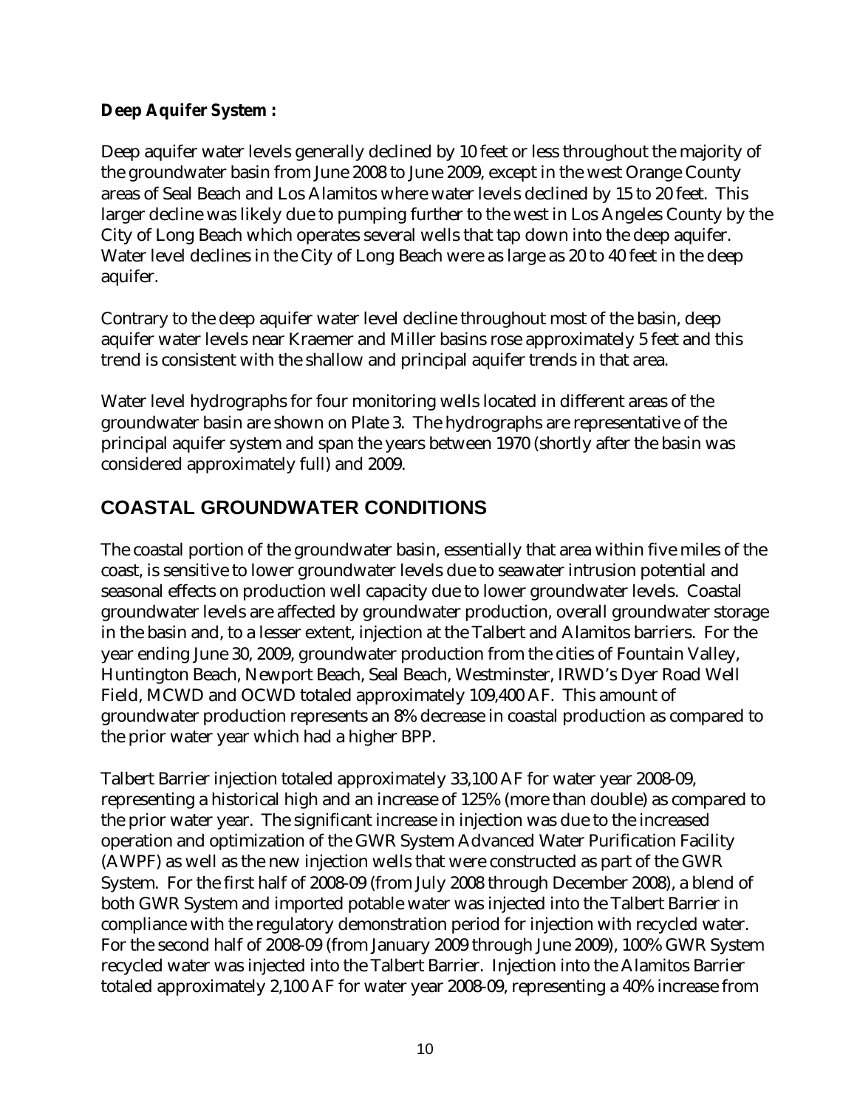#### **Deep Aquifer System :**

Deep aquifer water levels generally declined by 10 feet or less throughout the majority of the groundwater basin from June 2008 to June 2009, except in the west Orange County areas of Seal Beach and Los Alamitos where water levels declined by 15 to 20 feet. This larger decline was likely due to pumping further to the west in Los Angeles County by the City of Long Beach which operates several wells that tap down into the deep aquifer. Water level declines in the City of Long Beach were as large as 20 to 40 feet in the deep aquifer.

Contrary to the deep aquifer water level decline throughout most of the basin, deep aquifer water levels near Kraemer and Miller basins rose approximately 5 feet and this trend is consistent with the shallow and principal aquifer trends in that area.

Water level hydrographs for four monitoring wells located in different areas of the groundwater basin are shown on Plate 3. The hydrographs are representative of the principal aquifer system and span the years between 1970 (shortly after the basin was considered approximately full) and 2009.

# **COASTAL GROUNDWATER CONDITIONS**

The coastal portion of the groundwater basin, essentially that area within five miles of the coast, is sensitive to lower groundwater levels due to seawater intrusion potential and seasonal effects on production well capacity due to lower groundwater levels. Coastal groundwater levels are affected by groundwater production, overall groundwater storage in the basin and, to a lesser extent, injection at the Talbert and Alamitos barriers. For the year ending June 30, 2009, groundwater production from the cities of Fountain Valley, Huntington Beach, Newport Beach, Seal Beach, Westminster, IRWD's Dyer Road Well Field, MCWD and OCWD totaled approximately 109,400 AF. This amount of groundwater production represents an 8% decrease in coastal production as compared to the prior water year which had a higher BPP.

Talbert Barrier injection totaled approximately 33,100 AF for water year 2008-09, representing a historical high and an increase of 125% (more than double) as compared to the prior water year. The significant increase in injection was due to the increased operation and optimization of the GWR System Advanced Water Purification Facility (AWPF) as well as the new injection wells that were constructed as part of the GWR System. For the first half of 2008-09 (from July 2008 through December 2008), a blend of both GWR System and imported potable water was injected into the Talbert Barrier in compliance with the regulatory demonstration period for injection with recycled water. For the second half of 2008-09 (from January 2009 through June 2009), 100% GWR System recycled water was injected into the Talbert Barrier. Injection into the Alamitos Barrier totaled approximately 2,100 AF for water year 2008-09, representing a 40% increase from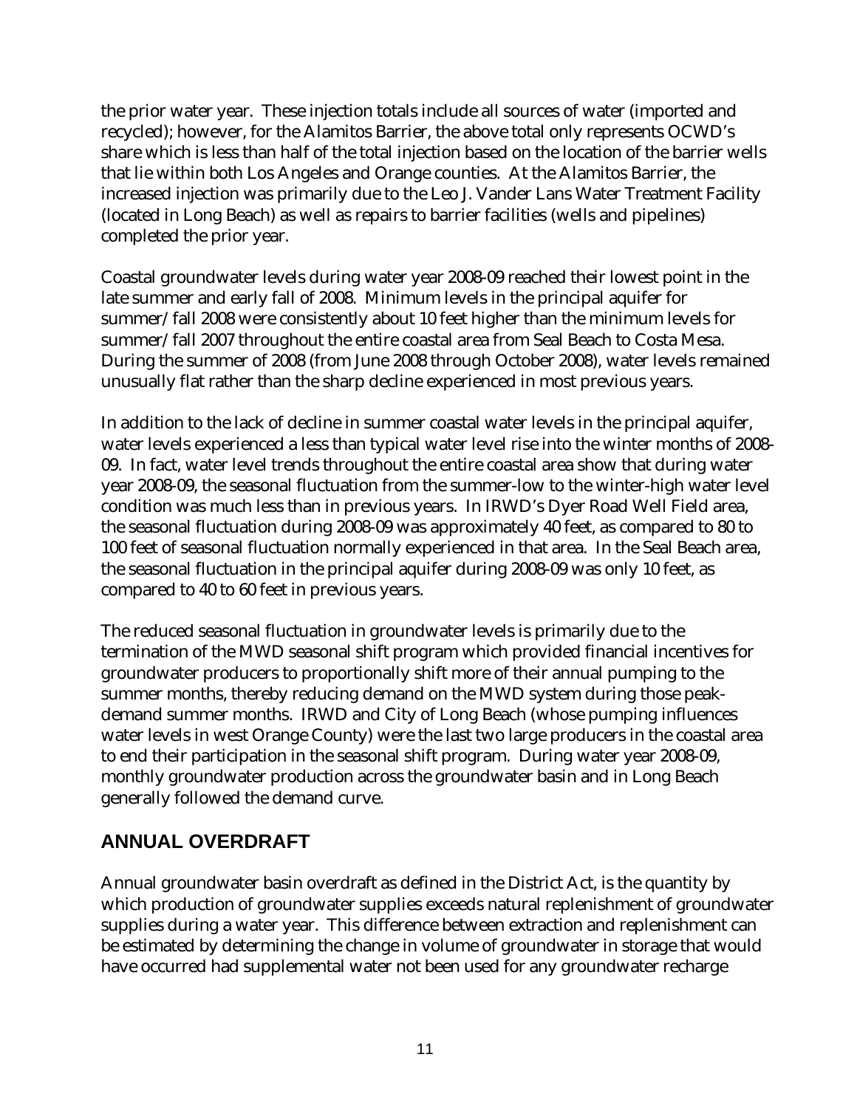the prior water year. These injection totals include all sources of water (imported and recycled); however, for the Alamitos Barrier, the above total only represents OCWD's share which is less than half of the total injection based on the location of the barrier wells that lie within both Los Angeles and Orange counties. At the Alamitos Barrier, the increased injection was primarily due to the Leo J. Vander Lans Water Treatment Facility (located in Long Beach) as well as repairs to barrier facilities (wells and pipelines) completed the prior year.

Coastal groundwater levels during water year 2008-09 reached their lowest point in the late summer and early fall of 2008. Minimum levels in the principal aquifer for summer/fall 2008 were consistently about 10 feet higher than the minimum levels for summer/fall 2007 throughout the entire coastal area from Seal Beach to Costa Mesa. During the summer of 2008 (from June 2008 through October 2008), water levels remained unusually flat rather than the sharp decline experienced in most previous years.

In addition to the lack of decline in summer coastal water levels in the principal aquifer, water levels experienced a less than typical water level rise into the winter months of 2008- 09. In fact, water level trends throughout the entire coastal area show that during water year 2008-09, the seasonal fluctuation from the summer-low to the winter-high water level condition was much less than in previous years. In IRWD's Dyer Road Well Field area, the seasonal fluctuation during 2008-09 was approximately 40 feet, as compared to 80 to 100 feet of seasonal fluctuation normally experienced in that area. In the Seal Beach area, the seasonal fluctuation in the principal aquifer during 2008-09 was only 10 feet, as compared to 40 to 60 feet in previous years.

The reduced seasonal fluctuation in groundwater levels is primarily due to the termination of the MWD seasonal shift program which provided financial incentives for groundwater producers to proportionally shift more of their annual pumping to the summer months, thereby reducing demand on the MWD system during those peakdemand summer months. IRWD and City of Long Beach (whose pumping influences water levels in west Orange County) were the last two large producers in the coastal area to end their participation in the seasonal shift program. During water year 2008-09, monthly groundwater production across the groundwater basin and in Long Beach generally followed the demand curve.

# **ANNUAL OVERDRAFT**

Annual groundwater basin overdraft as defined in the District Act, is the quantity by which production of groundwater supplies exceeds natural replenishment of groundwater supplies during a water year. This difference between extraction and replenishment can be estimated by determining the change in volume of groundwater in storage that would have occurred had supplemental water not been used for any groundwater recharge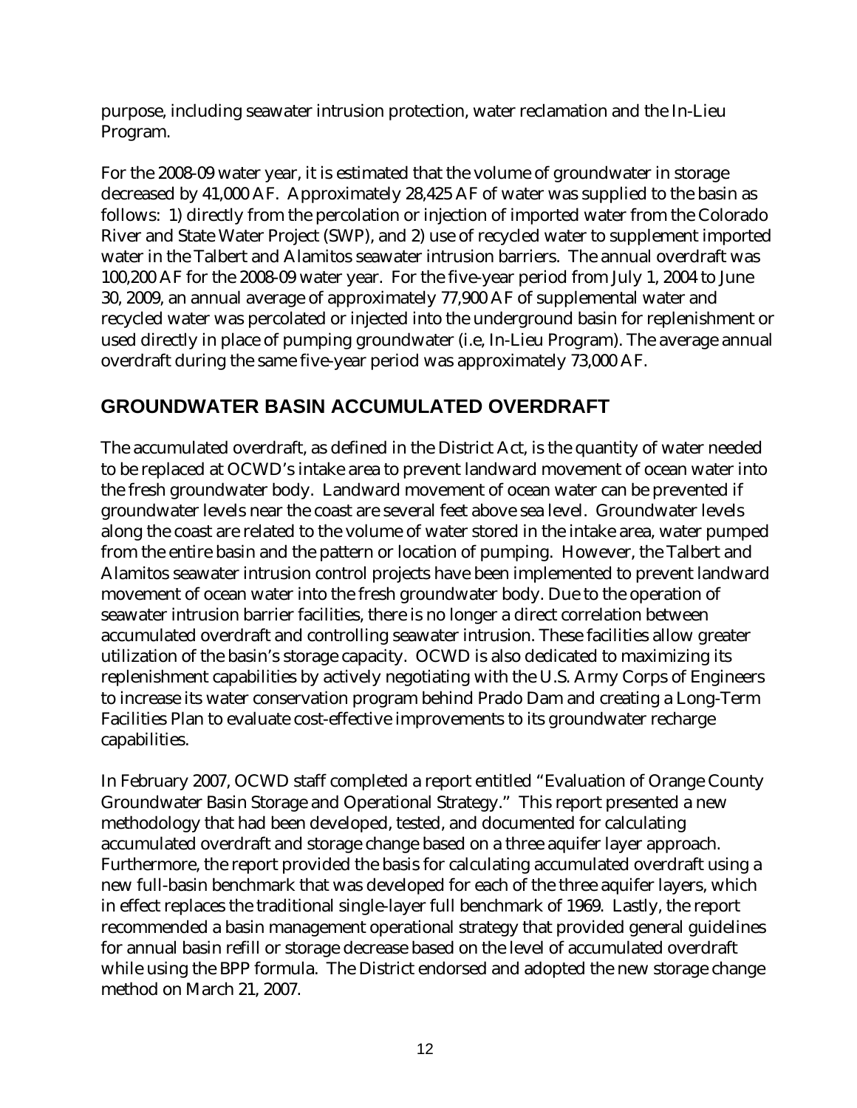purpose, including seawater intrusion protection, water reclamation and the In-Lieu Program.

For the 2008-09 water year, it is estimated that the volume of groundwater in storage decreased by 41,000 AF. Approximately 28,425 AF of water was supplied to the basin as follows: 1) directly from the percolation or injection of imported water from the Colorado River and State Water Project (SWP), and 2) use of recycled water to supplement imported water in the Talbert and Alamitos seawater intrusion barriers. The annual overdraft was 100,200 AF for the 2008-09 water year. For the five-year period from July 1, 2004 to June 30, 2009, an annual average of approximately 77,900 AF of supplemental water and recycled water was percolated or injected into the underground basin for replenishment or used directly in place of pumping groundwater (i.e, In-Lieu Program). The average annual overdraft during the same five-year period was approximately 73,000 AF.

# **GROUNDWATER BASIN ACCUMULATED OVERDRAFT**

The accumulated overdraft, as defined in the District Act, is the quantity of water needed to be replaced at OCWD's intake area to prevent landward movement of ocean water into the fresh groundwater body. Landward movement of ocean water can be prevented if groundwater levels near the coast are several feet above sea level. Groundwater levels along the coast are related to the volume of water stored in the intake area, water pumped from the entire basin and the pattern or location of pumping. However, the Talbert and Alamitos seawater intrusion control projects have been implemented to prevent landward movement of ocean water into the fresh groundwater body. Due to the operation of seawater intrusion barrier facilities, there is no longer a direct correlation between accumulated overdraft and controlling seawater intrusion. These facilities allow greater utilization of the basin's storage capacity. OCWD is also dedicated to maximizing its replenishment capabilities by actively negotiating with the U.S. Army Corps of Engineers to increase its water conservation program behind Prado Dam and creating a Long-Term Facilities Plan to evaluate cost-effective improvements to its groundwater recharge capabilities.

In February 2007, OCWD staff completed a report entitled "Evaluation of Orange County Groundwater Basin Storage and Operational Strategy." This report presented a new methodology that had been developed, tested, and documented for calculating accumulated overdraft and storage change based on a three aquifer layer approach. Furthermore, the report provided the basis for calculating accumulated overdraft using a new full-basin benchmark that was developed for each of the three aquifer layers, which in effect replaces the traditional single-layer full benchmark of 1969. Lastly, the report recommended a basin management operational strategy that provided general guidelines for annual basin refill or storage decrease based on the level of accumulated overdraft while using the BPP formula. The District endorsed and adopted the new storage change method on March 21, 2007.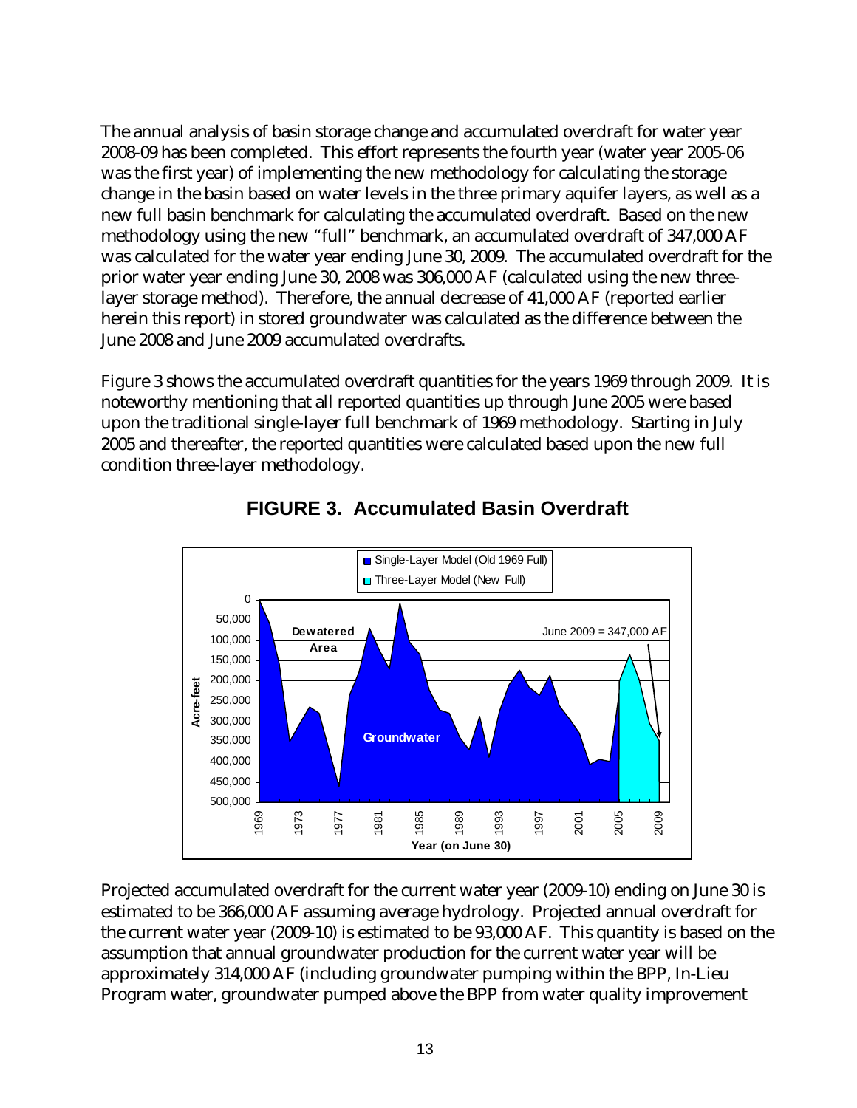The annual analysis of basin storage change and accumulated overdraft for water year 2008-09 has been completed. This effort represents the fourth year (water year 2005-06 was the first year) of implementing the new methodology for calculating the storage change in the basin based on water levels in the three primary aquifer layers, as well as a new full basin benchmark for calculating the accumulated overdraft. Based on the new methodology using the new "full" benchmark, an accumulated overdraft of 347,000 AF was calculated for the water year ending June 30, 2009. The accumulated overdraft for the prior water year ending June 30, 2008 was 306,000 AF (calculated using the new threelayer storage method). Therefore, the annual decrease of 41,000 AF (reported earlier herein this report) in stored groundwater was calculated as the difference between the June 2008 and June 2009 accumulated overdrafts.

Figure 3 shows the accumulated overdraft quantities for the years 1969 through 2009. It is noteworthy mentioning that all reported quantities up through June 2005 were based upon the traditional single-layer full benchmark of 1969 methodology. Starting in July 2005 and thereafter, the reported quantities were calculated based upon the new full condition three-layer methodology.



### **FIGURE 3. Accumulated Basin Overdraft**

Projected accumulated overdraft for the current water year (2009-10) ending on June 30 is estimated to be 366,000 AF assuming average hydrology. Projected annual overdraft for the current water year (2009-10) is estimated to be 93,000 AF. This quantity is based on the assumption that annual groundwater production for the current water year will be approximately 314,000 AF (including groundwater pumping within the BPP, In-Lieu Program water, groundwater pumped above the BPP from water quality improvement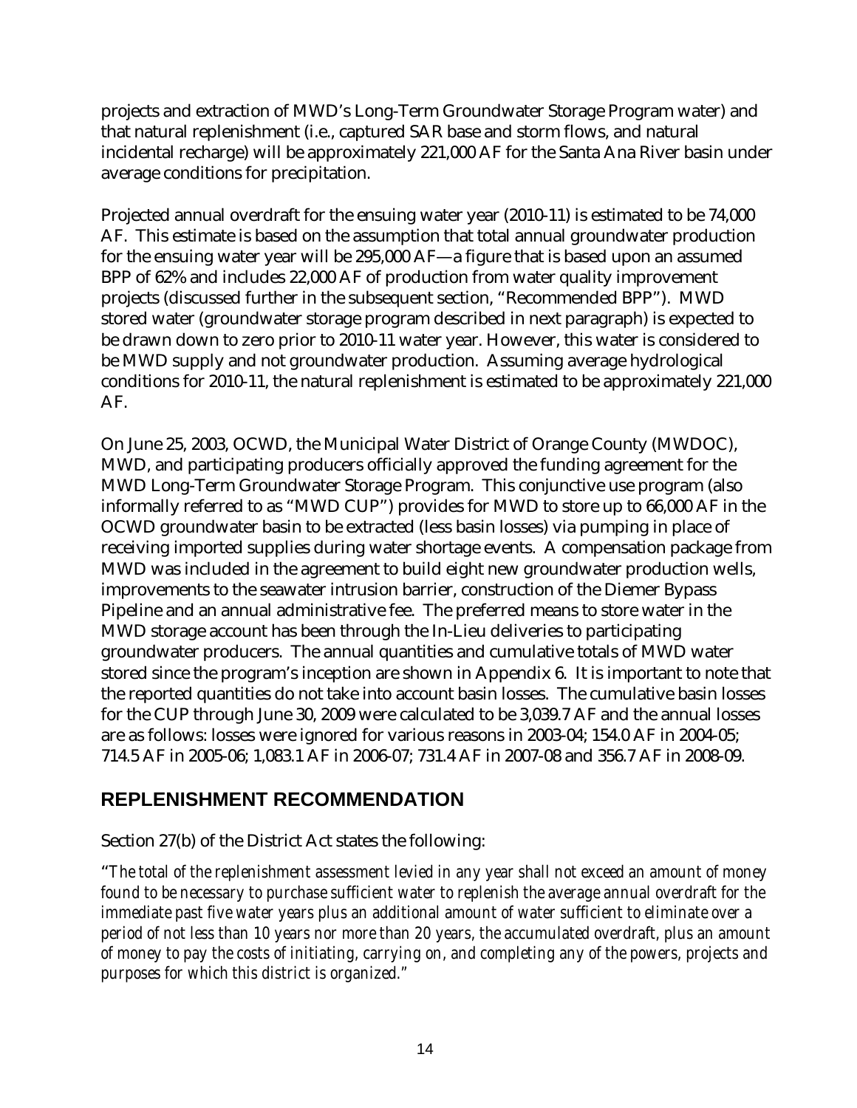projects and extraction of MWD's Long-Term Groundwater Storage Program water) and that natural replenishment (i.e., captured SAR base and storm flows, and natural incidental recharge) will be approximately 221,000 AF for the Santa Ana River basin under average conditions for precipitation.

Projected annual overdraft for the ensuing water year (2010-11) is estimated to be 74,000 AF. This estimate is based on the assumption that total annual groundwater production for the ensuing water year will be 295,000 AF—a figure that is based upon an assumed BPP of 62% and includes 22,000 AF of production from water quality improvement projects (discussed further in the subsequent section, "Recommended BPP"). MWD stored water (groundwater storage program described in next paragraph) is expected to be drawn down to zero prior to 2010-11 water year. However, this water is considered to be MWD supply and not groundwater production. Assuming average hydrological conditions for 2010-11, the natural replenishment is estimated to be approximately 221,000 AF.

On June 25, 2003, OCWD, the Municipal Water District of Orange County (MWDOC), MWD, and participating producers officially approved the funding agreement for the MWD Long-Term Groundwater Storage Program. This conjunctive use program (also informally referred to as "MWD CUP") provides for MWD to store up to 66,000 AF in the OCWD groundwater basin to be extracted (less basin losses) via pumping in place of receiving imported supplies during water shortage events. A compensation package from MWD was included in the agreement to build eight new groundwater production wells, improvements to the seawater intrusion barrier, construction of the Diemer Bypass Pipeline and an annual administrative fee. The preferred means to store water in the MWD storage account has been through the In-Lieu deliveries to participating groundwater producers. The annual quantities and cumulative totals of MWD water stored since the program's inception are shown in Appendix 6. It is important to note that the reported quantities do not take into account basin losses. The cumulative basin losses for the CUP through June 30, 2009 were calculated to be 3,039.7 AF and the annual losses are as follows: losses were ignored for various reasons in 2003-04; 154.0 AF in 2004-05; 714.5 AF in 2005-06; 1,083.1 AF in 2006-07; 731.4 AF in 2007-08 and 356.7 AF in 2008-09.

# **REPLENISHMENT RECOMMENDATION**

#### Section 27(b) of the District Act states the following:

"*The total of the replenishment assessment levied in any year shall not exceed an amount of money found to be necessary to purchase sufficient water to replenish the average annual overdraft for the immediate past five water years plus an additional amount of water sufficient to eliminate over a period of not less than 10 years nor more than 20 years, the accumulated overdraft, plus an amount of money to pay the costs of initiating, carrying on, and completing any of the powers, projects and purposes for which this district is organized."*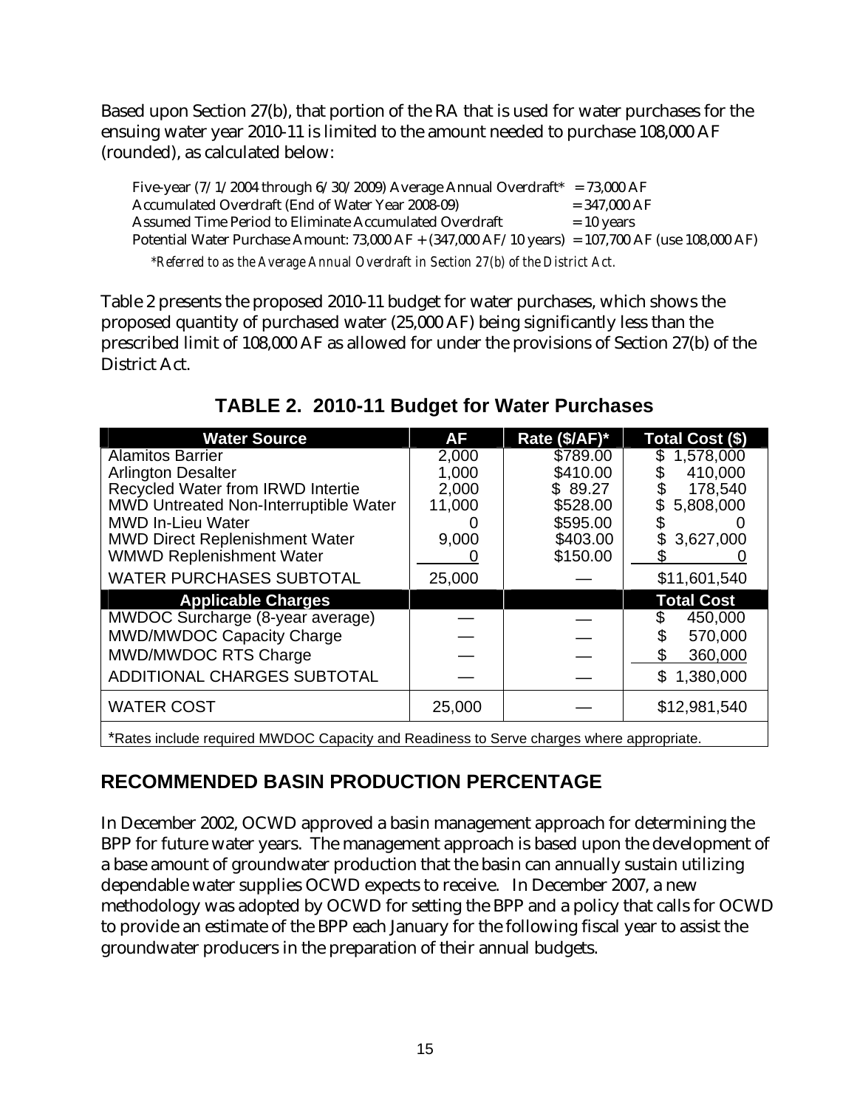Based upon Section 27(b), that portion of the RA that is used for water purchases for the ensuing water year 2010-11 is limited to the amount needed to purchase 108,000 AF (rounded), as calculated below:

Five-year  $(7/1/2004$  through  $6/30/2009$ ) Average Annual Overdraft\* = 73,000 AF Accumulated Overdraft (End of Water Year 2008-09)  $= 347,000 \text{ AF}$ Assumed Time Period to Eliminate Accumulated Overdraft  $= 10$  years Potential Water Purchase Amount: 73,000 AF + (347,000 AF/10 years) = 107,700 AF (use 108,000 AF) *\*Referred to as the Average Annual Overdraft in Section 27(b) of the District Act.* 

Table 2 presents the proposed 2010-11 budget for water purchases, which shows the proposed quantity of purchased water (25,000 AF) being significantly less than the prescribed limit of 108,000 AF as allowed for under the provisions of Section 27(b) of the District Act.

| <b>Water Source</b>                                                                     | AF     | Rate (\$/AF)* | Total Cost (\$)   |  |  |  |
|-----------------------------------------------------------------------------------------|--------|---------------|-------------------|--|--|--|
| <b>Alamitos Barrier</b>                                                                 | 2,000  | \$789.00      | 1,578,000         |  |  |  |
| <b>Arlington Desalter</b>                                                               | 1,000  | \$410.00      | 410,000           |  |  |  |
| <b>Recycled Water from IRWD Intertie</b>                                                | 2,000  | \$89.27       | 178,540           |  |  |  |
| MWD Untreated Non-Interruptible Water                                                   | 11,000 | \$528.00      | 5,808,000         |  |  |  |
| <b>MWD In-Lieu Water</b>                                                                |        | \$595.00      |                   |  |  |  |
| <b>MWD Direct Replenishment Water</b>                                                   | 9,000  | \$403.00      | 3,627,000         |  |  |  |
| <b>WMWD Replenishment Water</b>                                                         |        | \$150.00      |                   |  |  |  |
| <b>WATER PURCHASES SUBTOTAL</b>                                                         | 25,000 |               | \$11,601,540      |  |  |  |
| <b>Applicable Charges</b>                                                               |        |               | <b>Total Cost</b> |  |  |  |
| MWDOC Surcharge (8-year average)                                                        |        |               | 450,000           |  |  |  |
| MWD/MWDOC Capacity Charge                                                               |        |               | 570,000           |  |  |  |
| MWD/MWDOC RTS Charge                                                                    |        |               | 360,000           |  |  |  |
| <b>ADDITIONAL CHARGES SUBTOTAL</b>                                                      |        |               | \$<br>1,380,000   |  |  |  |
| <b>WATER COST</b>                                                                       | 25,000 |               | \$12,981,540      |  |  |  |
| *Rates include required MWDOC Capacity and Readiness to Serve charges where appropriate |        |               |                   |  |  |  |

# **TABLE 2. 2010-11 Budget for Water Purchases**

Include required MWDOC Capacity and Readiness to Serve charges where appropriate.

### **RECOMMENDED BASIN PRODUCTION PERCENTAGE**

In December 2002, OCWD approved a basin management approach for determining the BPP for future water years. The management approach is based upon the development of a base amount of groundwater production that the basin can annually sustain utilizing dependable water supplies OCWD expects to receive. In December 2007, a new methodology was adopted by OCWD for setting the BPP and a policy that calls for OCWD to provide an estimate of the BPP each January for the following fiscal year to assist the groundwater producers in the preparation of their annual budgets.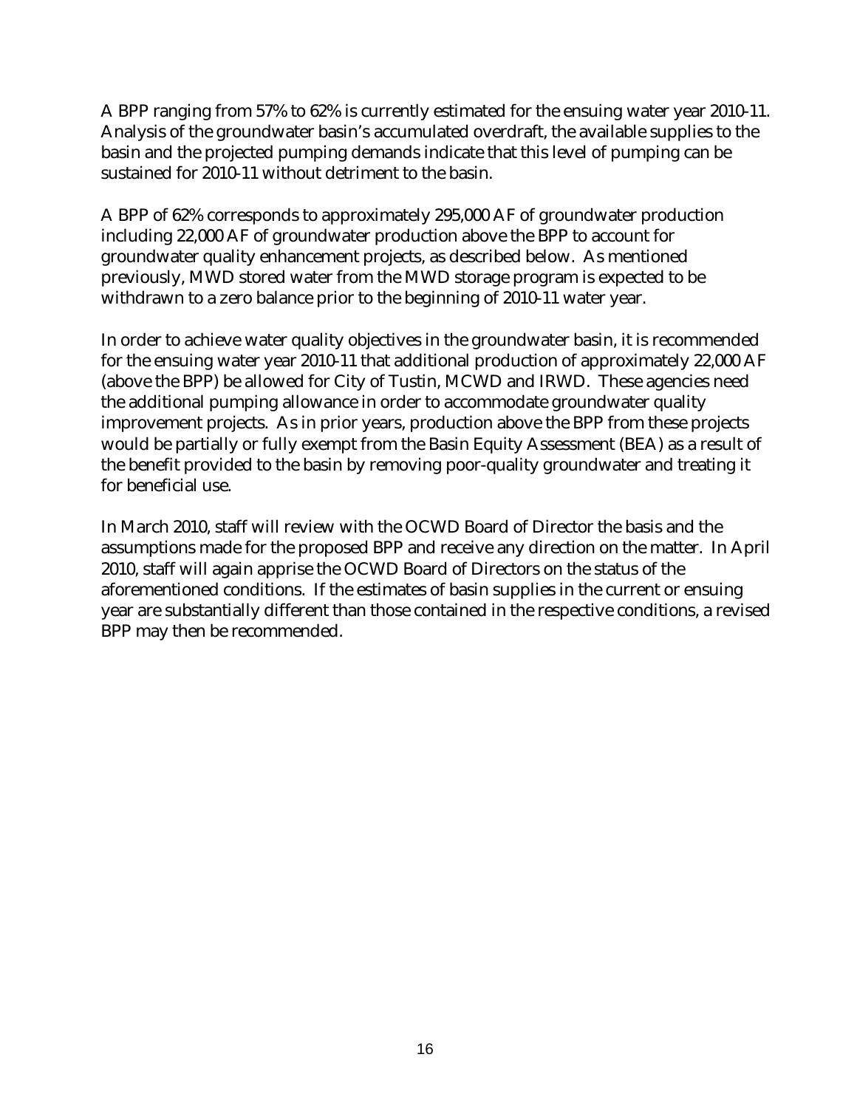A BPP ranging from 57% to 62% is currently estimated for the ensuing water year 2010-11. Analysis of the groundwater basin's accumulated overdraft, the available supplies to the basin and the projected pumping demands indicate that this level of pumping can be sustained for 2010-11 without detriment to the basin.

A BPP of 62% corresponds to approximately 295,000 AF of groundwater production including 22,000 AF of groundwater production above the BPP to account for groundwater quality enhancement projects, as described below. As mentioned previously, MWD stored water from the MWD storage program is expected to be withdrawn to a zero balance prior to the beginning of 2010-11 water year.

In order to achieve water quality objectives in the groundwater basin, it is recommended for the ensuing water year 2010-11 that additional production of approximately 22,000 AF (above the BPP) be allowed for City of Tustin, MCWD and IRWD. These agencies need the additional pumping allowance in order to accommodate groundwater quality improvement projects. As in prior years, production above the BPP from these projects would be partially or fully exempt from the Basin Equity Assessment (BEA) as a result of the benefit provided to the basin by removing poor-quality groundwater and treating it for beneficial use.

In March 2010, staff will review with the OCWD Board of Director the basis and the assumptions made for the proposed BPP and receive any direction on the matter. In April 2010, staff will again apprise the OCWD Board of Directors on the status of the aforementioned conditions. If the estimates of basin supplies in the current or ensuing year are substantially different than those contained in the respective conditions, a revised BPP may then be recommended.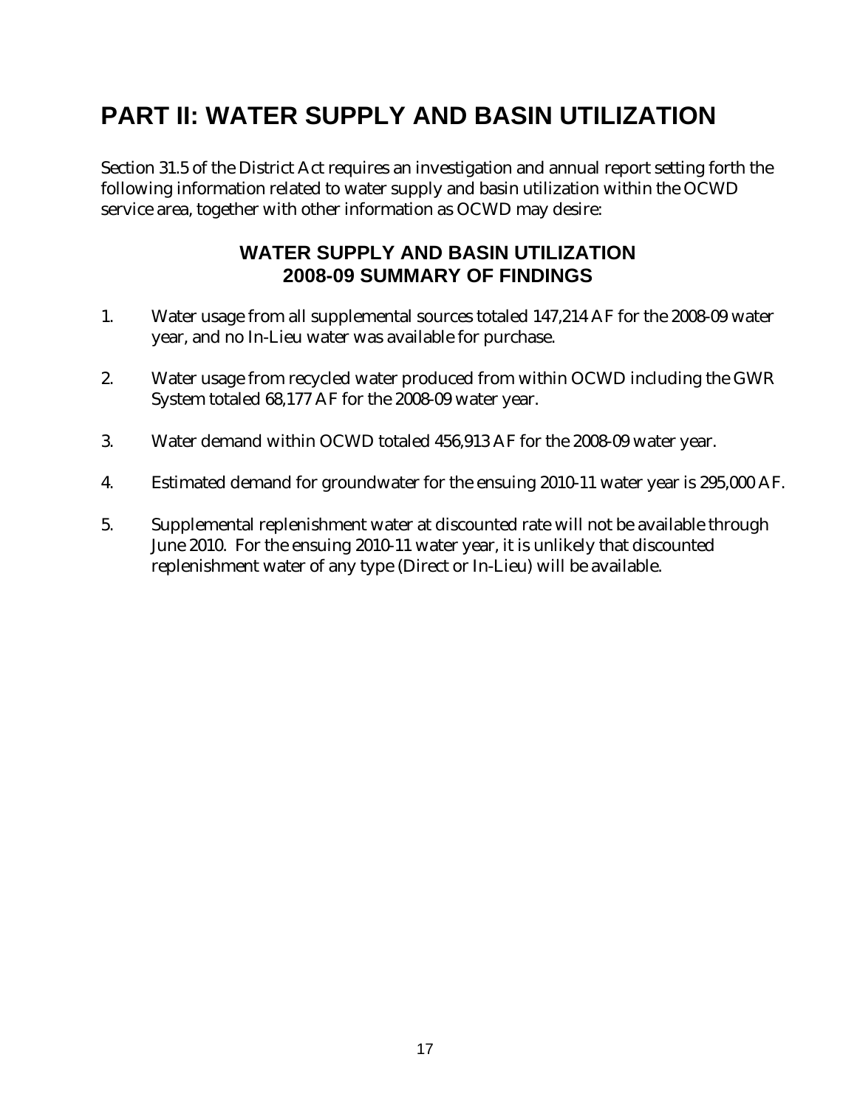# **PART II: WATER SUPPLY AND BASIN UTILIZATION**

Section 31.5 of the District Act requires an investigation and annual report setting forth the following information related to water supply and basin utilization within the OCWD service area, together with other information as OCWD may desire:

### **WATER SUPPLY AND BASIN UTILIZATION 2008-09 SUMMARY OF FINDINGS**

- 1. Water usage from all supplemental sources totaled 147,214 AF for the 2008-09 water year, and no In-Lieu water was available for purchase.
- 2. Water usage from recycled water produced from within OCWD including the GWR System totaled 68,177 AF for the 2008-09 water year.
- 3. Water demand within OCWD totaled 456,913 AF for the 2008-09 water year.
- 4. Estimated demand for groundwater for the ensuing 2010-11 water year is 295,000 AF.
- 5. Supplemental replenishment water at discounted rate will not be available through June 2010. For the ensuing 2010-11 water year, it is unlikely that discounted replenishment water of any type (Direct or In-Lieu) will be available.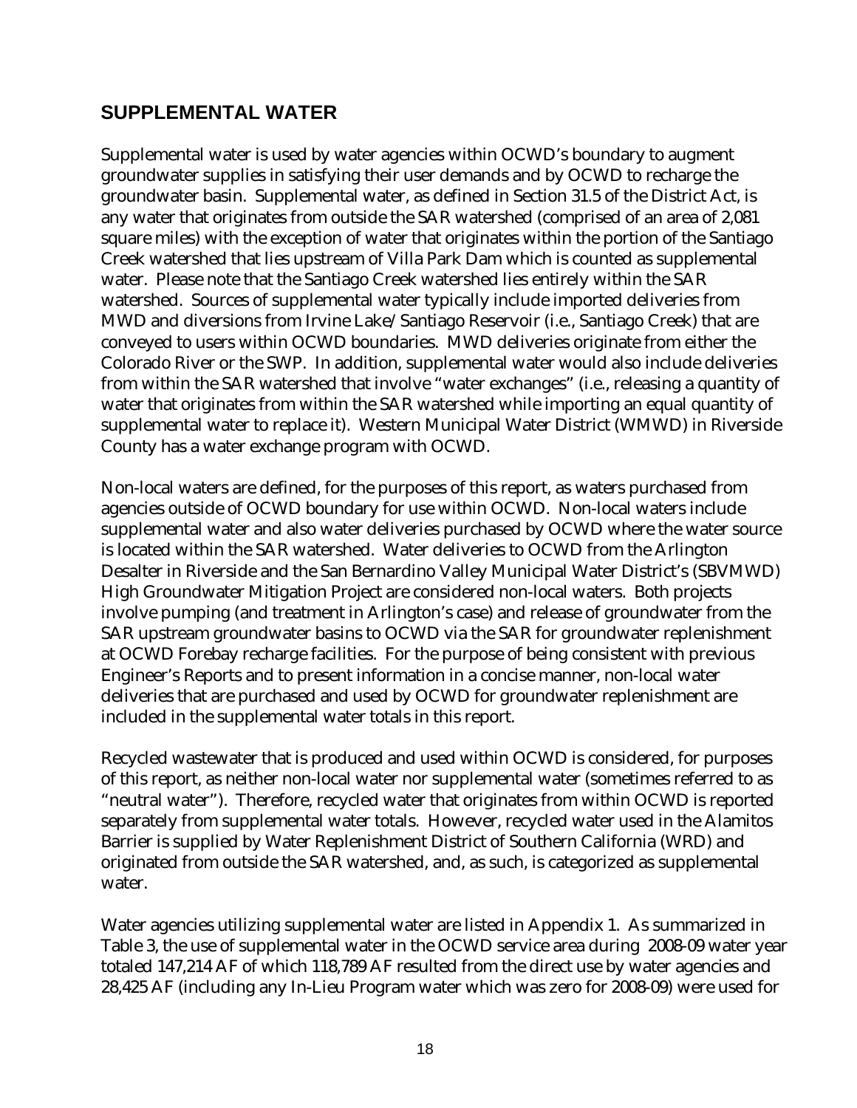### **SUPPLEMENTAL WATER**

Supplemental water is used by water agencies within OCWD's boundary to augment groundwater supplies in satisfying their user demands and by OCWD to recharge the groundwater basin. Supplemental water, as defined in Section 31.5 of the District Act, is any water that originates from outside the SAR watershed (comprised of an area of 2,081 square miles) with the exception of water that originates within the portion of the Santiago Creek watershed that lies upstream of Villa Park Dam which is counted as supplemental water. Please note that the Santiago Creek watershed lies entirely within the SAR watershed. Sources of supplemental water typically include imported deliveries from MWD and diversions from Irvine Lake/Santiago Reservoir (i.e., Santiago Creek) that are conveyed to users within OCWD boundaries. MWD deliveries originate from either the Colorado River or the SWP. In addition, supplemental water would also include deliveries from within the SAR watershed that involve "water exchanges" (i.e., releasing a quantity of water that originates from within the SAR watershed while importing an equal quantity of supplemental water to replace it). Western Municipal Water District (WMWD) in Riverside County has a water exchange program with OCWD.

Non-local waters are defined, for the purposes of this report, as waters purchased from agencies outside of OCWD boundary for use within OCWD. Non-local waters include supplemental water and also water deliveries purchased by OCWD where the water source is located within the SAR watershed. Water deliveries to OCWD from the Arlington Desalter in Riverside and the San Bernardino Valley Municipal Water District's (SBVMWD) High Groundwater Mitigation Project are considered non-local waters. Both projects involve pumping (and treatment in Arlington's case) and release of groundwater from the SAR upstream groundwater basins to OCWD via the SAR for groundwater replenishment at OCWD Forebay recharge facilities. For the purpose of being consistent with previous Engineer's Reports and to present information in a concise manner, non-local water deliveries that are purchased and used by OCWD for groundwater replenishment are included in the supplemental water totals in this report.

Recycled wastewater that is produced and used within OCWD is considered, for purposes of this report, as neither non-local water nor supplemental water (sometimes referred to as "neutral water"). Therefore, recycled water that originates from within OCWD is reported separately from supplemental water totals. However, recycled water used in the Alamitos Barrier is supplied by Water Replenishment District of Southern California (WRD) and originated from outside the SAR watershed, and, as such, is categorized as supplemental water.

Water agencies utilizing supplemental water are listed in Appendix 1. As summarized in Table 3, the use of supplemental water in the OCWD service area during 2008-09 water year totaled 147,214 AF of which 118,789 AF resulted from the direct use by water agencies and 28,425 AF (including any In-Lieu Program water which was zero for 2008-09) were used for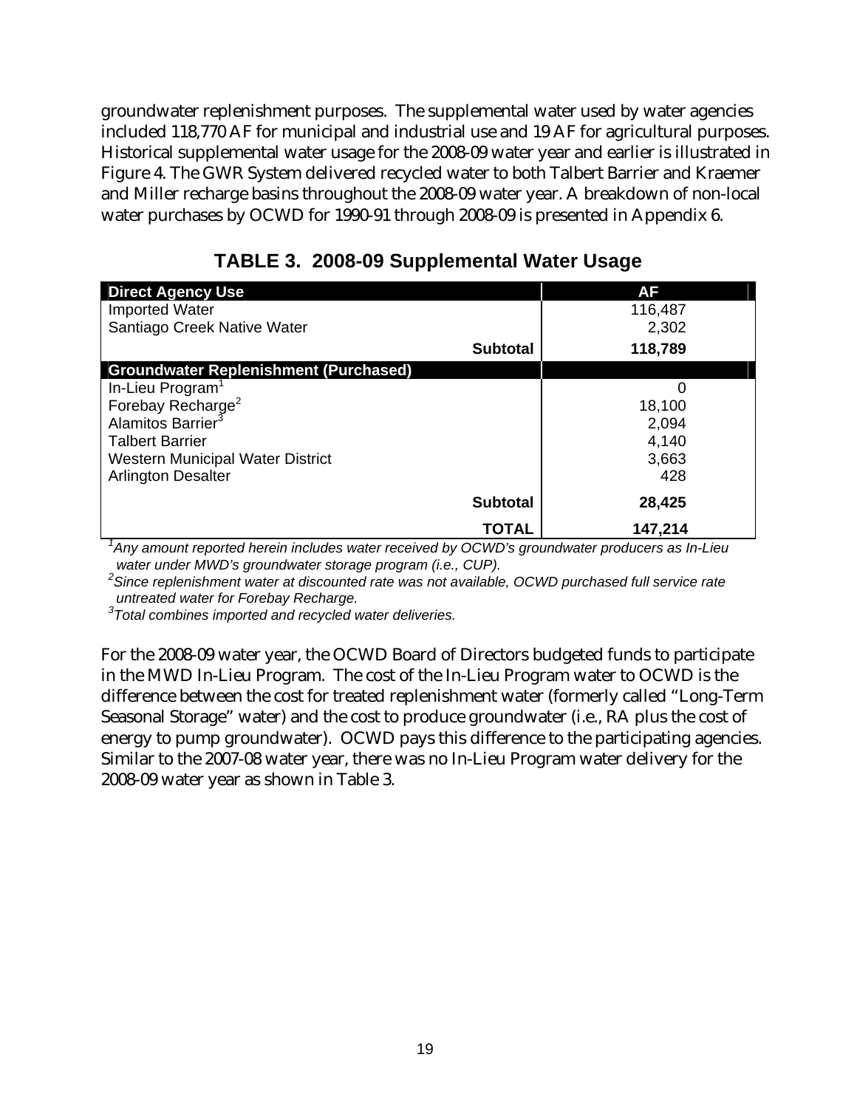groundwater replenishment purposes. The supplemental water used by water agencies included 118,770 AF for municipal and industrial use and 19 AF for agricultural purposes. Historical supplemental water usage for the 2008-09 water year and earlier is illustrated in Figure 4. The GWR System delivered recycled water to both Talbert Barrier and Kraemer and Miller recharge basins throughout the 2008-09 water year. A breakdown of non-local water purchases by OCWD for 1990-91 through 2008-09 is presented in Appendix 6.

| <b>Direct Agency Use</b>                     |                 | AF      |
|----------------------------------------------|-----------------|---------|
| <b>Imported Water</b>                        |                 | 116,487 |
| Santiago Creek Native Water                  |                 | 2,302   |
|                                              | <b>Subtotal</b> | 118,789 |
| <b>Groundwater Replenishment (Purchased)</b> |                 |         |
| In-Lieu Program <sup>1</sup>                 |                 | 0       |
| Forebay Recharge <sup>2</sup>                |                 | 18,100  |
| Alamitos Barrier <sup>3</sup>                |                 | 2,094   |
| <b>Talbert Barrier</b>                       |                 | 4,140   |
| <b>Western Municipal Water District</b>      |                 | 3,663   |
| <b>Arlington Desalter</b>                    |                 | 428     |
|                                              | <b>Subtotal</b> | 28,425  |
|                                              | TOTAL           | 147,214 |

**TABLE 3. 2008-09 Supplemental Water Usage** 

<sup>1</sup> Any amount reported herein includes water received by OCWD's groundwater producers as In-Lieu *water under MWD's groundwater storage program (i.e., CUP).* 

*2 Since replenishment water at discounted rate was not available, OCWD purchased full service rate untreated water for Forebay Recharge.* 

*3 Total combines imported and recycled water deliveries.*

For the 2008-09 water year, the OCWD Board of Directors budgeted funds to participate in the MWD In-Lieu Program. The cost of the In-Lieu Program water to OCWD is the difference between the cost for treated replenishment water (formerly called "Long-Term Seasonal Storage" water) and the cost to produce groundwater (i.e., RA plus the cost of energy to pump groundwater). OCWD pays this difference to the participating agencies. Similar to the 2007-08 water year, there was no In-Lieu Program water delivery for the 2008-09 water year as shown in Table 3.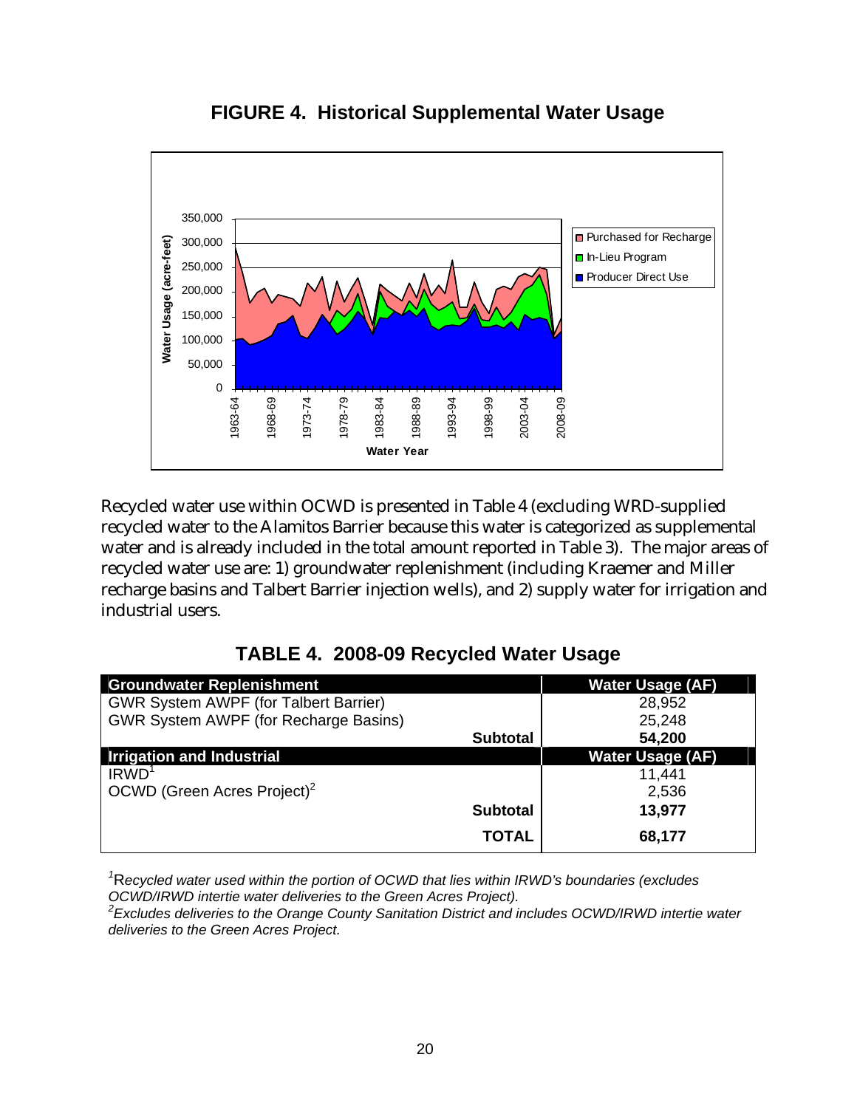

**FIGURE 4. Historical Supplemental Water Usage** 

Recycled water use within OCWD is presented in Table 4 (excluding WRD-supplied recycled water to the Alamitos Barrier because this water is categorized as supplemental water and is already included in the total amount reported in Table 3). The major areas of recycled water use are: 1) groundwater replenishment (including Kraemer and Miller recharge basins and Talbert Barrier injection wells), and 2) supply water for irrigation and industrial users.

|  |  | TABLE 4. 2008-09 Recycled Water Usage |  |  |
|--|--|---------------------------------------|--|--|
|--|--|---------------------------------------|--|--|

| <b>Groundwater Replenishment</b>             |                 | <b>Water Usage (AF)</b> |
|----------------------------------------------|-----------------|-------------------------|
| <b>GWR System AWPF (for Talbert Barrier)</b> |                 | 28,952                  |
| <b>GWR System AWPF (for Recharge Basins)</b> |                 | 25,248                  |
|                                              | <b>Subtotal</b> | 54,200                  |
| <b>Irrigation and Industrial</b>             |                 | <b>Water Usage (AF)</b> |
| IRWD <sup>1</sup>                            |                 | 11,441                  |
| OCWD (Green Acres Project) <sup>2</sup>      |                 | 2,536                   |
|                                              | <b>Subtotal</b> | 13,977                  |
|                                              | <b>TOTAL</b>    | 68,177                  |

<sup>1</sup>Recycled water used within the portion of OCWD that lies within IRWD's boundaries (excludes *OCWD/IRWD intertie water deliveries to the Green Acres Project).* 

*2 Excludes deliveries to the Orange County Sanitation District and includes OCWD/IRWD intertie water deliveries to the Green Acres Project.*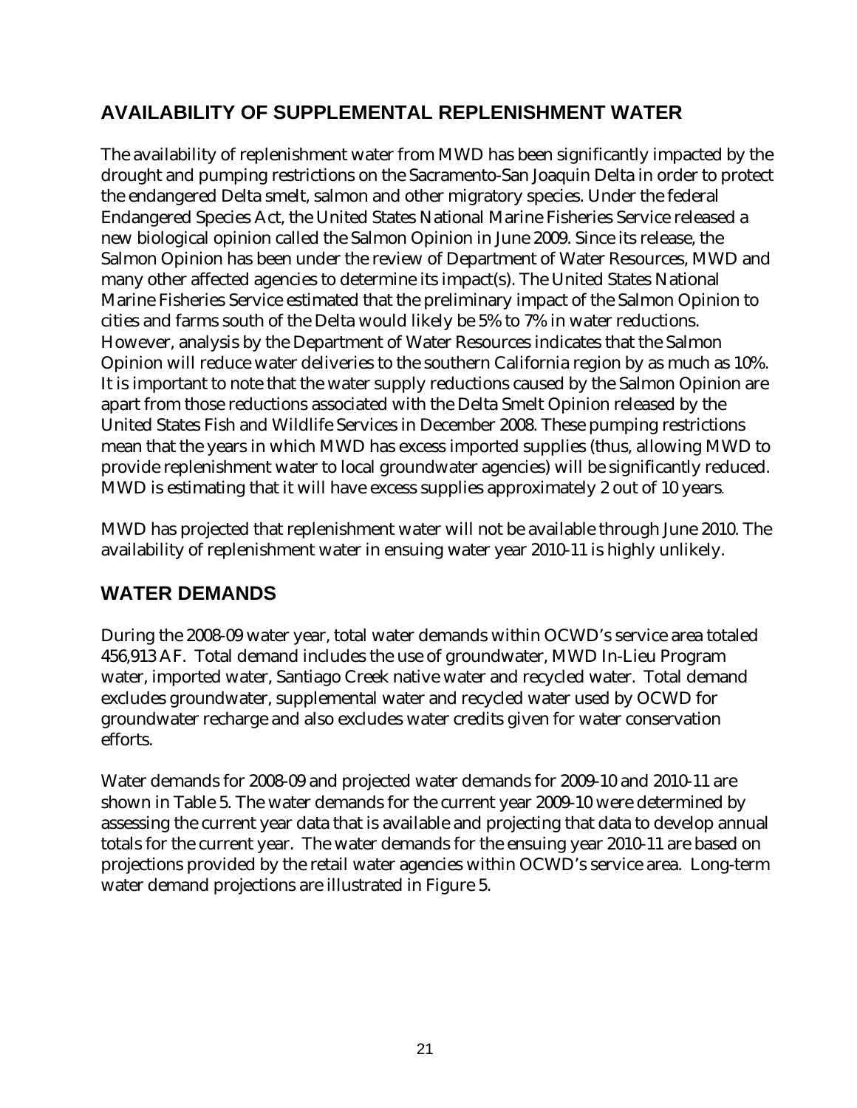# **AVAILABILITY OF SUPPLEMENTAL REPLENISHMENT WATER**

The availability of replenishment water from MWD has been significantly impacted by the drought and pumping restrictions on the Sacramento-San Joaquin Delta in order to protect the endangered Delta smelt, salmon and other migratory species. Under the federal Endangered Species Act, the United States National Marine Fisheries Service released a new biological opinion called the Salmon Opinion in June 2009. Since its release, the Salmon Opinion has been under the review of Department of Water Resources, MWD and many other affected agencies to determine its impact(s). The United States National Marine Fisheries Service estimated that the preliminary impact of the Salmon Opinion to cities and farms south of the Delta would likely be 5% to 7% in water reductions. However, analysis by the Department of Water Resources indicates that the Salmon Opinion will reduce water deliveries to the southern California region by as much as 10%. It is important to note that the water supply reductions caused by the Salmon Opinion are apart from those reductions associated with the Delta Smelt Opinion released by the United States Fish and Wildlife Services in December 2008. These pumping restrictions mean that the years in which MWD has excess imported supplies (thus, allowing MWD to provide replenishment water to local groundwater agencies) will be significantly reduced. MWD is estimating that it will have excess supplies approximately 2 out of 10 years.

MWD has projected that replenishment water will not be available through June 2010. The availability of replenishment water in ensuing water year 2010-11 is highly unlikely.

# **WATER DEMANDS**

During the 2008-09 water year, total water demands within OCWD's service area totaled 456,913 AF. Total demand includes the use of groundwater, MWD In-Lieu Program water, imported water, Santiago Creek native water and recycled water. Total demand excludes groundwater, supplemental water and recycled water used by OCWD for groundwater recharge and also excludes water credits given for water conservation efforts.

Water demands for 2008-09 and projected water demands for 2009-10 and 2010-11 are shown in Table 5. The water demands for the current year 2009-10 were determined by assessing the current year data that is available and projecting that data to develop annual totals for the current year. The water demands for the ensuing year 2010-11 are based on projections provided by the retail water agencies within OCWD's service area. Long-term water demand projections are illustrated in Figure 5.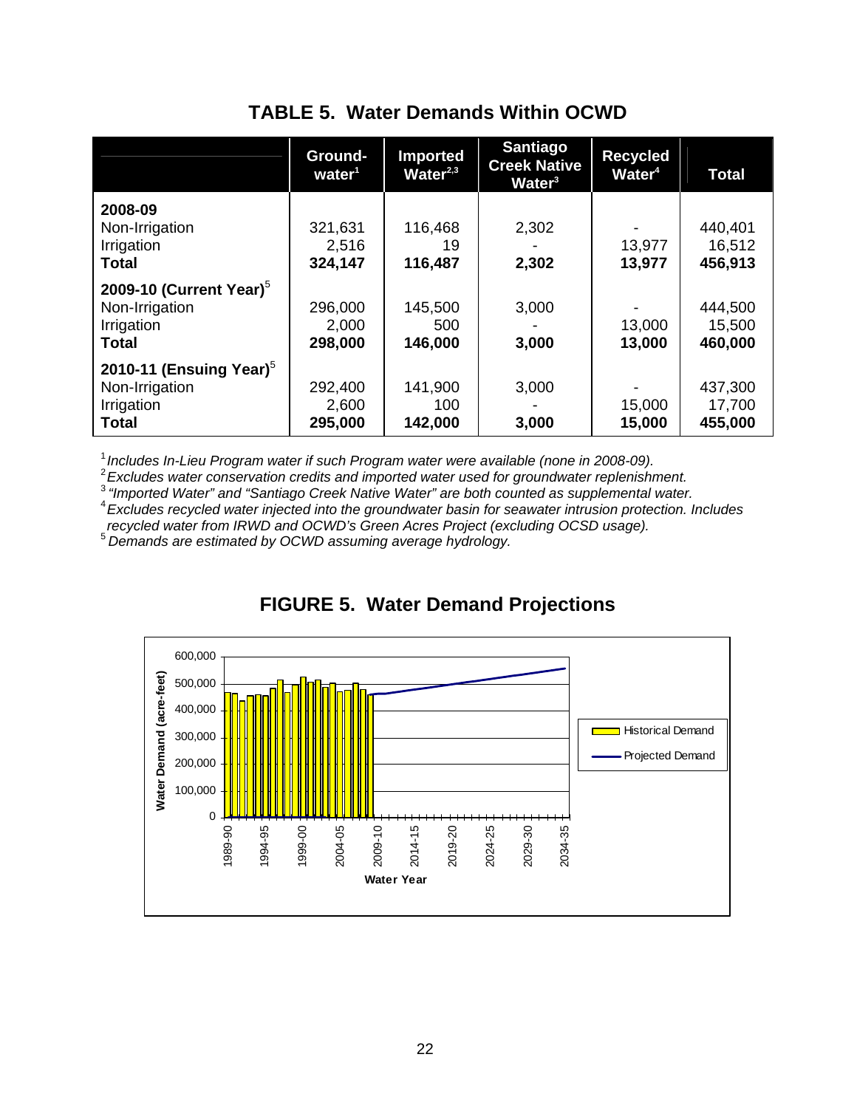|  |  | <b>TABLE 5. Water Demands Within OCWD</b> |  |  |
|--|--|-------------------------------------------|--|--|
|--|--|-------------------------------------------|--|--|

|                            | Ground-<br>water <sup>1</sup> | <b>Imported</b><br>Water $2,3$ | <b>Santiago</b><br><b>Creek Native</b><br>Water <sup>3</sup> | <b>Recycled</b><br>Water <sup>4</sup> | <b>Total</b> |
|----------------------------|-------------------------------|--------------------------------|--------------------------------------------------------------|---------------------------------------|--------------|
| 2008-09                    |                               |                                |                                                              |                                       |              |
| Non-Irrigation             | 321,631                       | 116,468                        | 2,302                                                        |                                       | 440,401      |
| Irrigation                 | 2,516                         | 19                             |                                                              | 13,977                                | 16,512       |
| <b>Total</b>               | 324,147                       | 116,487                        | 2,302                                                        | 13,977                                | 456,913      |
| 2009-10 (Current Year) $5$ |                               |                                |                                                              |                                       |              |
| Non-Irrigation             | 296,000                       | 145,500                        | 3,000                                                        |                                       | 444,500      |
| Irrigation                 | 2,000                         | 500                            |                                                              | 13,000                                | 15,500       |
| <b>Total</b>               | 298,000                       | 146,000                        | 3,000                                                        | 13,000                                | 460,000      |
| 2010-11 (Ensuing Year) $5$ |                               |                                |                                                              |                                       |              |
| Non-Irrigation             | 292,400                       | 141,900                        | 3,000                                                        |                                       | 437,300      |
| Irrigation                 | 2,600                         | 100                            |                                                              | 15,000                                | 17,700       |
| <b>Total</b>               | 295,000                       | 142,000                        | 3,000                                                        | 15,000                                | 455,000      |

<sup>1</sup> Includes In-Lieu Program water if such Program water were available (none in 2008-09).<br><sup>2</sup> Evoludes water conservation eredits and imported water used for groundwater replanishm

*Excludes water conservation credits and imported water used for groundwater replenishment.* <sup>3</sup>*"Imported Water" and "Santiago Creek Native Water" are both counted as supplemental water.* <sup>4</sup>

*Excludes recycled water injected into the groundwater basin for seawater intrusion protection. Includes recycled water from IRWD and OCWD's Green Acres Project (excluding OCSD usage).* <sup>5</sup>*Demands are estimated by OCWD assuming average hydrology.*



**FIGURE 5. Water Demand Projections**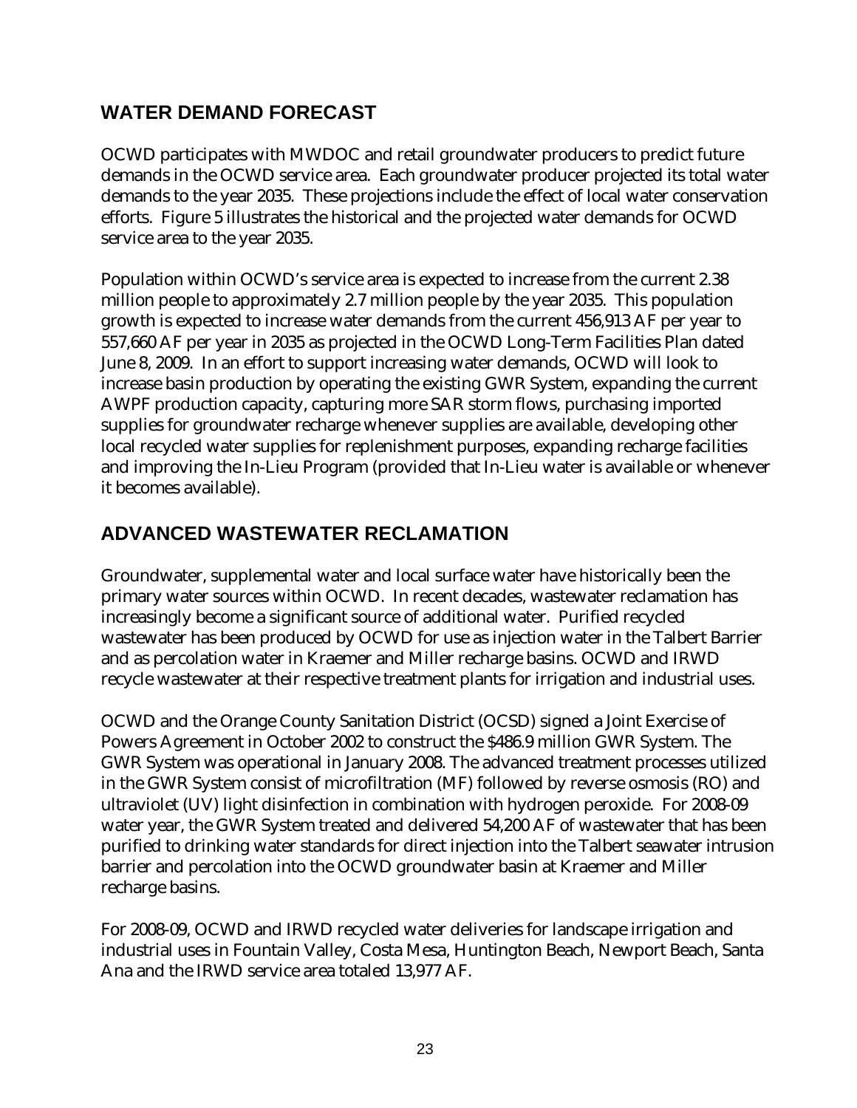# **WATER DEMAND FORECAST**

OCWD participates with MWDOC and retail groundwater producers to predict future demands in the OCWD service area. Each groundwater producer projected its total water demands to the year 2035. These projections include the effect of local water conservation efforts. Figure 5 illustrates the historical and the projected water demands for OCWD service area to the year 2035.

Population within OCWD's service area is expected to increase from the current 2.38 million people to approximately 2.7 million people by the year 2035. This population growth is expected to increase water demands from the current 456,913 AF per year to 557,660 AF per year in 2035 as projected in the OCWD Long-Term Facilities Plan dated June 8, 2009. In an effort to support increasing water demands, OCWD will look to increase basin production by operating the existing GWR System, expanding the current AWPF production capacity, capturing more SAR storm flows, purchasing imported supplies for groundwater recharge whenever supplies are available, developing other local recycled water supplies for replenishment purposes, expanding recharge facilities and improving the In-Lieu Program (provided that In-Lieu water is available or whenever it becomes available).

# **ADVANCED WASTEWATER RECLAMATION**

Groundwater, supplemental water and local surface water have historically been the primary water sources within OCWD. In recent decades, wastewater reclamation has increasingly become a significant source of additional water. Purified recycled wastewater has been produced by OCWD for use as injection water in the Talbert Barrier and as percolation water in Kraemer and Miller recharge basins. OCWD and IRWD recycle wastewater at their respective treatment plants for irrigation and industrial uses.

OCWD and the Orange County Sanitation District (OCSD) signed a Joint Exercise of Powers Agreement in October 2002 to construct the \$486.9 million GWR System. The GWR System was operational in January 2008. The advanced treatment processes utilized in the GWR System consist of microfiltration (MF) followed by reverse osmosis (RO) and ultraviolet (UV) light disinfection in combination with hydrogen peroxide. For 2008-09 water year, the GWR System treated and delivered 54,200 AF of wastewater that has been purified to drinking water standards for direct injection into the Talbert seawater intrusion barrier and percolation into the OCWD groundwater basin at Kraemer and Miller recharge basins.

For 2008-09, OCWD and IRWD recycled water deliveries for landscape irrigation and industrial uses in Fountain Valley, Costa Mesa, Huntington Beach, Newport Beach, Santa Ana and the IRWD service area totaled 13,977 AF.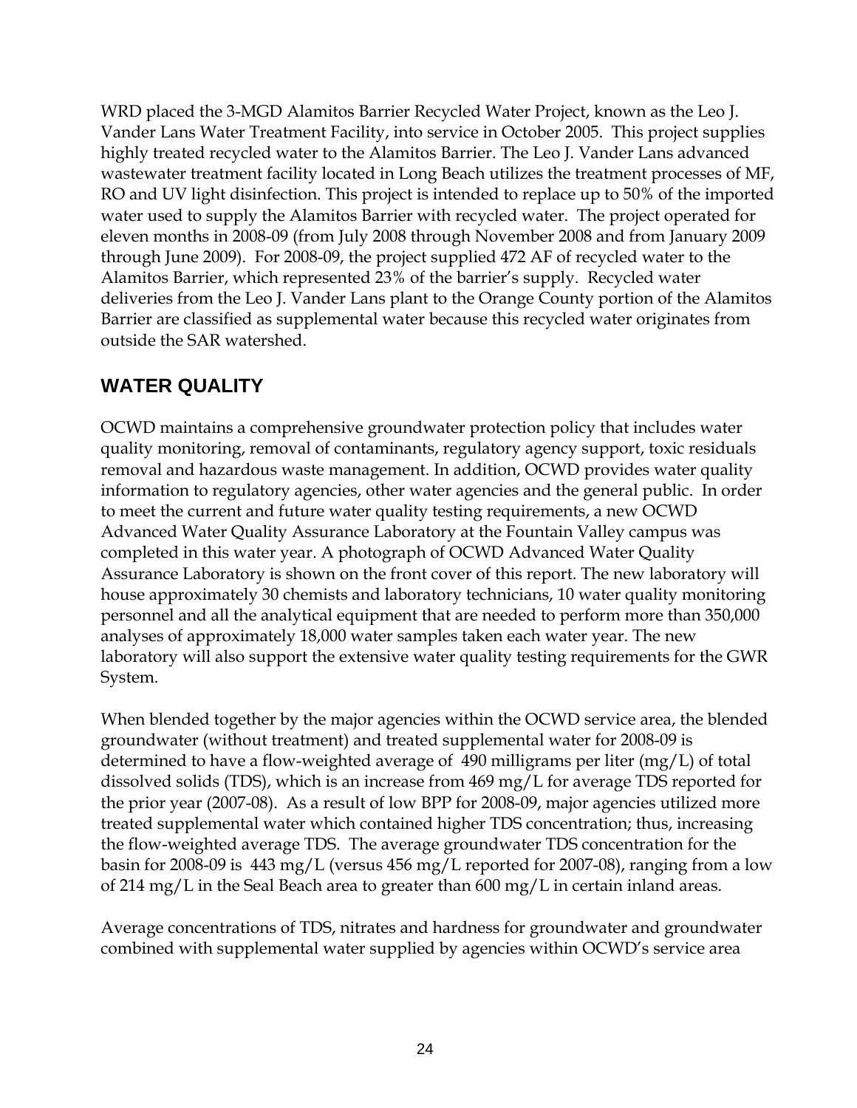WRD placed the 3-MGD Alamitos Barrier Recycled Water Project, known as the Leo J. Vander Lans Water Treatment Facility, into service in October 2005. This project supplies highly treated recycled water to the Alamitos Barrier. The Leo J. Vander Lans advanced wastewater treatment facility located in Long Beach utilizes the treatment processes of MF, RO and UV light disinfection. This project is intended to replace up to 50% of the imported water used to supply the Alamitos Barrier with recycled water. The project operated for eleven months in 2008-09 (from July 2008 through November 2008 and from January 2009 through June 2009). For 2008-09, the project supplied 472 AF of recycled water to the Alamitos Barrier, which represented 23% of the barrier's supply. Recycled water deliveries from the Leo J. Vander Lans plant to the Orange County portion of the Alamitos Barrier are classified as supplemental water because this recycled water originates from outside the SAR watershed.

# **WATER QUALITY**

OCWD maintains a comprehensive groundwater protection policy that includes water quality monitoring, removal of contaminants, regulatory agency support, toxic residuals removal and hazardous waste management. In addition, OCWD provides water quality information to regulatory agencies, other water agencies and the general public. In order to meet the current and future water quality testing requirements, a new OCWD Advanced Water Quality Assurance Laboratory at the Fountain Valley campus was completed in this water year. A photograph of OCWD Advanced Water Quality Assurance Laboratory is shown on the front cover of this report. The new laboratory will house approximately 30 chemists and laboratory technicians, 10 water quality monitoring personnel and all the analytical equipment that are needed to perform more than 350,000 analyses of approximately 18,000 water samples taken each water year. The new laboratory will also support the extensive water quality testing requirements for the GWR System.

When blended together by the major agencies within the OCWD service area, the blended groundwater (without treatment) and treated supplemental water for 2008-09 is determined to have a flow-weighted average of 490 milligrams per liter (mg/L) of total dissolved solids (TDS), which is an increase from 469 mg/L for average TDS reported for the prior year (2007-08). As a result of low BPP for 2008-09, major agencies utilized more treated supplemental water which contained higher TDS concentration; thus, increasing the flow-weighted average TDS. The average groundwater TDS concentration for the basin for 2008-09 is 443 mg/L (versus 456 mg/L reported for 2007-08), ranging from a low of 214 mg/L in the Seal Beach area to greater than 600 mg/L in certain inland areas.

Average concentrations of TDS, nitrates and hardness for groundwater and groundwater combined with supplemental water supplied by agencies within OCWD's service area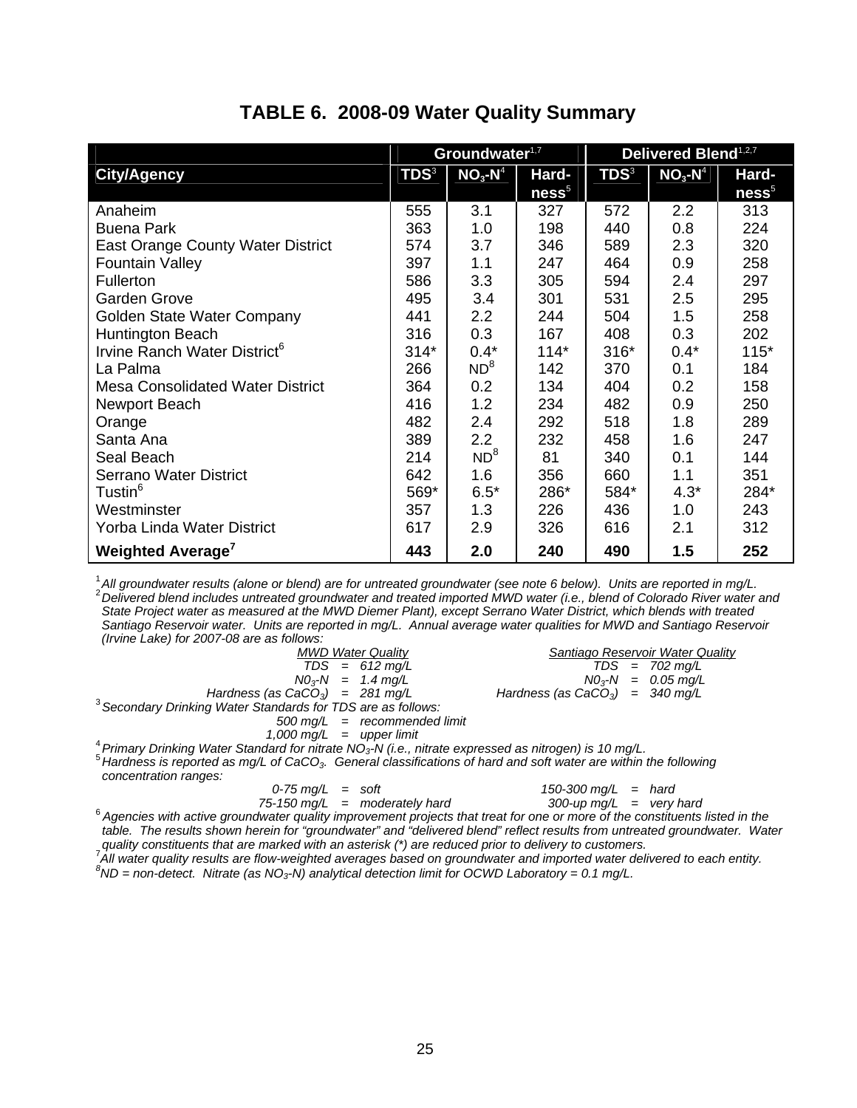#### **TABLE 6. 2008-09 Water Quality Summary**

|                                          | Groundwater <sup>1,7</sup> |                 |                   | <b>Delivered Blend</b> <sup>1,2,7</sup> |                       |                   |  |
|------------------------------------------|----------------------------|-----------------|-------------------|-----------------------------------------|-----------------------|-------------------|--|
| <b>City/Agency</b>                       | <b>TDS3</b>                | $NO3$ - $N4$    | Hard-             | <b>TDS3</b>                             | $NO3$ -N <sup>4</sup> | Hard-             |  |
|                                          |                            |                 | ness <sup>5</sup> |                                         |                       | ness <sup>5</sup> |  |
| Anaheim                                  | 555                        | 3.1             | 327               | 572                                     | 2.2                   | 313               |  |
| <b>Buena Park</b>                        | 363                        | 1.0             | 198               | 440                                     | 0.8                   | 224               |  |
| <b>East Orange County Water District</b> | 574                        | 3.7             | 346               | 589                                     | 2.3                   | 320               |  |
| <b>Fountain Valley</b>                   | 397                        | 1.1             | 247               | 464                                     | 0.9                   | 258               |  |
| Fullerton                                | 586                        | 3.3             | 305               | 594                                     | 2.4                   | 297               |  |
| <b>Garden Grove</b>                      | 495                        | 3.4             | 301               | 531                                     | 2.5                   | 295               |  |
| Golden State Water Company               | 441                        | 2.2             | 244               | 504                                     | 1.5                   | 258               |  |
| Huntington Beach                         | 316                        | 0.3             | 167               | 408                                     | 0.3                   | 202               |  |
| Irvine Ranch Water District <sup>6</sup> | $314*$                     | $0.4*$          | $114*$            | $316*$                                  | $0.4*$                | $115*$            |  |
| La Palma                                 | 266                        | ND <sup>8</sup> | 142               | 370                                     | 0.1                   | 184               |  |
| <b>Mesa Consolidated Water District</b>  | 364                        | 0.2             | 134               | 404                                     | 0.2                   | 158               |  |
| Newport Beach                            | 416                        | 1.2             | 234               | 482                                     | 0.9                   | 250               |  |
| Orange                                   | 482                        | 2.4             | 292               | 518                                     | 1.8                   | 289               |  |
| Santa Ana                                | 389                        | 2.2             | 232               | 458                                     | 1.6                   | 247               |  |
| Seal Beach                               | 214                        | ND <sup>8</sup> | 81                | 340                                     | 0.1                   | 144               |  |
| <b>Serrano Water District</b>            | 642                        | 1.6             | 356               | 660                                     | 1.1                   | 351               |  |
| Tustin <sup>6</sup>                      | 569*                       | $6.5*$          | 286*              | 584*                                    | $4.3*$                | 284*              |  |
| Westminster                              | 357                        | 1.3             | 226               | 436                                     | 1.0                   | 243               |  |
| Yorba Linda Water District               | 617                        | 2.9             | 326               | 616                                     | 2.1                   | 312               |  |
| <b>Weighted Average</b>                  | 443                        | 2.0             | 240               | 490                                     | 1.5                   | 252               |  |

<sup>1</sup> All groundwater results (alone or blend) are for untreated groundwater (see note 6 below). Units are reported in mg/L.<br><sup>2</sup> Delivered blend includes untreated groundwater and treated imported MWD water (i.e., blend of *State Project water as measured at the MWD Diemer Plant), except Serrano Water District, which blends with treated Santiago Reservoir water. Units are reported in mg/L. Annual average water qualities for MWD and Santiago Reservoir (Irvine Lake) for 2007-08 are as follows:* 

| <b>MWD Water Quality</b>                                                                                                 | Santiago Reservoir Water Quality  |  |  |  |  |
|--------------------------------------------------------------------------------------------------------------------------|-----------------------------------|--|--|--|--|
| $TDS = 612$ mg/L                                                                                                         | $TDS = 702 \text{ mg/L}$          |  |  |  |  |
| $NO_3$ - $N = 1.4$ mg/L                                                                                                  | $NO_3$ - $N = 0.05$ mg/L          |  |  |  |  |
| Hardness (as $CaCO3$ ) = 281 mg/L                                                                                        | Hardness (as $CaCO3$ ) = 340 mg/L |  |  |  |  |
| $3$ Secondary Drinking Water Standards for TDS are as follows:                                                           |                                   |  |  |  |  |
| $500 \text{ mg/L}$ = recommended limit                                                                                   |                                   |  |  |  |  |
| $1.000 \text{ ma/L}$ = upper limit                                                                                       |                                   |  |  |  |  |
| $^{4}$ Primary Drinking Water Standard for nitrate NO <sub>3</sub> -N (i.e., nitrate expressed as nitrogen) is 10 mg/L.  |                                   |  |  |  |  |
| $^5$ Hardness is reported as mg/L of CaCO $_3$ . General classifications of hard and soft water are within the following |                                   |  |  |  |  |
| concontration ronger                                                                                                     |                                   |  |  |  |  |

*concentration ranges:* 

$$
0.75 \text{ mg/L} = \text{so}
$$

 *0-75 mg/L = soft 150-300 mg/L = hard*

<sup>6</sup> Agencies with active groundwater quality improvement projects that treat for one or more of the constituents listed in the *table. The results shown herein for "groundwater" and "delivered blend" reflect results from untreated groundwater. Water* 

*quality constituents that are marked with an asterisk (\*) are reduced prior to delivery to customers.* <sup>7</sup> <sup>'</sup> All water quality results are flow-weighted averages based on groundwater and imported water delivered to each entity.<br><sup>8</sup>ND area detect. Nitrate (as NO, N) apolytical detection limit for OCMD Leheretery... 2.1 mail.

 ${}^{8}$ ND = non-detect. Nitrate (as NO<sub>3</sub>-N) analytical detection limit for OCWD Laboratory = 0.1 mg/L.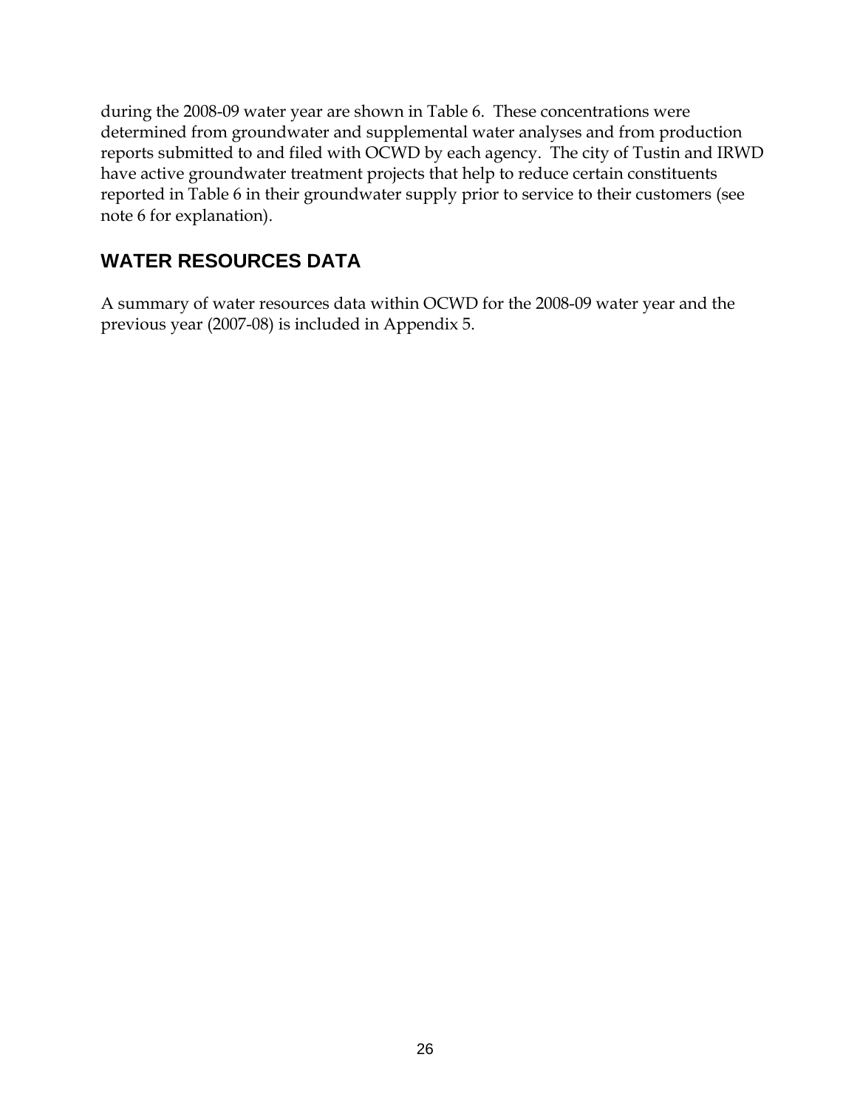during the 2008-09 water year are shown in Table 6. These concentrations were determined from groundwater and supplemental water analyses and from production reports submitted to and filed with OCWD by each agency. The city of Tustin and IRWD have active groundwater treatment projects that help to reduce certain constituents reported in Table 6 in their groundwater supply prior to service to their customers (see note 6 for explanation).

# **WATER RESOURCES DATA**

A summary of water resources data within OCWD for the 2008-09 water year and the previous year (2007-08) is included in Appendix 5.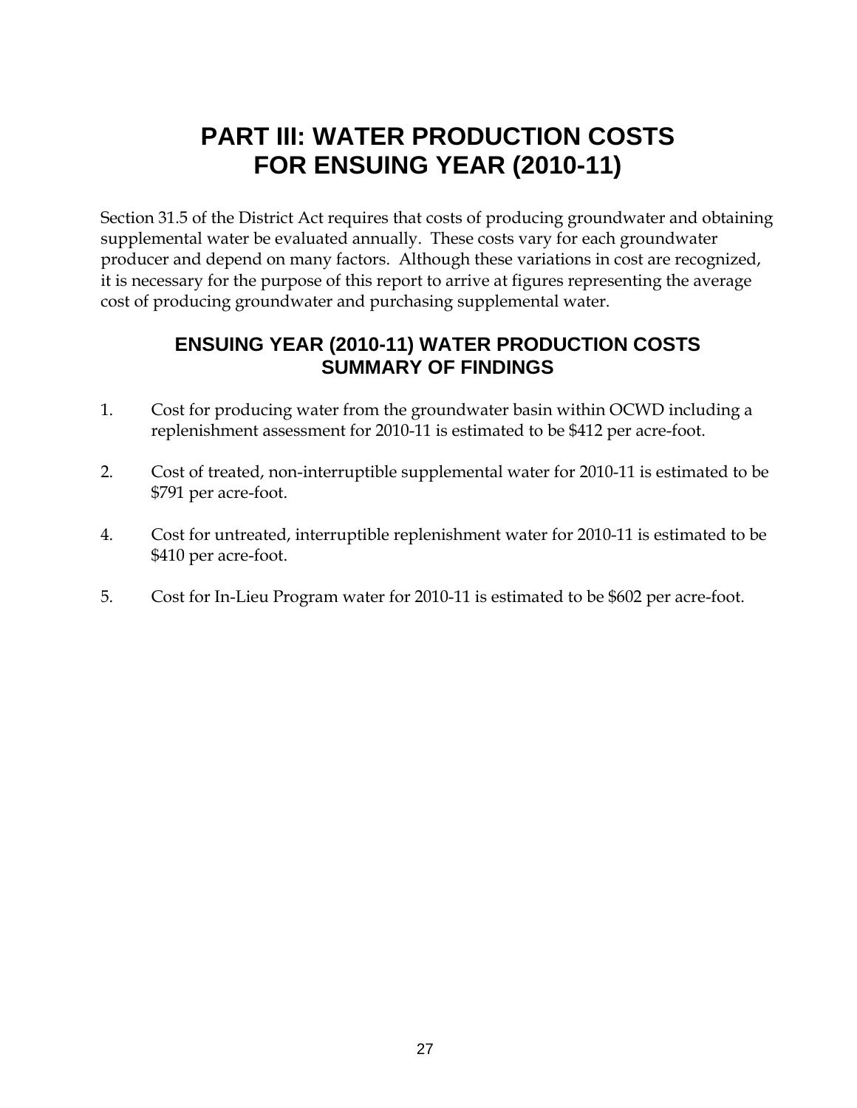# **PART III: WATER PRODUCTION COSTS FOR ENSUING YEAR (2010-11)**

Section 31.5 of the District Act requires that costs of producing groundwater and obtaining supplemental water be evaluated annually. These costs vary for each groundwater producer and depend on many factors. Although these variations in cost are recognized, it is necessary for the purpose of this report to arrive at figures representing the average cost of producing groundwater and purchasing supplemental water.

### **ENSUING YEAR (2010-11) WATER PRODUCTION COSTS SUMMARY OF FINDINGS**

- 1. Cost for producing water from the groundwater basin within OCWD including a replenishment assessment for 2010-11 is estimated to be \$412 per acre-foot.
- 2. Cost of treated, non-interruptible supplemental water for 2010-11 is estimated to be \$791 per acre-foot.
- 4. Cost for untreated, interruptible replenishment water for 2010-11 is estimated to be \$410 per acre-foot.
- 5. Cost for In-Lieu Program water for 2010-11 is estimated to be \$602 per acre-foot.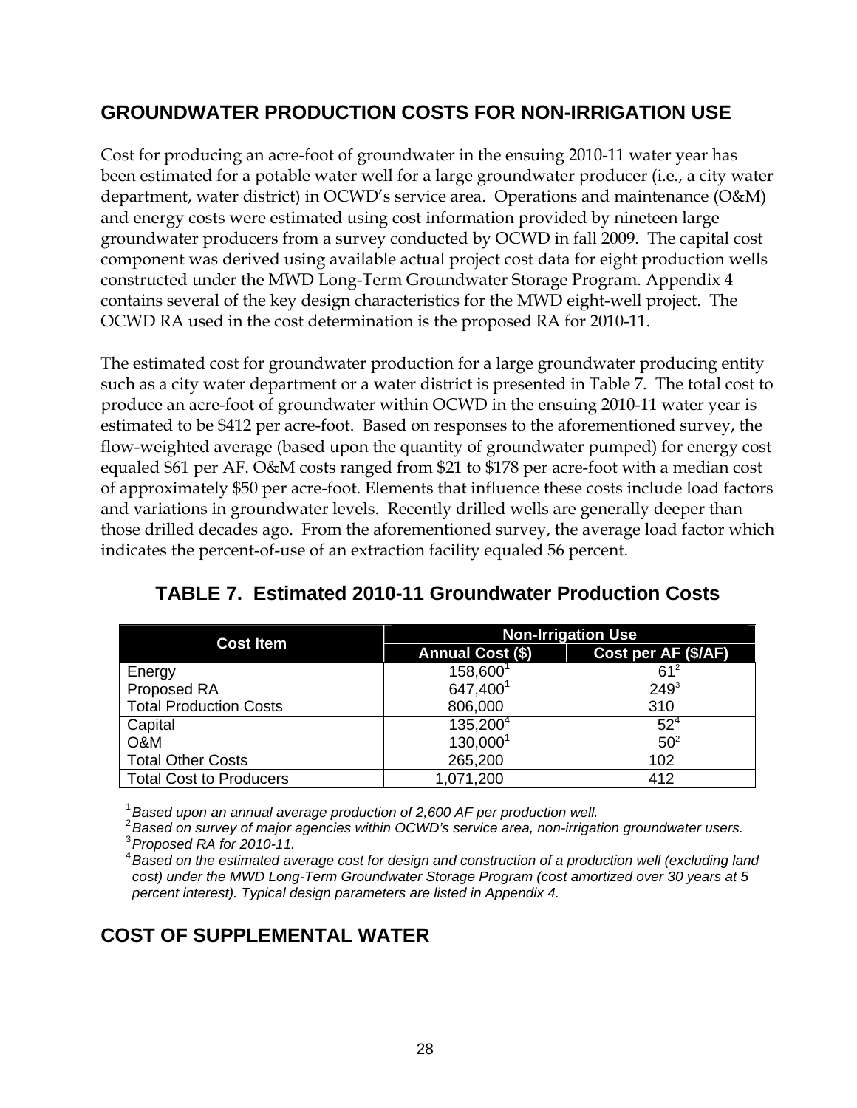## **GROUNDWATER PRODUCTION COSTS FOR NON-IRRIGATION USE**

Cost for producing an acre-foot of groundwater in the ensuing 2010-11 water year has been estimated for a potable water well for a large groundwater producer (i.e., a city water department, water district) in OCWD's service area. Operations and maintenance (O&M) and energy costs were estimated using cost information provided by nineteen large groundwater producers from a survey conducted by OCWD in fall 2009. The capital cost component was derived using available actual project cost data for eight production wells constructed under the MWD Long-Term Groundwater Storage Program. Appendix 4 contains several of the key design characteristics for the MWD eight-well project. The OCWD RA used in the cost determination is the proposed RA for 2010-11.

The estimated cost for groundwater production for a large groundwater producing entity such as a city water department or a water district is presented in Table 7. The total cost to produce an acre-foot of groundwater within OCWD in the ensuing 2010-11 water year is estimated to be \$412 per acre-foot. Based on responses to the aforementioned survey, the flow-weighted average (based upon the quantity of groundwater pumped) for energy cost equaled \$61 per AF. O&M costs ranged from \$21 to \$178 per acre-foot with a median cost of approximately \$50 per acre-foot. Elements that influence these costs include load factors and variations in groundwater levels. Recently drilled wells are generally deeper than those drilled decades ago. From the aforementioned survey, the average load factor which indicates the percent-of-use of an extraction facility equaled 56 percent.

| <b>Cost Item</b>               | <b>Non-Irrigation Use</b> |                     |  |  |  |
|--------------------------------|---------------------------|---------------------|--|--|--|
|                                | <b>Annual Cost (\$)</b>   | Cost per AF (\$/AF) |  |  |  |
| Energy                         | 158,600 <sup>1</sup>      | $61^2$              |  |  |  |
| Proposed RA                    | 647,400 <sup>1</sup>      | $249^{3}$           |  |  |  |
| <b>Total Production Costs</b>  | 806,000                   | 310                 |  |  |  |
| Capital                        | 135,200 <sup>4</sup>      | $52^{4}$            |  |  |  |
| O&M                            | 130,000 <sup>1</sup>      | 50 <sup>2</sup>     |  |  |  |
| <b>Total Other Costs</b>       | 265,200                   | 102                 |  |  |  |
| <b>Total Cost to Producers</b> | 1,071,200                 | 412                 |  |  |  |

### **TABLE 7. Estimated 2010-11 Groundwater Production Costs**

<sup>1</sup> Based upon an annual average production of 2,600 AF per production well.<br><sup>2</sup> Based on survey of major agencies within OCWD's service area, non-irrigation groundwater users.<br><sup>3</sup> Propaged BA for 2010 11  *Proposed RA for 2010-11.* 

<sup>4</sup> Based on the estimated average cost for design and construction of a production well (excluding land *cost) under the MWD Long-Term Groundwater Storage Program (cost amortized over 30 years at 5 percent interest). Typical design parameters are listed in Appendix 4.* 

#### **COST OF SUPPLEMENTAL WATER**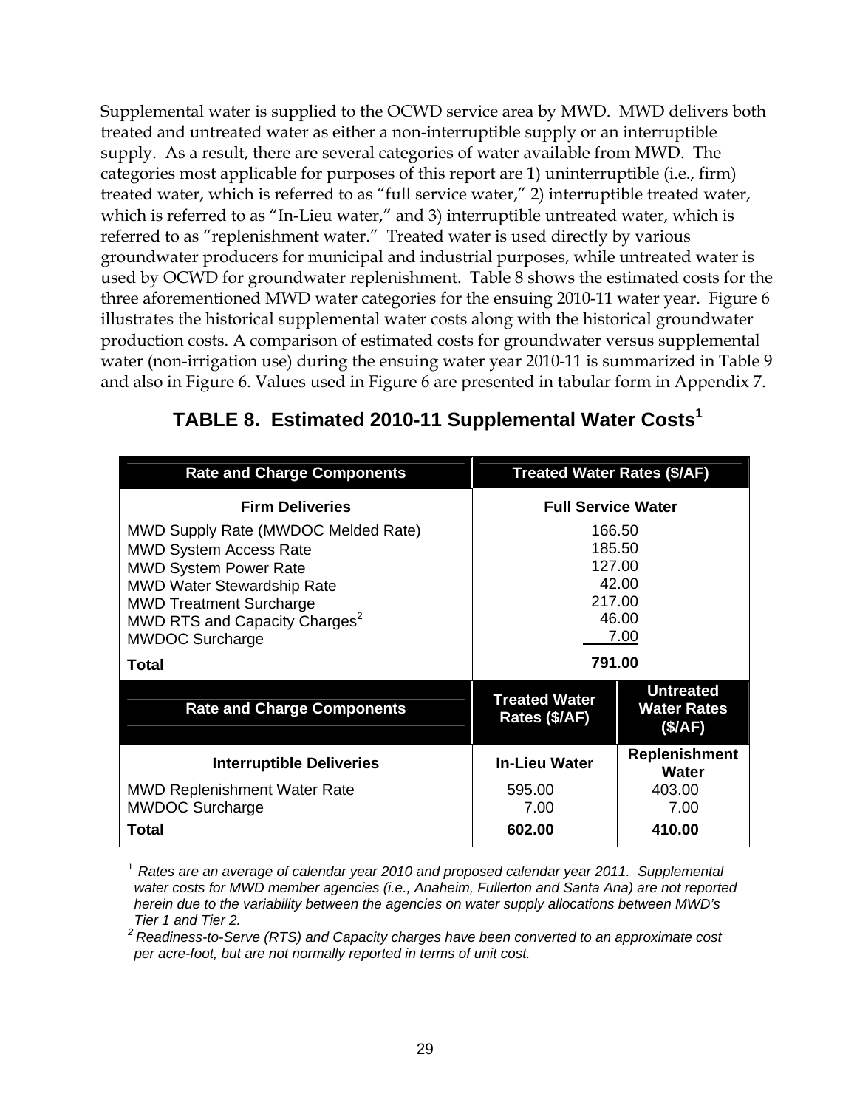Supplemental water is supplied to the OCWD service area by MWD. MWD delivers both treated and untreated water as either a non-interruptible supply or an interruptible supply. As a result, there are several categories of water available from MWD. The categories most applicable for purposes of this report are 1) uninterruptible (i.e., firm) treated water, which is referred to as "full service water," 2) interruptible treated water, which is referred to as "In-Lieu water," and 3) interruptible untreated water, which is referred to as "replenishment water." Treated water is used directly by various groundwater producers for municipal and industrial purposes, while untreated water is used by OCWD for groundwater replenishment. Table 8 shows the estimated costs for the three aforementioned MWD water categories for the ensuing 2010-11 water year. Figure 6 illustrates the historical supplemental water costs along with the historical groundwater production costs. A comparison of estimated costs for groundwater versus supplemental water (non-irrigation use) during the ensuing water year 2010-11 is summarized in Table 9 and also in Figure 6. Values used in Figure 6 are presented in tabular form in Appendix 7.

| <b>Rate and Charge Components</b>                                                                                                                                                                                                                         | <b>Treated Water Rates (\$/AF)</b>                             |                                                   |  |  |
|-----------------------------------------------------------------------------------------------------------------------------------------------------------------------------------------------------------------------------------------------------------|----------------------------------------------------------------|---------------------------------------------------|--|--|
| <b>Firm Deliveries</b>                                                                                                                                                                                                                                    | <b>Full Service Water</b>                                      |                                                   |  |  |
| <b>MWD Supply Rate (MWDOC Melded Rate)</b><br><b>MWD System Access Rate</b><br><b>MWD System Power Rate</b><br><b>MWD Water Stewardship Rate</b><br><b>MWD Treatment Surcharge</b><br>MWD RTS and Capacity Charges <sup>2</sup><br><b>MWDOC Surcharge</b> | 166.50<br>185.50<br>127.00<br>42.00<br>217.00<br>46.00<br>7.00 |                                                   |  |  |
| Total                                                                                                                                                                                                                                                     | 791.00                                                         |                                                   |  |  |
|                                                                                                                                                                                                                                                           |                                                                |                                                   |  |  |
| <b>Rate and Charge Components</b>                                                                                                                                                                                                                         | <b>Treated Water</b><br>Rates (\$/AF)                          | <b>Untreated</b><br><b>Water Rates</b><br>(\$/AF) |  |  |
| <b>Interruptible Deliveries</b>                                                                                                                                                                                                                           | <b>In-Lieu Water</b>                                           | <b>Replenishment</b><br>Water                     |  |  |

<sup>&</sup>lt;sup>1</sup> Rates are an average of calendar year 2010 and proposed calendar year 2011. Supplemental *water costs for MWD member agencies (i.e., Anaheim, Fullerton and Santa Ana) are not reported herein due to the variability between the agencies on water supply allocations between MWD's Tier 1 and Tier 2.* 

*<sup>2</sup> Readiness-to-Serve (RTS) and Capacity charges have been converted to an approximate cost per acre-foot, but are not normally reported in terms of unit cost.*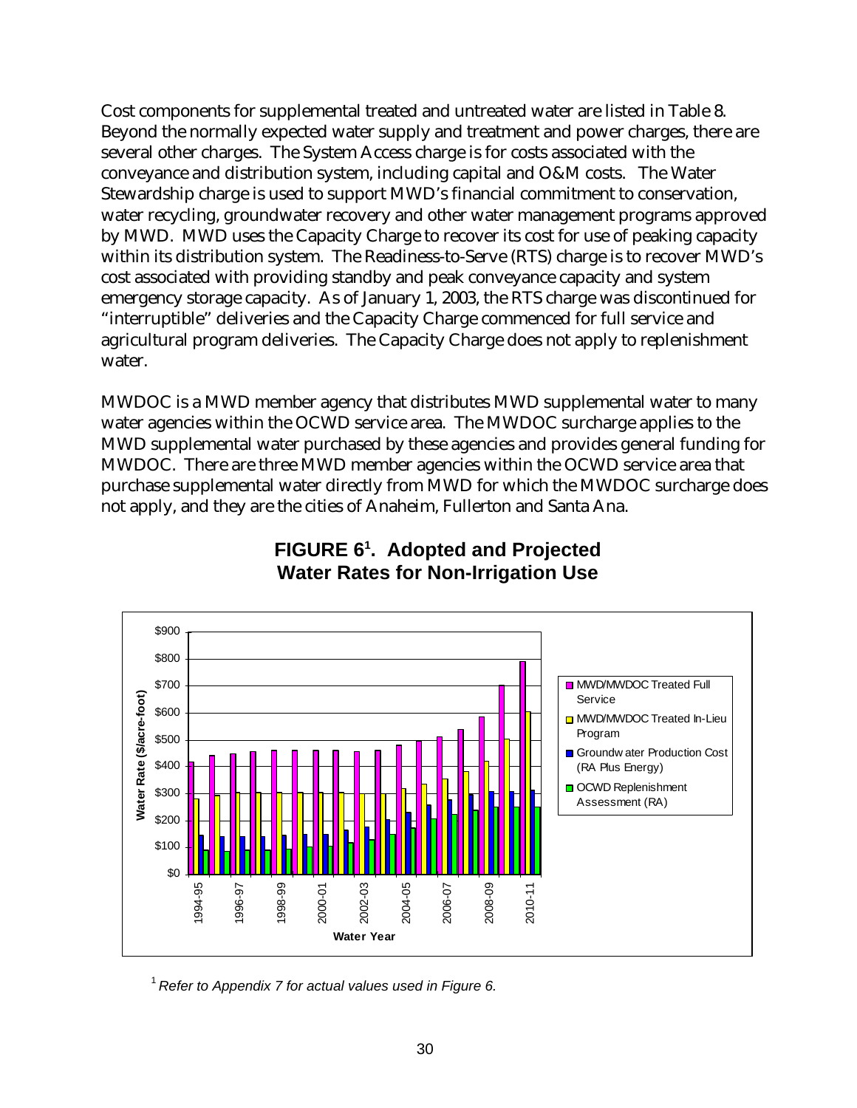Cost components for supplemental treated and untreated water are listed in Table 8. Beyond the normally expected water supply and treatment and power charges, there are several other charges. The System Access charge is for costs associated with the conveyance and distribution system, including capital and O&M costs. The Water Stewardship charge is used to support MWD's financial commitment to conservation, water recycling, groundwater recovery and other water management programs approved by MWD. MWD uses the Capacity Charge to recover its cost for use of peaking capacity within its distribution system. The Readiness-to-Serve (RTS) charge is to recover MWD's cost associated with providing standby and peak conveyance capacity and system emergency storage capacity. As of January 1, 2003, the RTS charge was discontinued for "interruptible" deliveries and the Capacity Charge commenced for full service and agricultural program deliveries. The Capacity Charge does not apply to replenishment water.

MWDOC is a MWD member agency that distributes MWD supplemental water to many water agencies within the OCWD service area. The MWDOC surcharge applies to the MWD supplemental water purchased by these agencies and provides general funding for MWDOC. There are three MWD member agencies within the OCWD service area that purchase supplemental water directly from MWD for which the MWDOC surcharge does not apply, and they are the cities of Anaheim, Fullerton and Santa Ana.



### **FIGURE 61 . Adopted and Projected Water Rates for Non-Irrigation Use**

<sup>1</sup>*Refer to Appendix 7 for actual values used in Figure 6.*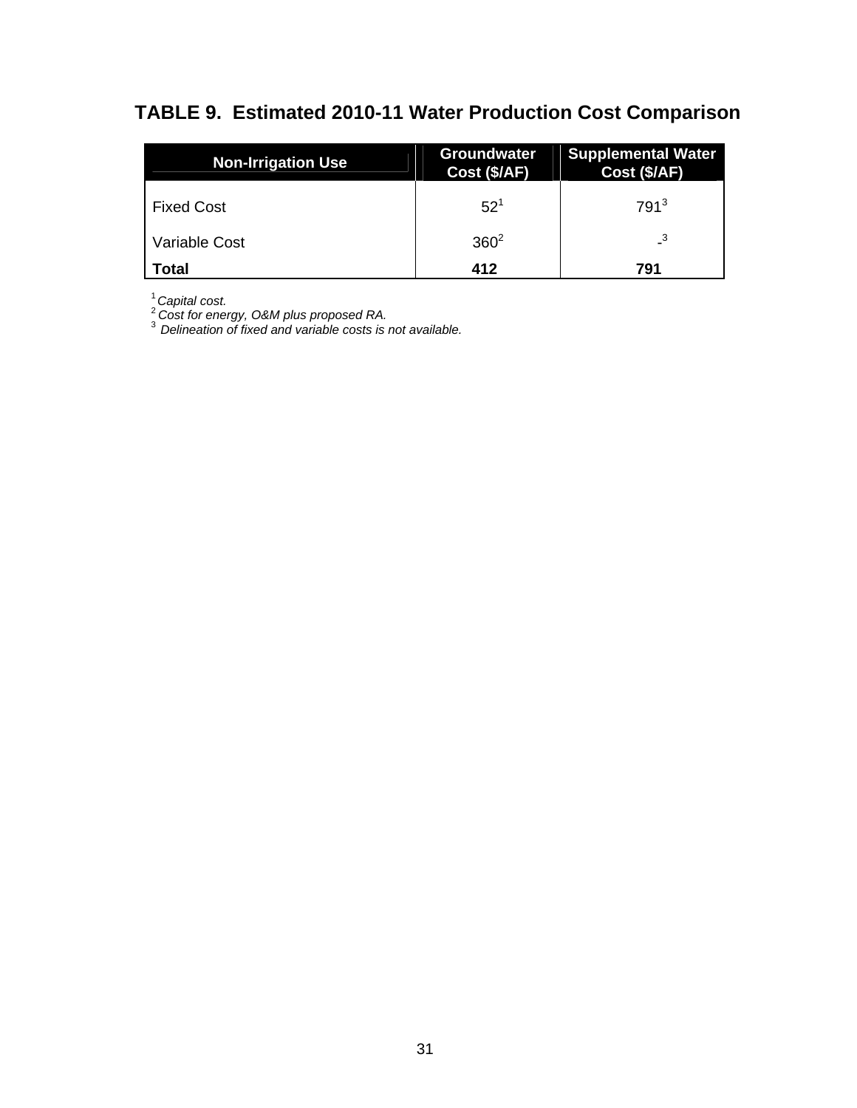# **TABLE 9. Estimated 2010-11 Water Production Cost Comparison**

| <b>Non-Irrigation Use</b> | <b>Groundwater</b><br>Cost (\$/AF) | <b>Supplemental Water</b><br>Cost (\$/AF) |  |
|---------------------------|------------------------------------|-------------------------------------------|--|
| <b>Fixed Cost</b>         | $52^{1}$                           | $791^3$                                   |  |
| Variable Cost             | $360^2$                            |                                           |  |
| Total                     | 412                                | 791                                       |  |

<sup>1</sup>*Capital cost.* 

<sup>2</sup>*Cost for energy, O&M plus proposed RA.* 

<sup>3</sup>*Delineation of fixed and variable costs is not available.*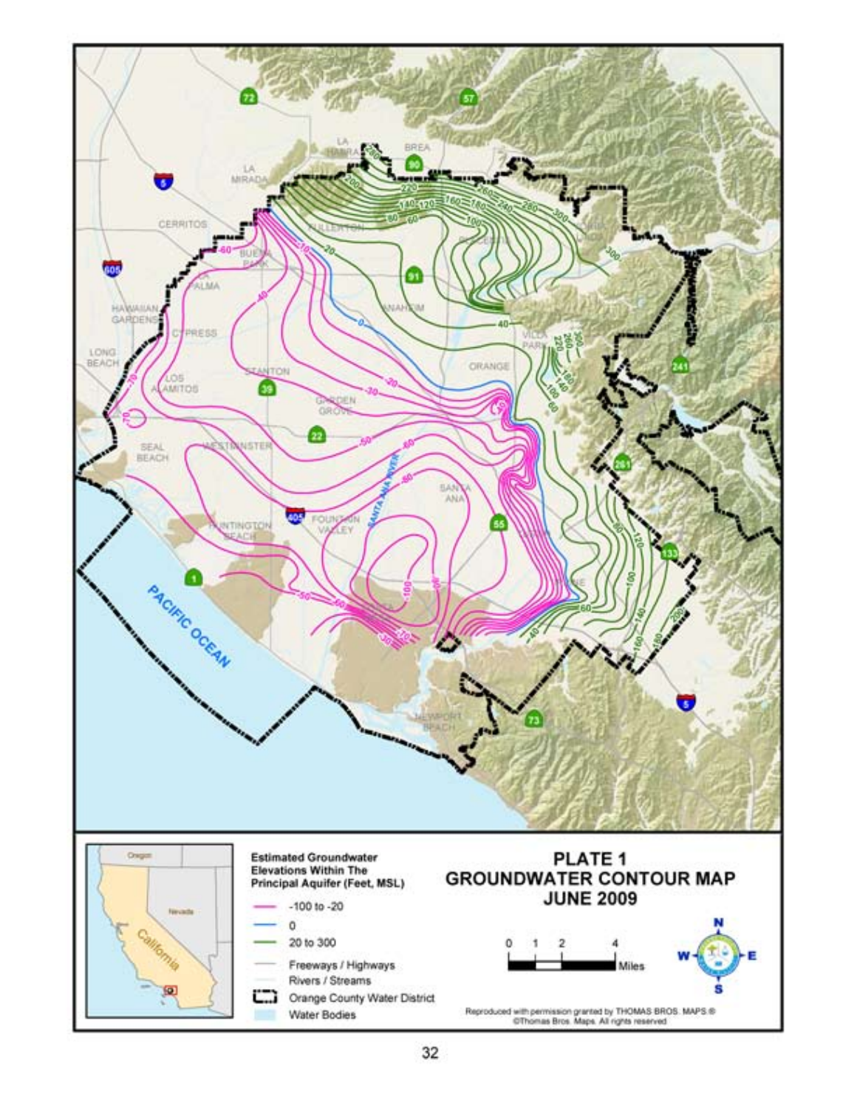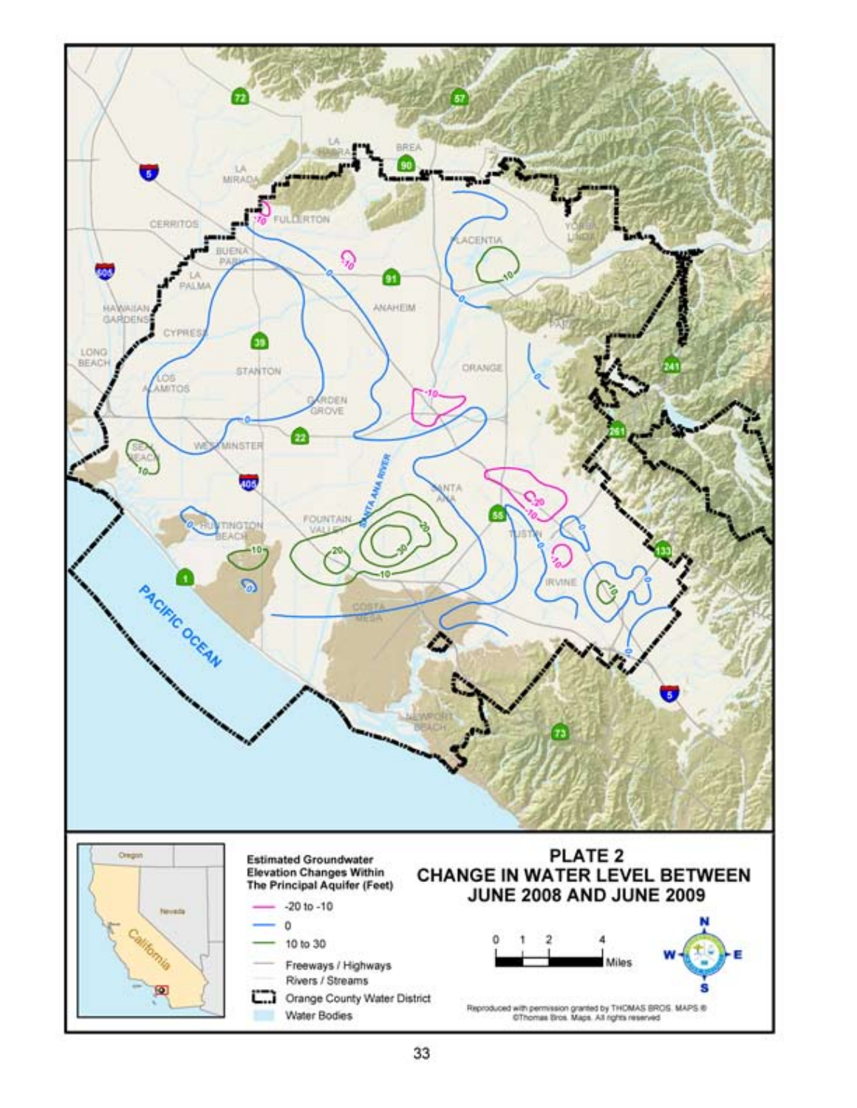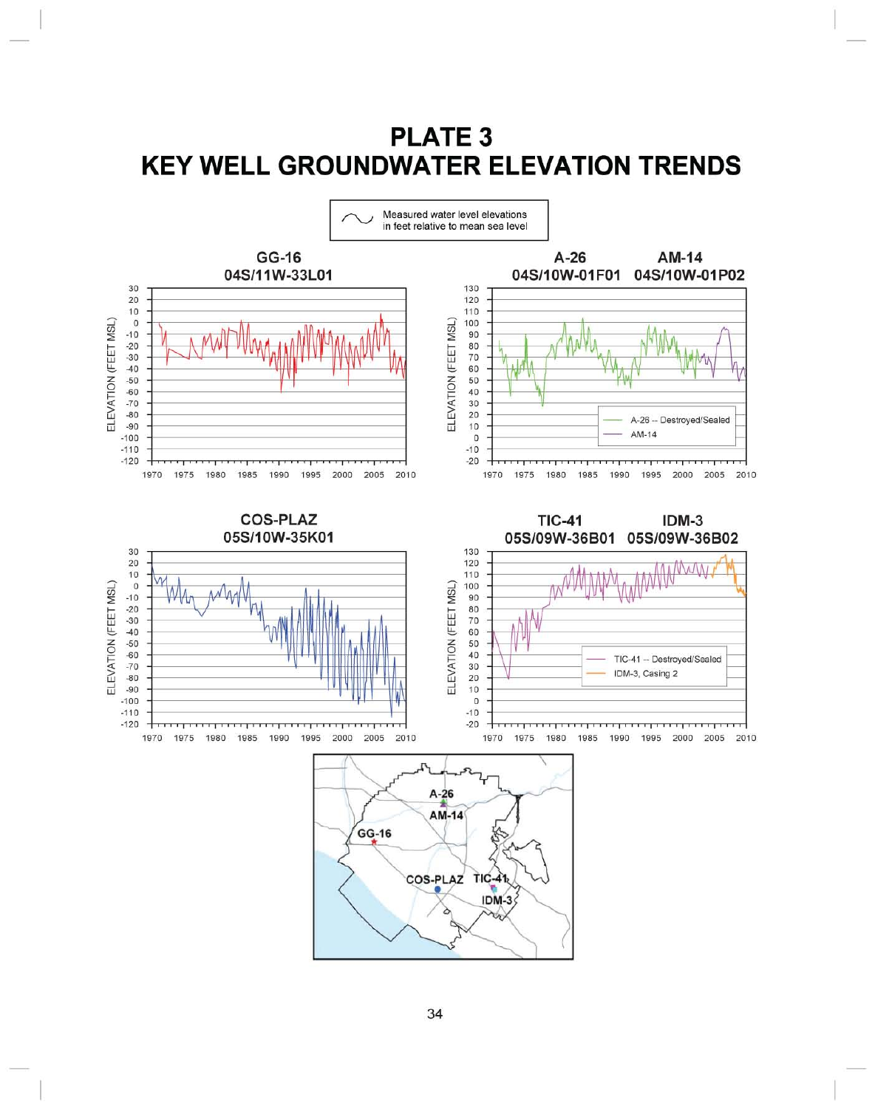# **PLATE 3 KEY WELL GROUNDWATER ELEVATION TRENDS**

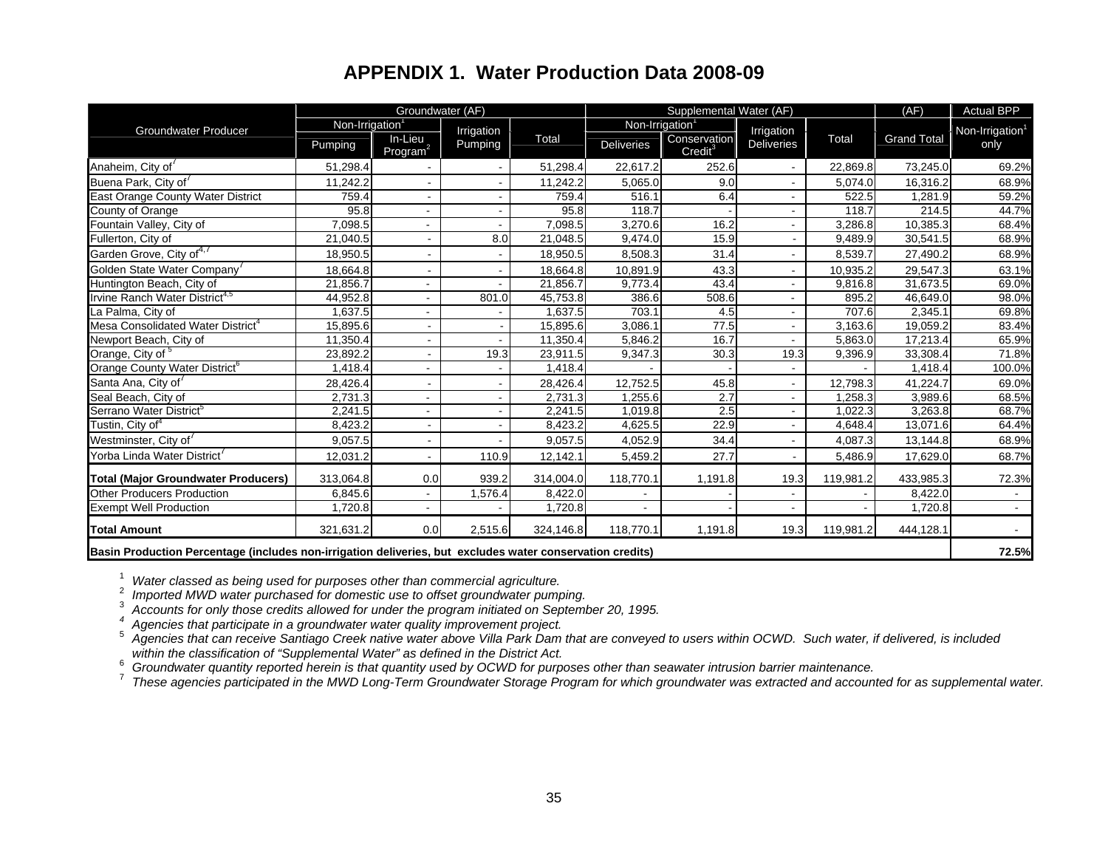### **APPENDIX 1. Water Production Data 2008-09**

|                                                                                                           |                | Groundwater (AF)                |                       |           | Supplemental Water (AF)     |                                     |                          |           | (AF)               | <b>Actual BPP</b>           |
|-----------------------------------------------------------------------------------------------------------|----------------|---------------------------------|-----------------------|-----------|-----------------------------|-------------------------------------|--------------------------|-----------|--------------------|-----------------------------|
| <b>Groundwater Producer</b>                                                                               | Non-Irrigation |                                 |                       |           | Non-Irrigation <sup>1</sup> |                                     | Irrigation               |           |                    | Non-Irrigation <sup>1</sup> |
|                                                                                                           | Pumping        | In-Lieu<br>Program <sup>2</sup> | Irrigation<br>Pumping | Total     | <b>Deliveries</b>           | Conservation<br>Credit <sup>3</sup> | <b>Deliveries</b>        | Total     | <b>Grand Total</b> | only                        |
| Anaheim, City of <sup>7</sup>                                                                             | 51,298.4       |                                 |                       | 51,298.4  | 22,617.2                    | 252.6                               |                          | 22,869.8  | 73,245.0           | 69.2%                       |
| Buena Park, City of                                                                                       | 11,242.2       |                                 |                       | 11,242.2  | 5,065.0                     | 9.0                                 | $\blacksquare$           | 5,074.0   | 16,316.2           | 68.9%                       |
| East Orange County Water District                                                                         | 759.4          |                                 |                       | 759.4     | 516.1                       | 6.4                                 | $\overline{\phantom{a}}$ | 522.5     | 1,281.9            | 59.2%                       |
| County of Orange                                                                                          | 95.8           |                                 |                       | 95.8      | 118.7                       |                                     | $\blacksquare$           | 118.7     | 214.5              | 44.7%                       |
| Fountain Valley, City of                                                                                  | 7,098.5        |                                 |                       | 7,098.5   | 3,270.6                     | 16.2                                | ٠                        | 3,286.8   | 10,385.3           | 68.4%                       |
| Fullerton, City of                                                                                        | 21,040.5       |                                 | 8.0                   | 21,048.5  | 9,474.0                     | 15.9                                | $\overline{\phantom{0}}$ | 9,489.9   | 30,541.5           | 68.9%                       |
| Garden Grove, City of <sup>4,7</sup>                                                                      | 18,950.5       |                                 |                       | 18,950.5  | 8,508.3                     | 31.4                                | $\blacksquare$           | 8,539.7   | 27,490.2           | 68.9%                       |
| Golden State Water Company                                                                                | 18,664.8       |                                 |                       | 18,664.8  | 10,891.9                    | 43.3                                | $\blacksquare$           | 10,935.2  | 29,547.3           | 63.1%                       |
| Huntington Beach, City of                                                                                 | 21,856.7       |                                 |                       | 21,856.7  | 9,773.4                     | 43.4                                |                          | 9,816.8   | 31,673.5           | 69.0%                       |
| Irvine Ranch Water District <sup>4,5</sup>                                                                | 44,952.8       |                                 | 801.0                 | 45,753.8  | 386.6                       | 508.6                               |                          | 895.2     | 46,649.0           | 98.0%                       |
| La Palma, City of                                                                                         | 1,637.5        |                                 |                       | 1,637.5   | 703.1                       | 4.5                                 | ÷.                       | 707.6     | 2,345.1            | 69.8%                       |
| Mesa Consolidated Water District <sup>4</sup>                                                             | 15,895.6       | $\sim$                          |                       | 15,895.6  | 3,086.1                     | 77.5                                | $\blacksquare$           | 3,163.6   | 19,059.2           | 83.4%                       |
| Newport Beach, City of                                                                                    | 11,350.4       |                                 |                       | 11,350.4  | 5,846.2                     | 16.7                                |                          | 5,863.0   | 17,213.4           | 65.9%                       |
| Orange, City of 5                                                                                         | 23,892.2       |                                 | 19.3                  | 23,911.5  | 9,347.3                     | 30.3                                | 19.3                     | 9,396.9   | 33,308.4           | 71.8%                       |
| Orange County Water District <sup>6</sup>                                                                 | 1,418.4        |                                 |                       | 1,418.4   |                             |                                     |                          |           | 1,418.4            | 100.0%                      |
| Santa Ana, City of                                                                                        | 28,426.4       |                                 |                       | 28,426.4  | 12,752.5                    | 45.8                                | $\blacksquare$           | 12,798.3  | 41,224.7           | 69.0%                       |
| Seal Beach, City of                                                                                       | 2,731.3        |                                 |                       | 2,731.3   | 1,255.6                     | 2.7                                 | $\blacksquare$           | 1,258.3   | 3,989.6            | 68.5%                       |
| Serrano Water District <sup>5</sup>                                                                       | 2,241.5        |                                 |                       | 2,241.5   | 1,019.8                     | 2.5                                 | $\blacksquare$           | 1.022.3   | 3,263.8            | 68.7%                       |
| Tustin, City of <sup>4</sup>                                                                              | 8,423.2        |                                 |                       | 8,423.2   | 4,625.5                     | 22.9                                |                          | 4,648.4   | 13,071.6           | 64.4%                       |
| Westminster, City of                                                                                      | 9,057.5        |                                 |                       | 9,057.5   | 4,052.9                     | 34.4                                |                          | 4,087.3   | 13,144.8           | 68.9%                       |
| Yorba Linda Water District                                                                                | 12,031.2       |                                 | 110.9                 | 12,142.1  | 5,459.2                     | 27.7                                |                          | 5,486.9   | 17,629.0           | 68.7%                       |
| <b>Total (Major Groundwater Producers)</b>                                                                | 313,064.8      | 0.0                             | 939.2                 | 314,004.0 | 118,770.1                   | 1,191.8                             | 19.3                     | 119,981.2 | 433,985.3          | 72.3%                       |
| <b>Other Producers Production</b>                                                                         | 6,845.6        |                                 | 1,576.4               | 8,422.0   | ٠                           |                                     |                          |           | 8,422.0            |                             |
| <b>Exempt Well Production</b>                                                                             | 1,720.8        |                                 |                       | 1,720.8   | $\blacksquare$              |                                     | $\blacksquare$           |           | 1,720.8            | $\sim$                      |
| <b>Total Amount</b>                                                                                       | 321,631.2      | 0.0                             | 2,515.6               | 324,146.8 | 118,770.1                   | 1,191.8                             | 19.3                     | 119,981.2 | 444,128.1          |                             |
| Basin Production Percentage (includes non-irrigation deliveries, but excludes water conservation credits) |                |                                 |                       |           |                             |                                     |                          |           | 72.5%              |                             |

<sup>1</sup> Water classed as being used for purposes other than commercial agriculture.<br><sup>2</sup> Imported MWD water purchased for domestic use to offset groundwater pumping.<br><sup>3</sup> Accounts for only those credits allowed for under the pro

within the classification of "Supplemental Water" as defined in the District Act.<br><sup>6</sup> Groundwater quantity reported herein is that quantity used by OCWD for purposes other than seawater intrusion barrier maintenance.<br><sup>7</sup> T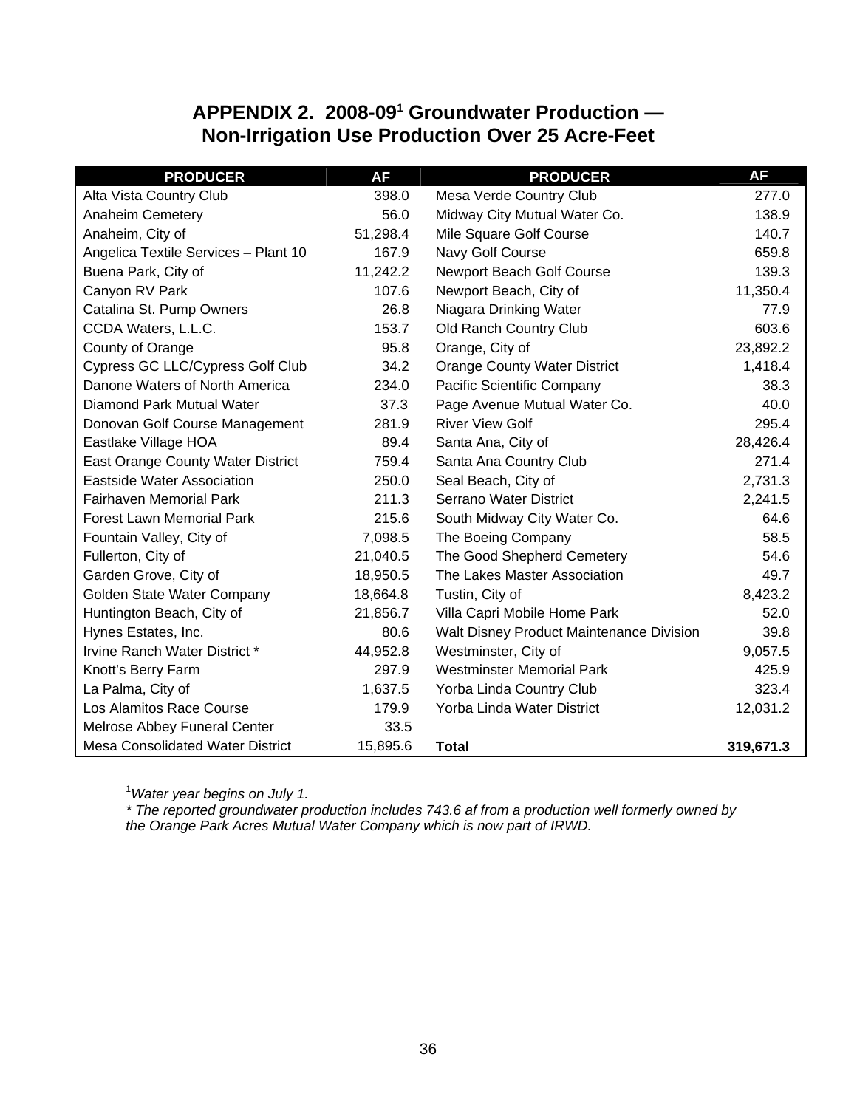### **APPENDIX 2. 2008-091 Groundwater Production — Non-Irrigation Use Production Over 25 Acre-Feet**

| <b>PRODUCER</b>                         | <b>AF</b> | <b>PRODUCER</b>                          | <b>AF</b> |
|-----------------------------------------|-----------|------------------------------------------|-----------|
| Alta Vista Country Club                 | 398.0     | Mesa Verde Country Club                  | 277.0     |
| <b>Anaheim Cemetery</b>                 | 56.0      | Midway City Mutual Water Co.             | 138.9     |
| Anaheim, City of                        | 51,298.4  | Mile Square Golf Course                  | 140.7     |
| Angelica Textile Services - Plant 10    | 167.9     | Navy Golf Course                         | 659.8     |
| Buena Park, City of                     | 11,242.2  | Newport Beach Golf Course                | 139.3     |
| Canyon RV Park                          | 107.6     | Newport Beach, City of                   | 11,350.4  |
| Catalina St. Pump Owners                | 26.8      | Niagara Drinking Water                   | 77.9      |
| CCDA Waters, L.L.C.                     | 153.7     | Old Ranch Country Club                   | 603.6     |
| County of Orange                        | 95.8      | Orange, City of                          | 23,892.2  |
| Cypress GC LLC/Cypress Golf Club        | 34.2      | <b>Orange County Water District</b>      | 1,418.4   |
| Danone Waters of North America          | 234.0     | Pacific Scientific Company               | 38.3      |
| Diamond Park Mutual Water               | 37.3      | Page Avenue Mutual Water Co.             | 40.0      |
| Donovan Golf Course Management          | 281.9     | <b>River View Golf</b>                   | 295.4     |
| Eastlake Village HOA                    | 89.4      | Santa Ana, City of                       | 28,426.4  |
| East Orange County Water District       | 759.4     | Santa Ana Country Club                   | 271.4     |
| <b>Eastside Water Association</b>       | 250.0     | Seal Beach, City of                      | 2,731.3   |
| <b>Fairhaven Memorial Park</b>          | 211.3     | Serrano Water District                   | 2,241.5   |
| <b>Forest Lawn Memorial Park</b>        | 215.6     | South Midway City Water Co.              | 64.6      |
| Fountain Valley, City of                | 7,098.5   | The Boeing Company                       | 58.5      |
| Fullerton, City of                      | 21,040.5  | The Good Shepherd Cemetery               | 54.6      |
| Garden Grove, City of                   | 18,950.5  | The Lakes Master Association             | 49.7      |
| Golden State Water Company              | 18,664.8  | Tustin, City of                          | 8,423.2   |
| Huntington Beach, City of               | 21,856.7  | Villa Capri Mobile Home Park             | 52.0      |
| Hynes Estates, Inc.                     | 80.6      | Walt Disney Product Maintenance Division | 39.8      |
| Irvine Ranch Water District *           | 44,952.8  | Westminster, City of                     | 9,057.5   |
| Knott's Berry Farm                      | 297.9     | <b>Westminster Memorial Park</b>         | 425.9     |
| La Palma, City of                       | 1,637.5   | Yorba Linda Country Club                 | 323.4     |
| Los Alamitos Race Course                | 179.9     | Yorba Linda Water District               | 12,031.2  |
| Melrose Abbey Funeral Center            | 33.5      |                                          |           |
| <b>Mesa Consolidated Water District</b> | 15,895.6  | <b>Total</b>                             | 319,671.3 |

1 *Water year begins on July 1.* 

*\* The reported groundwater production includes 743.6 af from a production well formerly owned by the Orange Park Acres Mutual Water Company which is now part of IRWD.*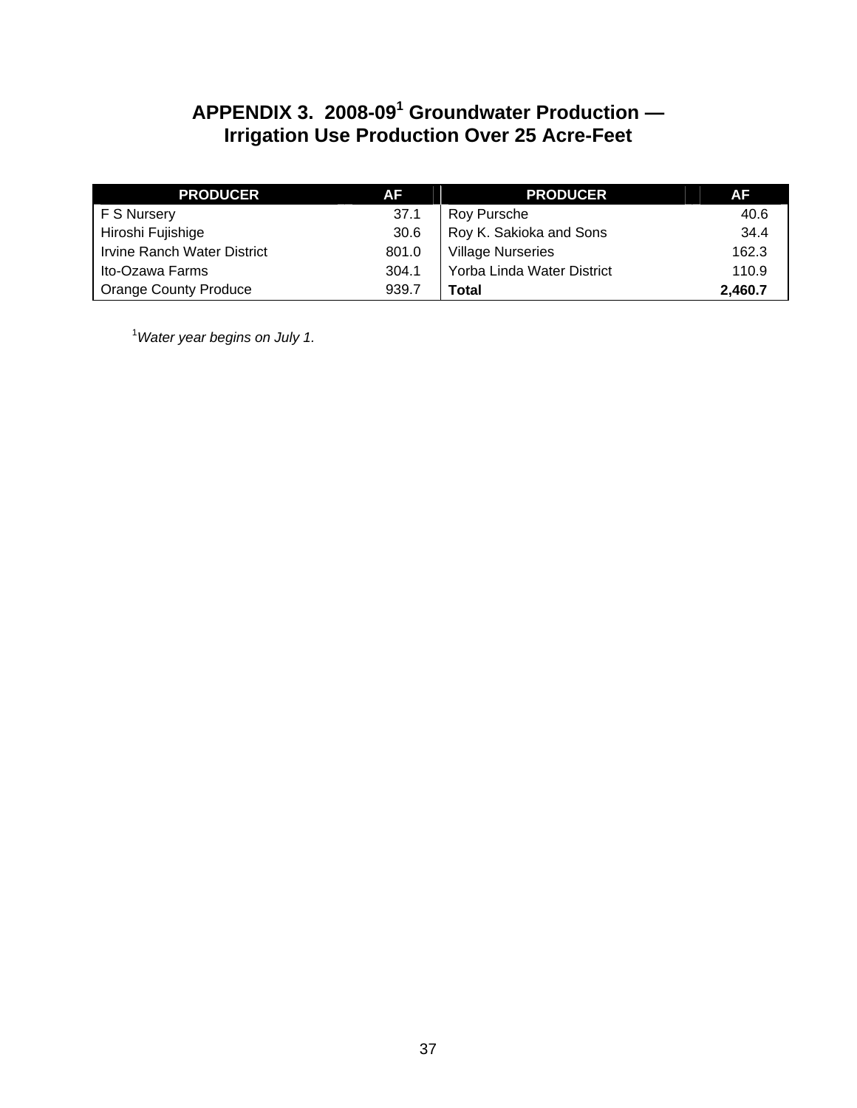### **APPENDIX 3. 2008-09<sup>1</sup> Groundwater Production — Irrigation Use Production Over 25 Acre-Feet**

| <b>PRODUCER</b>                    | <b>AF</b> | <b>PRODUCER</b>            | AF      |
|------------------------------------|-----------|----------------------------|---------|
| F S Nursery                        | 37.1      | Roy Pursche                | 40.6    |
| Hiroshi Fujishige                  | 30.6      | Roy K. Sakioka and Sons    | 34.4    |
| <b>Irvine Ranch Water District</b> | 801.0     | <b>Village Nurseries</b>   | 162.3   |
| Ito-Ozawa Farms                    | 304.1     | Yorba Linda Water District | 110.9   |
| <b>Orange County Produce</b>       | 939.7     | Total                      | 2.460.7 |

1 *Water year begins on July 1.*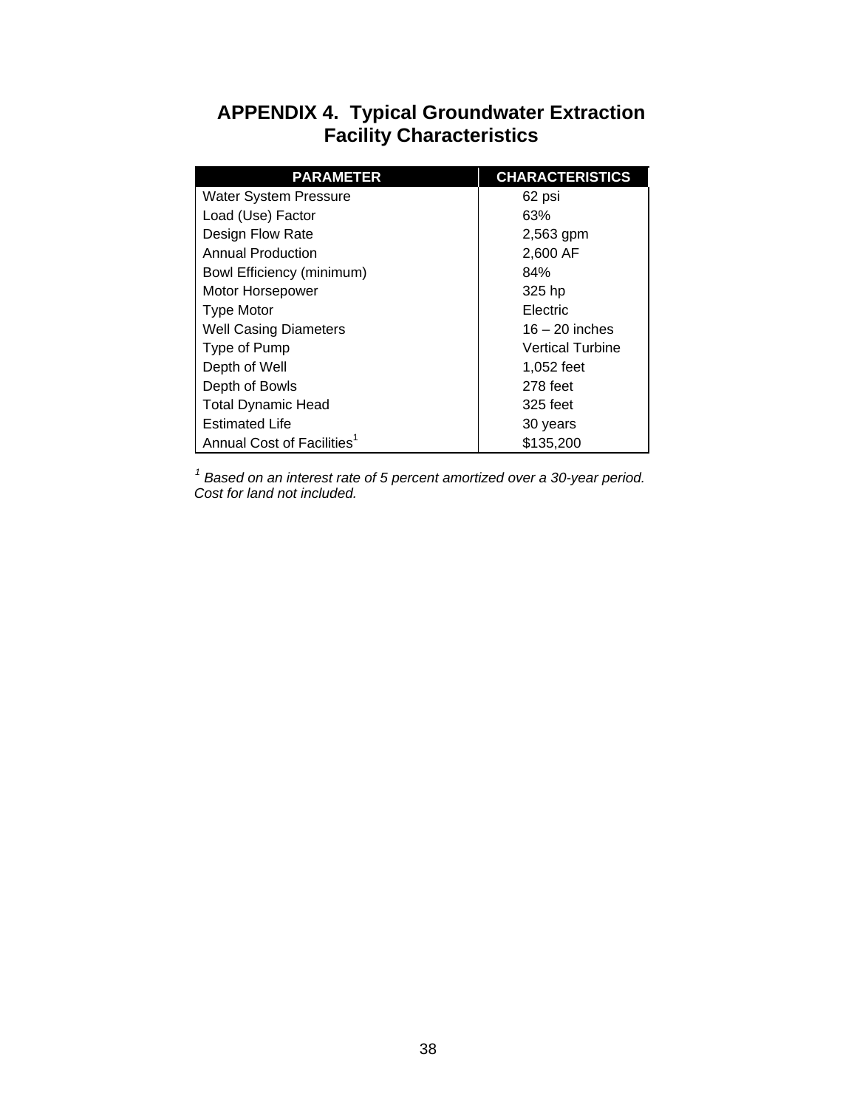### **APPENDIX 4. Typical Groundwater Extraction Facility Characteristics**

| <b>PARAMETER</b>                       | <b>CHARACTERISTICS</b>  |
|----------------------------------------|-------------------------|
| <b>Water System Pressure</b>           | 62 psi                  |
| Load (Use) Factor                      | 63%                     |
| Design Flow Rate                       | 2,563 gpm               |
| <b>Annual Production</b>               | 2,600 AF                |
| <b>Bowl Efficiency (minimum)</b>       | 84%                     |
| Motor Horsepower                       | 325 hp                  |
| <b>Type Motor</b>                      | Electric                |
| <b>Well Casing Diameters</b>           | $16 - 20$ inches        |
| Type of Pump                           | <b>Vertical Turbine</b> |
| Depth of Well                          | 1,052 feet              |
| Depth of Bowls                         | 278 feet                |
| <b>Total Dynamic Head</b>              | 325 feet                |
| <b>Estimated Life</b>                  | 30 years                |
| Annual Cost of Facilities <sup>1</sup> | \$135,200               |

 *<sup>1</sup> Based on an interest rate of 5 percent amortized over a 30-year period. Cost for land not included.*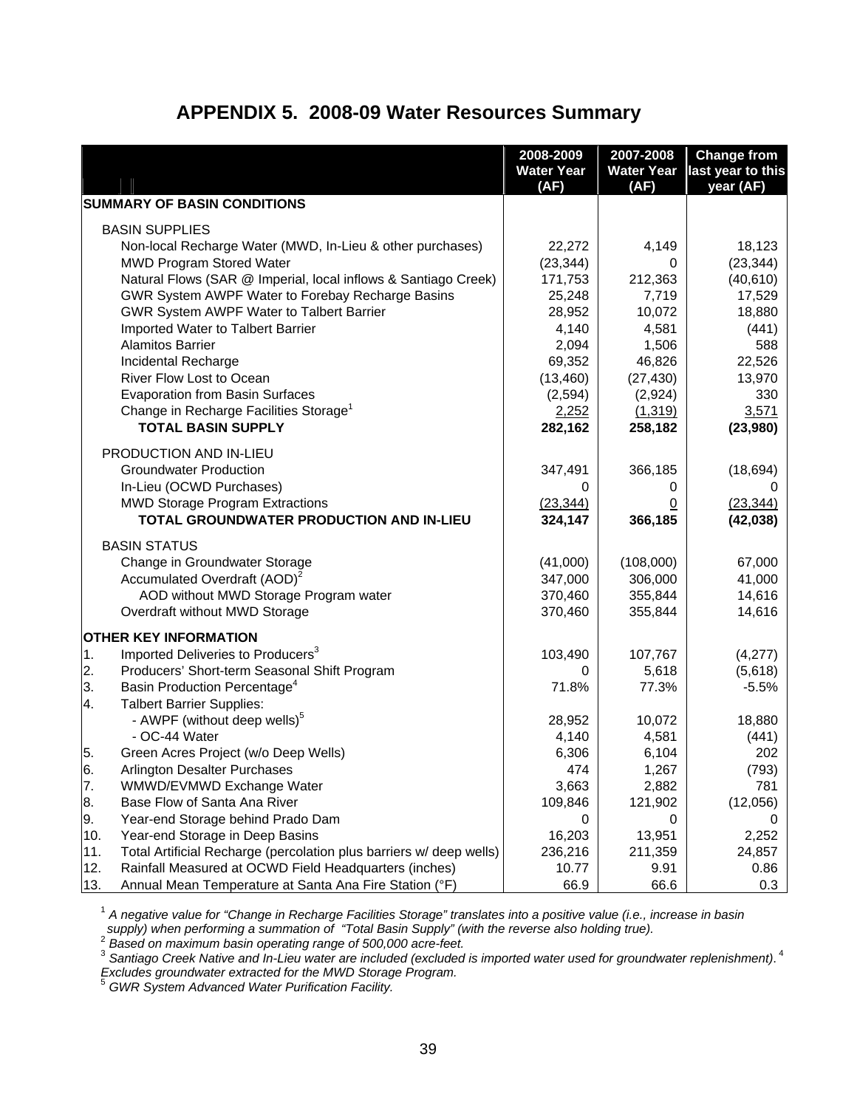#### **APPENDIX 5. 2008-09 Water Resources Summary**

|            |                                                                     | 2008-2009<br><b>Water Year</b> | 2007-2008<br><b>Water Year</b> | <b>Change from</b><br>last year to this |
|------------|---------------------------------------------------------------------|--------------------------------|--------------------------------|-----------------------------------------|
|            |                                                                     | (AF)                           | (AF)                           | year (AF)                               |
|            | <b>SUMMARY OF BASIN CONDITIONS</b>                                  |                                |                                |                                         |
|            | <b>BASIN SUPPLIES</b>                                               |                                |                                |                                         |
|            | Non-local Recharge Water (MWD, In-Lieu & other purchases)           | 22,272                         | 4,149                          | 18,123                                  |
|            | <b>MWD Program Stored Water</b>                                     | (23, 344)                      | 0                              | (23, 344)                               |
|            | Natural Flows (SAR @ Imperial, local inflows & Santiago Creek)      | 171,753                        | 212,363                        | (40, 610)                               |
|            | GWR System AWPF Water to Forebay Recharge Basins                    | 25,248                         | 7,719                          | 17,529                                  |
|            | GWR System AWPF Water to Talbert Barrier                            | 28,952                         | 10,072                         | 18,880                                  |
|            | Imported Water to Talbert Barrier                                   | 4,140                          | 4,581                          | (441)                                   |
|            | <b>Alamitos Barrier</b>                                             | 2,094                          | 1,506                          | 588                                     |
|            | Incidental Recharge                                                 | 69,352                         | 46,826                         | 22,526                                  |
|            | River Flow Lost to Ocean                                            | (13, 460)                      | (27, 430)                      | 13,970                                  |
|            | <b>Evaporation from Basin Surfaces</b>                              | (2,594)                        | (2,924)                        | 330                                     |
|            | Change in Recharge Facilities Storage <sup>1</sup>                  | 2,252                          | (1, 319)                       | 3,571                                   |
|            | <b>TOTAL BASIN SUPPLY</b>                                           | 282,162                        | 258,182                        | (23,980)                                |
|            | PRODUCTION AND IN-LIEU                                              |                                |                                |                                         |
|            | <b>Groundwater Production</b>                                       | 347,491                        | 366,185                        | (18, 694)                               |
|            | In-Lieu (OCWD Purchases)                                            | 0                              | 0                              |                                         |
|            | <b>MWD Storage Program Extractions</b>                              | (23, 344)                      | <u>0</u>                       | (23, 344)                               |
|            | TOTAL GROUNDWATER PRODUCTION AND IN-LIEU                            | 324,147                        | 366,185                        | (42, 038)                               |
|            | <b>BASIN STATUS</b>                                                 |                                |                                |                                         |
|            | Change in Groundwater Storage                                       | (41,000)                       | (108,000)                      | 67,000                                  |
|            | Accumulated Overdraft (AOD) <sup>2</sup>                            | 347,000                        | 306,000                        | 41,000                                  |
|            | AOD without MWD Storage Program water                               | 370,460                        | 355,844                        | 14,616                                  |
|            | Overdraft without MWD Storage                                       | 370,460                        | 355,844                        | 14,616                                  |
|            | <b>OTHER KEY INFORMATION</b>                                        |                                |                                |                                         |
| $\vert$ 1. | Imported Deliveries to Producers <sup>3</sup>                       | 103,490                        | 107,767                        | (4,277)                                 |
| 2.         | Producers' Short-term Seasonal Shift Program                        | 0                              | 5,618                          | (5,618)                                 |
| 3.         | Basin Production Percentage <sup>4</sup>                            | 71.8%                          | 77.3%                          | $-5.5%$                                 |
| 4.         | <b>Talbert Barrier Supplies:</b>                                    |                                |                                |                                         |
|            | - AWPF (without deep wells) <sup>5</sup>                            | 28,952                         | 10,072                         | 18,880                                  |
|            | - OC-44 Water                                                       | 4,140                          | 4,581                          | (441)                                   |
| 5.         | Green Acres Project (w/o Deep Wells)                                | 6,306                          | 6,104                          | 202                                     |
| 6.         | Arlington Desalter Purchases                                        | 474                            | 1,267                          | (793)                                   |
| 7.         | WMWD/EVMWD Exchange Water                                           | 3,663                          | 2,882                          | 781                                     |
| 8.         | Base Flow of Santa Ana River                                        | 109,846                        | 121,902                        | (12,056)                                |
| 9.         | Year-end Storage behind Prado Dam                                   | 0                              | 0                              |                                         |
| 10.        | Year-end Storage in Deep Basins                                     | 16,203                         | 13,951                         | 2,252                                   |
| 11.        | Total Artificial Recharge (percolation plus barriers w/ deep wells) | 236,216                        | 211,359                        | 24,857                                  |
| 12.        | Rainfall Measured at OCWD Field Headquarters (inches)               | 10.77                          | 9.91                           | 0.86                                    |
| 13.        | Annual Mean Temperature at Santa Ana Fire Station (°F)              | 66.9                           | 66.6                           | 0.3                                     |

<sup>1</sup> *A negative value for "Change in Recharge Facilities Storage" translates into a positive value (i.e., increase in basin*  \_supply) when performing a summation of "Total Basin Supply" (with the reverse also holding true).<br><sup>2</sup> Based on maximum basin operating range of 500,000 acre-feet.<br><sup>3</sup> Santiago Creek Native and In-Lieu water are included

*Excludes groundwater extracted for the MWD Storage Program.* <sup>5</sup> *GWR System Advanced Water Purification Facility.*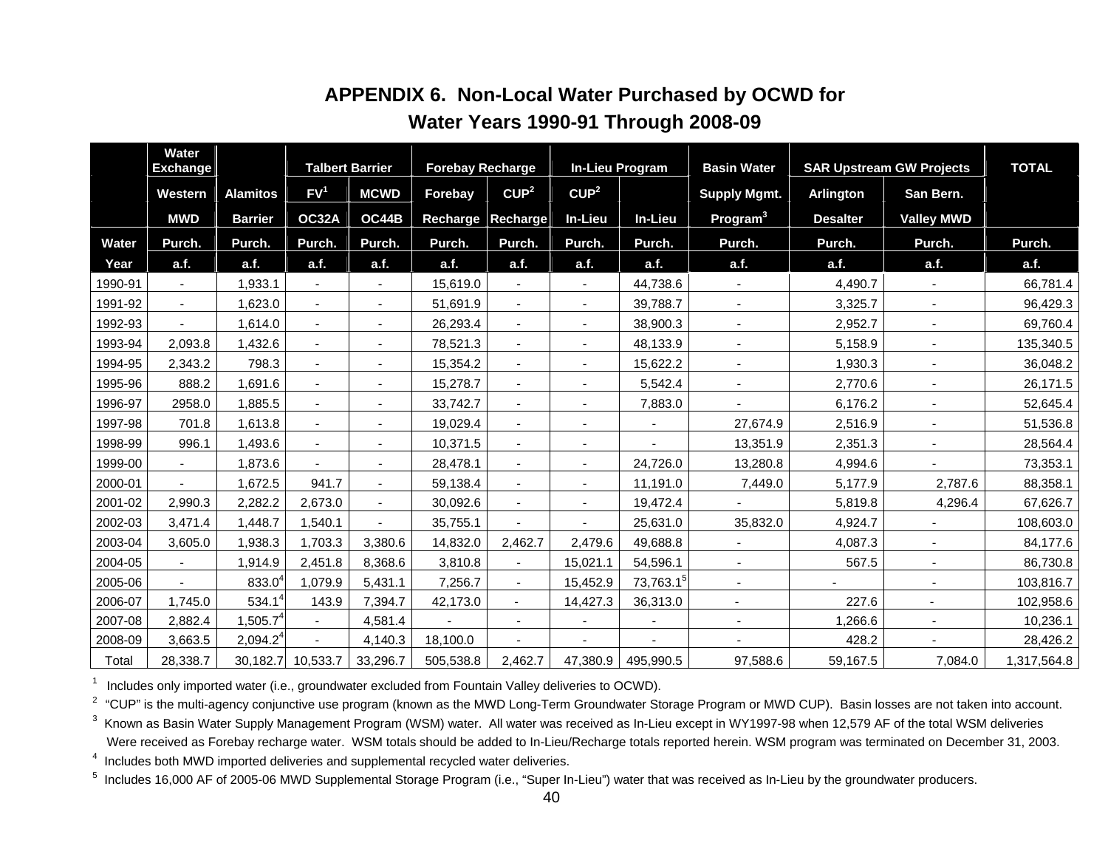|         | <b>Water</b><br><b>Exchange</b> |                 |                       | <b>Talbert Barrier</b>   | <b>Forebay Recharge</b> |                          |                          | <b>In-Lieu Program</b> | <b>Basin Water</b>       |                  | <b>SAR Upstream GW Projects</b> | <b>TOTAL</b> |
|---------|---------------------------------|-----------------|-----------------------|--------------------------|-------------------------|--------------------------|--------------------------|------------------------|--------------------------|------------------|---------------------------------|--------------|
|         | Western                         | <b>Alamitos</b> | FV <sup>1</sup>       | <b>MCWD</b>              | Forebay                 | CUP <sup>2</sup>         | CUP <sup>2</sup>         |                        | <b>Supply Mgmt.</b>      | <b>Arlington</b> | San Bern.                       |              |
|         | <b>MWD</b>                      | <b>Barrier</b>  | <b>OC32A</b>          | OC44B                    | Recharge                | <b>Recharge</b>          | In-Lieu                  | In-Lieu                | Program <sup>3</sup>     | <b>Desalter</b>  | <b>Valley MWD</b>               |              |
| Water   | Purch.                          | Purch.          | Purch.                | Purch.                   | Purch.                  | Purch.                   | Purch.                   | Purch.                 | Purch.                   | Purch.           | Purch.                          | Purch.       |
| Year    | a.f.                            | a.f.            | a.f.                  | a.f.                     | a.f.                    | a.f.                     | a.f.                     | a.f.                   | a.f.                     | a.f.             | a.f.                            | a.f.         |
| 1990-91 |                                 | 1,933.1         |                       |                          | 15,619.0                |                          |                          | 44,738.6               |                          | 4,490.7          |                                 | 66,781.4     |
| 1991-92 | $\blacksquare$                  | 1,623.0         | $\blacksquare$        | ٠                        | 51,691.9                | $\blacksquare$           | $\blacksquare$           | 39,788.7               | $\blacksquare$           | 3,325.7          | $\blacksquare$                  | 96,429.3     |
| 1992-93 |                                 | 1,614.0         | $\blacksquare$        | $\blacksquare$           | 26,293.4                | $\sim$                   | $\overline{a}$           | 38,900.3               | $\blacksquare$           | 2,952.7          | $\blacksquare$                  | 69,760.4     |
| 1993-94 | 2,093.8                         | 1,432.6         | $\blacksquare$        | $\blacksquare$           | 78,521.3                | $\overline{\phantom{a}}$ | $\overline{\phantom{a}}$ | 48,133.9               | $\blacksquare$           | 5,158.9          | $\blacksquare$                  | 135,340.5    |
| 1994-95 | 2,343.2                         | 798.3           |                       | $\overline{\phantom{a}}$ | 15,354.2                |                          |                          | 15,622.2               |                          | 1,930.3          |                                 | 36,048.2     |
| 1995-96 | 888.2                           | 1,691.6         |                       |                          | 15,278.7                |                          |                          | 5,542.4                |                          | 2,770.6          |                                 | 26,171.5     |
| 1996-97 | 2958.0                          | 1,885.5         |                       |                          | 33,742.7                |                          |                          | 7,883.0                |                          | 6,176.2          |                                 | 52,645.4     |
| 1997-98 | 701.8                           | 1,613.8         | $\blacksquare$        | ٠                        | 19,029.4                |                          |                          |                        | 27,674.9                 | 2,516.9          |                                 | 51,536.8     |
| 1998-99 | 996.1                           | 1,493.6         | $\blacksquare$        | $\overline{\phantom{a}}$ | 10,371.5                | $\overline{\phantom{a}}$ | $\overline{\phantom{a}}$ |                        | 13,351.9                 | 2,351.3          |                                 | 28,564.4     |
| 1999-00 | $\blacksquare$                  | 1,873.6         | $\sim$                | $\blacksquare$           | 28,478.1                | $\blacksquare$           | $\overline{a}$           | 24,726.0               | 13,280.8                 | 4,994.6          | $\blacksquare$                  | 73,353.1     |
| 2000-01 |                                 | 1,672.5         | 941.7                 | $\blacksquare$           | 59,138.4                | $\blacksquare$           | $\overline{\phantom{a}}$ | 11,191.0               | 7,449.0                  | 5,177.9          | 2,787.6                         | 88,358.1     |
| 2001-02 | 2,990.3                         | 2,282.2         | 2,673.0               |                          | 30,092.6                |                          |                          | 19,472.4               |                          | 5,819.8          | 4,296.4                         | 67,626.7     |
| 2002-03 | 3,471.4                         | 1,448.7         | 1,540.1               |                          | 35,755.1                |                          |                          | 25,631.0               | 35,832.0                 | 4,924.7          |                                 | 108,603.0    |
| 2003-04 | 3,605.0                         | 1,938.3         | 1,703.3               | 3,380.6                  | 14,832.0                | 2,462.7                  | 2,479.6                  | 49,688.8               | $\blacksquare$           | 4,087.3          |                                 | 84,177.6     |
| 2004-05 |                                 | 1,914.9         | 2,451.8               | 8,368.6                  | 3,810.8                 | $\blacksquare$           | 15,021.1                 | 54,596.1               | $\blacksquare$           | 567.5            |                                 | 86,730.8     |
| 2005-06 |                                 | $833.0^{4}$     | 1,079.9               | 5,431.1                  | 7,256.7                 | $\blacksquare$           | 15,452.9                 | 73,763.1 <sup>5</sup>  | $\blacksquare$           |                  |                                 | 103,816.7    |
| 2006-07 | 1,745.0                         | 534.1           | 143.9                 | 7,394.7                  | 42,173.0                | $\blacksquare$           | 14,427.3                 | 36,313.0               | $\blacksquare$           | 227.6            | $\sim$                          | 102,958.6    |
| 2007-08 | 2,882.4                         | $1,505.7^4$     |                       | 4,581.4                  |                         |                          |                          |                        | $\overline{\phantom{a}}$ | 1,266.6          |                                 | 10,236.1     |
| 2008-09 | 3,663.5                         | $2,094.2^4$     |                       | 4,140.3                  | 18,100.0                |                          |                          |                        |                          | 428.2            |                                 | 28,426.2     |
| Total   | 28,338.7                        |                 | 30, 182. 7 10, 533. 7 | 33,296.7                 | 505,538.8               | 2,462.7                  | 47,380.9                 | 495,990.5              | 97,588.6                 | 59,167.5         | 7,084.0                         | 1,317,564.8  |

# **APPENDIX 6. Non-Local Water Purchased by OCWD for Water Years 1990-91 Through 2008-09**

Includes only imported water (i.e., groundwater excluded from Fountain Valley deliveries to OCWD).

<sup>2</sup> "CUP" is the multi-agency conjunctive use program (known as the MWD Long-Term Groundwater Storage Program or MWD CUP). Basin losses are not taken into account.

<sup>3</sup> Known as Basin Water Supply Management Program (WSM) water. All water was received as In-Lieu except in WY1997-98 when 12,579 AF of the total WSM deliveries Were received as Forebay recharge water. WSM totals should be added to In-Lieu/Recharge totals reported herein. WSM program was terminated on December 31, 2003.

4 Includes both MWD imported deliveries and supplemental recycled water deliveries.

<sup>5</sup> Includes 16,000 AF of 2005-06 MWD Supplemental Storage Program (i.e., "Super In-Lieu") water that was received as In-Lieu by the groundwater producers.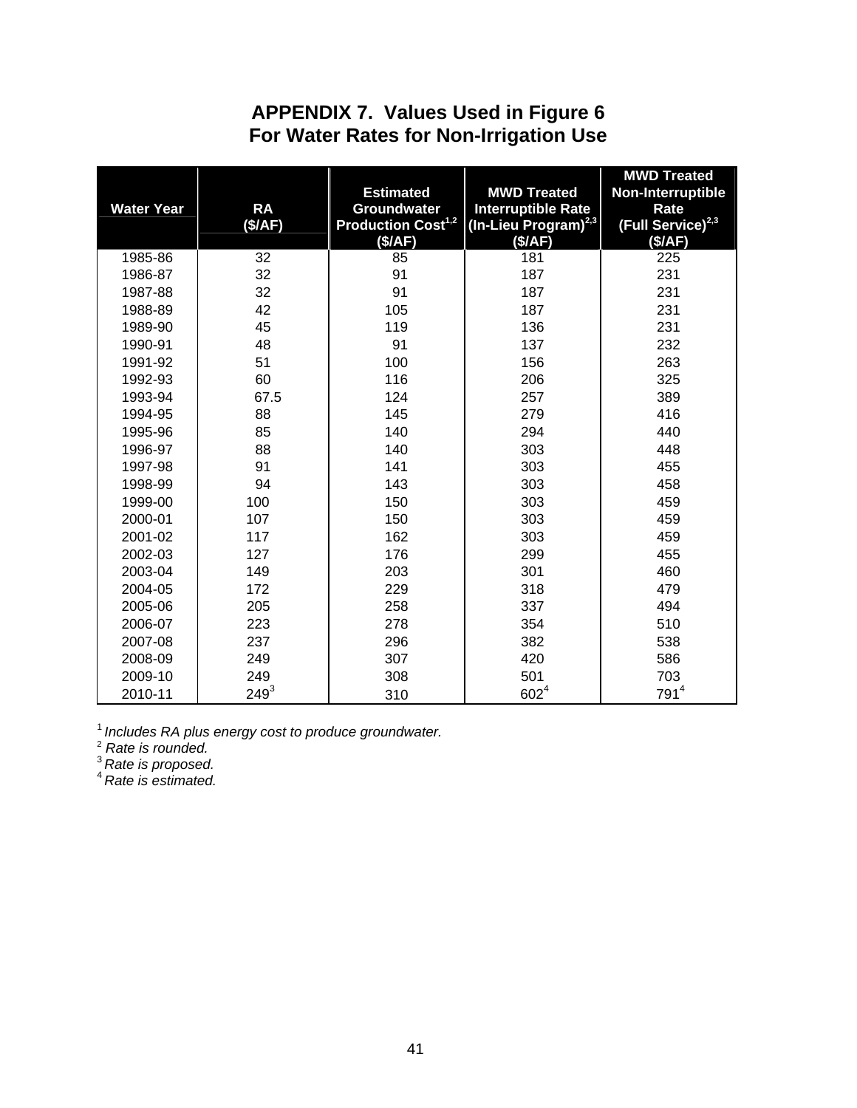# **APPENDIX 7. Values Used in Figure 6 For Water Rates for Non-Irrigation Use**

| <b>Water Year</b> | <b>RA</b> | <b>Estimated</b><br><b>Groundwater</b> | <b>MWD Treated</b><br><b>Interruptible Rate</b> | <b>MWD Treated</b><br>Non-Interruptible<br>Rate |
|-------------------|-----------|----------------------------------------|-------------------------------------------------|-------------------------------------------------|
|                   | (S/AF)    | <b>Production Cost<sup>1,2</sup></b>   | (In-Lieu Program) <sup>2,3</sup>                | (Full Service) <sup>2,3</sup>                   |
|                   |           | (\$/AF)                                | (\$/AF)                                         | (\$/AF)                                         |
| 1985-86           | 32        | 85                                     | 181                                             | 225                                             |
| 1986-87           | 32        | 91                                     | 187                                             | 231                                             |
| 1987-88           | 32        | 91                                     | 187                                             | 231                                             |
| 1988-89           | 42        | 105                                    | 187                                             | 231                                             |
| 1989-90           | 45        | 119                                    | 136                                             | 231                                             |
| 1990-91           | 48        | 91                                     | 137                                             | 232                                             |
| 1991-92           | 51        | 100                                    | 156                                             | 263                                             |
| 1992-93           | 60        | 116                                    | 206                                             | 325                                             |
| 1993-94           | 67.5      | 124                                    | 257                                             | 389                                             |
| 1994-95           | 88        | 145                                    | 279                                             | 416                                             |
| 1995-96           | 85        | 140                                    | 294                                             | 440                                             |
| 1996-97           | 88        | 140                                    | 303                                             | 448                                             |
| 1997-98           | 91        | 141                                    | 303                                             | 455                                             |
| 1998-99           | 94        | 143                                    | 303                                             | 458                                             |
| 1999-00           | 100       | 150                                    | 303                                             | 459                                             |
| 2000-01           | 107       | 150                                    | 303                                             | 459                                             |
| 2001-02           | 117       | 162                                    | 303                                             | 459                                             |
| 2002-03           | 127       | 176                                    | 299                                             | 455                                             |
| 2003-04           | 149       | 203                                    | 301                                             | 460                                             |
| 2004-05           | 172       | 229                                    | 318                                             | 479                                             |
| 2005-06           | 205       | 258                                    | 337                                             | 494                                             |
| 2006-07           | 223       | 278                                    | 354                                             | 510                                             |
| 2007-08           | 237       | 296                                    | 382                                             | 538                                             |
| 2008-09           | 249       | 307                                    | 420                                             | 586                                             |
| 2009-10           | 249       | 308                                    | 501                                             | 703                                             |
| 2010-11           | $249^{3}$ | 310                                    | $602^{4}$                                       | 791 <sup>4</sup>                                |

<sup>1</sup> Includes RA plus energy cost to produce groundwater.<br><sup>2</sup> Rate is rounded.

<sup>3</sup>*Rate is proposed.* 

<sup>4</sup>*Rate is estimated.*